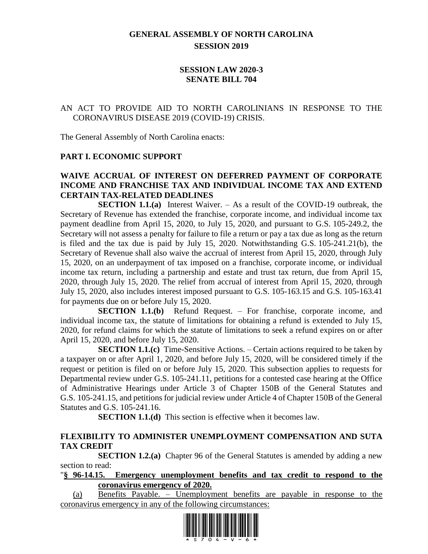# **GENERAL ASSEMBLY OF NORTH CAROLINA SESSION 2019**

## **SESSION LAW 2020-3 SENATE BILL 704**

## AN ACT TO PROVIDE AID TO NORTH CAROLINIANS IN RESPONSE TO THE CORONAVIRUS DISEASE 2019 (COVID-19) CRISIS.

The General Assembly of North Carolina enacts:

#### **PART I. ECONOMIC SUPPORT**

#### **WAIVE ACCRUAL OF INTEREST ON DEFERRED PAYMENT OF CORPORATE INCOME AND FRANCHISE TAX AND INDIVIDUAL INCOME TAX AND EXTEND CERTAIN TAX-RELATED DEADLINES**

**SECTION 1.1.(a)** Interest Waiver. – As a result of the COVID-19 outbreak, the Secretary of Revenue has extended the franchise, corporate income, and individual income tax payment deadline from April 15, 2020, to July 15, 2020, and pursuant to G.S. 105-249.2, the Secretary will not assess a penalty for failure to file a return or pay a tax due as long as the return is filed and the tax due is paid by July 15, 2020. Notwithstanding G.S. 105-241.21(b), the Secretary of Revenue shall also waive the accrual of interest from April 15, 2020, through July 15, 2020, on an underpayment of tax imposed on a franchise, corporate income, or individual income tax return, including a partnership and estate and trust tax return, due from April 15, 2020, through July 15, 2020. The relief from accrual of interest from April 15, 2020, through July 15, 2020, also includes interest imposed pursuant to G.S. 105-163.15 and G.S. 105-163.41 for payments due on or before July 15, 2020.

**SECTION 1.1.(b)** Refund Request. – For franchise, corporate income, and individual income tax, the statute of limitations for obtaining a refund is extended to July 15, 2020, for refund claims for which the statute of limitations to seek a refund expires on or after April 15, 2020, and before July 15, 2020.

**SECTION 1.1.(c)** Time-Sensitive Actions. – Certain actions required to be taken by a taxpayer on or after April 1, 2020, and before July 15, 2020, will be considered timely if the request or petition is filed on or before July 15, 2020. This subsection applies to requests for Departmental review under G.S. 105-241.11, petitions for a contested case hearing at the Office of Administrative Hearings under Article 3 of Chapter 150B of the General Statutes and G.S. 105-241.15, and petitions for judicial review under Article 4 of Chapter 150B of the General Statutes and G.S. 105-241.16.

**SECTION 1.1.(d)** This section is effective when it becomes law.

## **FLEXIBILITY TO ADMINISTER UNEMPLOYMENT COMPENSATION AND SUTA TAX CREDIT**

**SECTION 1.2.(a)** Chapter 96 of the General Statutes is amended by adding a new section to read:

"**§ 96-14.15. Emergency unemployment benefits and tax credit to respond to the coronavirus emergency of 2020.**

(a) Benefits Payable. – Unemployment benefits are payable in response to the coronavirus emergency in any of the following circumstances:

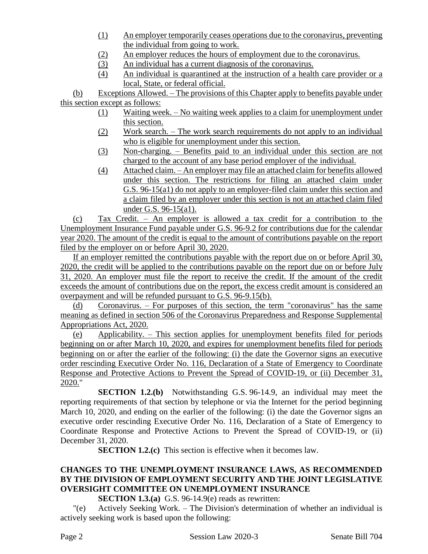- (1) An employer temporarily ceases operations due to the coronavirus, preventing the individual from going to work.
- (2) An employer reduces the hours of employment due to the coronavirus.
- (3) An individual has a current diagnosis of the coronavirus.
- (4) An individual is quarantined at the instruction of a health care provider or a local, State, or federal official.

(b) Exceptions Allowed. – The provisions of this Chapter apply to benefits payable under this section except as follows:

- (1) Waiting week. No waiting week applies to a claim for unemployment under this section.
- (2) Work search. The work search requirements do not apply to an individual who is eligible for unemployment under this section.
- (3) Non-charging. Benefits paid to an individual under this section are not charged to the account of any base period employer of the individual.
- (4) Attached claim. An employer may file an attached claim for benefits allowed under this section. The restrictions for filing an attached claim under G.S. 96-15(a1) do not apply to an employer-filed claim under this section and a claim filed by an employer under this section is not an attached claim filed under G.S. 96-15(a1).

(c) Tax Credit. – An employer is allowed a tax credit for a contribution to the Unemployment Insurance Fund payable under G.S. 96-9.2 for contributions due for the calendar year 2020. The amount of the credit is equal to the amount of contributions payable on the report filed by the employer on or before April 30, 2020.

If an employer remitted the contributions payable with the report due on or before April 30, 2020, the credit will be applied to the contributions payable on the report due on or before July 31, 2020. An employer must file the report to receive the credit. If the amount of the credit exceeds the amount of contributions due on the report, the excess credit amount is considered an overpayment and will be refunded pursuant to G.S. 96-9.15(b).

(d) Coronavirus. – For purposes of this section, the term "coronavirus" has the same meaning as defined in section 506 of the Coronavirus Preparedness and Response Supplemental Appropriations Act, 2020.

(e) Applicability. – This section applies for unemployment benefits filed for periods beginning on or after March 10, 2020, and expires for unemployment benefits filed for periods beginning on or after the earlier of the following: (i) the date the Governor signs an executive order rescinding Executive Order No. 116, Declaration of a State of Emergency to Coordinate Response and Protective Actions to Prevent the Spread of COVID-19, or (ii) December 31, 2020."

**SECTION 1.2.(b)** Notwithstanding G.S. 96-14.9, an individual may meet the reporting requirements of that section by telephone or via the Internet for the period beginning March 10, 2020, and ending on the earlier of the following: (i) the date the Governor signs an executive order rescinding Executive Order No. 116, Declaration of a State of Emergency to Coordinate Response and Protective Actions to Prevent the Spread of COVID-19, or (ii) December 31, 2020.

**SECTION 1.2.(c)** This section is effective when it becomes law.

## **CHANGES TO THE UNEMPLOYMENT INSURANCE LAWS, AS RECOMMENDED BY THE DIVISION OF EMPLOYMENT SECURITY AND THE JOINT LEGISLATIVE OVERSIGHT COMMITTEE ON UNEMPLOYMENT INSURANCE**

**SECTION 1.3.(a)** G.S. 96-14.9(e) reads as rewritten:

"(e) Actively Seeking Work. – The Division's determination of whether an individual is actively seeking work is based upon the following:

Page 2 Session Law 2020-3 Senate Bill 704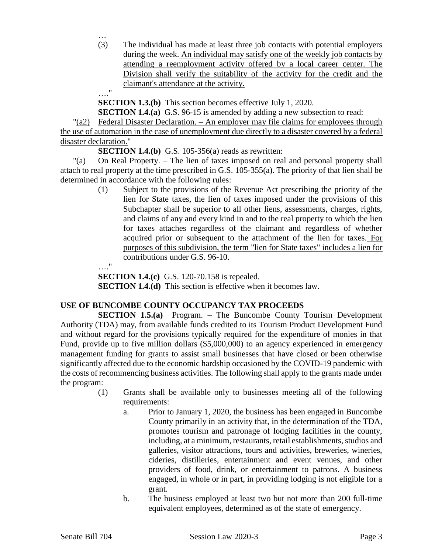(3) The individual has made at least three job contacts with potential employers during the week. An individual may satisfy one of the weekly job contacts by attending a reemployment activity offered by a local career center. The Division shall verify the suitability of the activity for the credit and the claimant's attendance at the activity.

**SECTION 1.3.(b)** This section becomes effective July 1, 2020.

**SECTION 1.4.(a)** G.S. 96-15 is amended by adding a new subsection to read:

"(a2) Federal Disaster Declaration. – An employer may file claims for employees through the use of automation in the case of unemployment due directly to a disaster covered by a federal disaster declaration."

**SECTION 1.4.(b)** G.S. 105-356(a) reads as rewritten:

"(a) On Real Property. – The lien of taxes imposed on real and personal property shall attach to real property at the time prescribed in G.S. 105-355(a). The priority of that lien shall be determined in accordance with the following rules:

(1) Subject to the provisions of the Revenue Act prescribing the priority of the lien for State taxes, the lien of taxes imposed under the provisions of this Subchapter shall be superior to all other liens, assessments, charges, rights, and claims of any and every kind in and to the real property to which the lien for taxes attaches regardless of the claimant and regardless of whether acquired prior or subsequent to the attachment of the lien for taxes. For purposes of this subdivision, the term "lien for State taxes" includes a lien for contributions under G.S. 96-10.

…."

…

…."

**SECTION 1.4.(c)** G.S. 120-70.158 is repealed.

**SECTION 1.4.(d)** This section is effective when it becomes law.

## **USE OF BUNCOMBE COUNTY OCCUPANCY TAX PROCEEDS**

**SECTION 1.5.(a)** Program. – The Buncombe County Tourism Development Authority (TDA) may, from available funds credited to its Tourism Product Development Fund and without regard for the provisions typically required for the expenditure of monies in that Fund, provide up to five million dollars (\$5,000,000) to an agency experienced in emergency management funding for grants to assist small businesses that have closed or been otherwise significantly affected due to the economic hardship occasioned by the COVID-19 pandemic with the costs of recommencing business activities. The following shall apply to the grants made under the program:

- (1) Grants shall be available only to businesses meeting all of the following requirements:
	- a. Prior to January 1, 2020, the business has been engaged in Buncombe County primarily in an activity that, in the determination of the TDA, promotes tourism and patronage of lodging facilities in the county, including, at a minimum, restaurants, retail establishments, studios and galleries, visitor attractions, tours and activities, breweries, wineries, cideries, distilleries, entertainment and event venues, and other providers of food, drink, or entertainment to patrons. A business engaged, in whole or in part, in providing lodging is not eligible for a grant.
	- b. The business employed at least two but not more than 200 full-time equivalent employees, determined as of the state of emergency.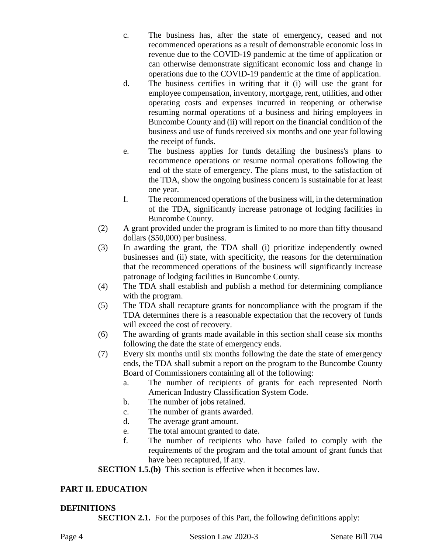- c. The business has, after the state of emergency, ceased and not recommenced operations as a result of demonstrable economic loss in revenue due to the COVID-19 pandemic at the time of application or can otherwise demonstrate significant economic loss and change in operations due to the COVID-19 pandemic at the time of application.
- d. The business certifies in writing that it (i) will use the grant for employee compensation, inventory, mortgage, rent, utilities, and other operating costs and expenses incurred in reopening or otherwise resuming normal operations of a business and hiring employees in Buncombe County and (ii) will report on the financial condition of the business and use of funds received six months and one year following the receipt of funds.
- e. The business applies for funds detailing the business's plans to recommence operations or resume normal operations following the end of the state of emergency. The plans must, to the satisfaction of the TDA, show the ongoing business concern is sustainable for at least one year.
- f. The recommenced operations of the business will, in the determination of the TDA, significantly increase patronage of lodging facilities in Buncombe County.
- (2) A grant provided under the program is limited to no more than fifty thousand dollars (\$50,000) per business.
- (3) In awarding the grant, the TDA shall (i) prioritize independently owned businesses and (ii) state, with specificity, the reasons for the determination that the recommenced operations of the business will significantly increase patronage of lodging facilities in Buncombe County.
- (4) The TDA shall establish and publish a method for determining compliance with the program.
- (5) The TDA shall recapture grants for noncompliance with the program if the TDA determines there is a reasonable expectation that the recovery of funds will exceed the cost of recovery.
- (6) The awarding of grants made available in this section shall cease six months following the date the state of emergency ends.
- (7) Every six months until six months following the date the state of emergency ends, the TDA shall submit a report on the program to the Buncombe County Board of Commissioners containing all of the following:
	- a. The number of recipients of grants for each represented North American Industry Classification System Code.
	- b. The number of jobs retained.
	- c. The number of grants awarded.
	- d. The average grant amount.
	- e. The total amount granted to date.
	- f. The number of recipients who have failed to comply with the requirements of the program and the total amount of grant funds that have been recaptured, if any.

**SECTION 1.5.(b)** This section is effective when it becomes law.

# **PART II. EDUCATION**

## **DEFINITIONS**

**SECTION 2.1.** For the purposes of this Part, the following definitions apply: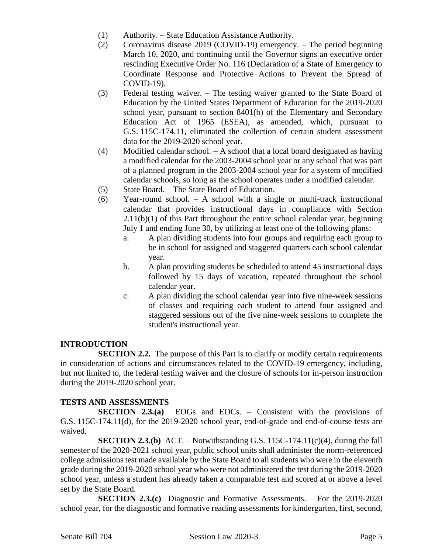- (1) Authority. State Education Assistance Authority.
- (2) Coronavirus disease 2019 (COVID-19) emergency. The period beginning March 10, 2020, and continuing until the Governor signs an executive order rescinding Executive Order No. 116 (Declaration of a State of Emergency to Coordinate Response and Protective Actions to Prevent the Spread of COVID-19).
- (3) Federal testing waiver. The testing waiver granted to the State Board of Education by the United States Department of Education for the 2019-2020 school year, pursuant to section 8401(b) of the Elementary and Secondary Education Act of 1965 (ESEA), as amended, which, pursuant to G.S. 115C-174.11, eliminated the collection of certain student assessment data for the 2019-2020 school year.
- (4) Modified calendar school. A school that a local board designated as having a modified calendar for the 2003-2004 school year or any school that was part of a planned program in the 2003-2004 school year for a system of modified calendar schools, so long as the school operates under a modified calendar.
- (5) State Board. The State Board of Education.
- (6) Year-round school. A school with a single or multi-track instructional calendar that provides instructional days in compliance with Section 2.11(b)(1) of this Part throughout the entire school calendar year, beginning July 1 and ending June 30, by utilizing at least one of the following plans:
	- a. A plan dividing students into four groups and requiring each group to be in school for assigned and staggered quarters each school calendar year.
	- b. A plan providing students be scheduled to attend 45 instructional days followed by 15 days of vacation, repeated throughout the school calendar year.
	- c. A plan dividing the school calendar year into five nine-week sessions of classes and requiring each student to attend four assigned and staggered sessions out of the five nine-week sessions to complete the student's instructional year.

## **INTRODUCTION**

**SECTION 2.2.** The purpose of this Part is to clarify or modify certain requirements in consideration of actions and circumstances related to the COVID-19 emergency, including, but not limited to, the federal testing waiver and the closure of schools for in-person instruction during the 2019-2020 school year.

#### **TESTS AND ASSESSMENTS**

**SECTION 2.3.(a)** EOGs and EOCs. – Consistent with the provisions of G.S. 115C-174.11(d), for the 2019-2020 school year, end-of-grade and end-of-course tests are waived.

**SECTION 2.3.(b)** ACT. – Notwithstanding G.S. 115C-174.11(c)(4), during the fall semester of the 2020-2021 school year, public school units shall administer the norm-referenced college admissions test made available by the State Board to all students who were in the eleventh grade during the 2019-2020 school year who were not administered the test during the 2019-2020 school year, unless a student has already taken a comparable test and scored at or above a level set by the State Board.

**SECTION 2.3.(c)** Diagnostic and Formative Assessments. – For the 2019-2020 school year, for the diagnostic and formative reading assessments for kindergarten, first, second,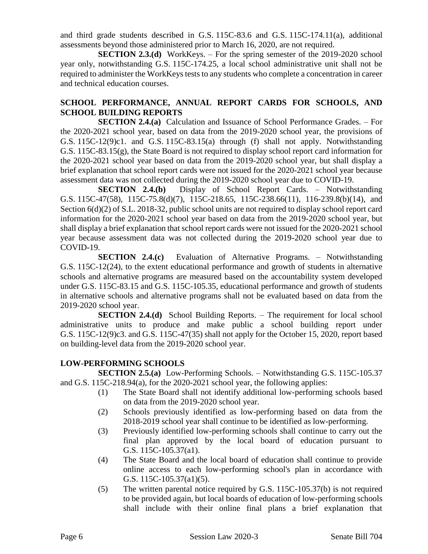and third grade students described in G.S. 115C-83.6 and G.S. 115C-174.11(a), additional assessments beyond those administered prior to March 16, 2020, are not required.

**SECTION 2.3.(d)** WorkKeys. – For the spring semester of the 2019-2020 school year only, notwithstanding G.S. 115C-174.25, a local school administrative unit shall not be required to administer the WorkKeys tests to any students who complete a concentration in career and technical education courses.

# **SCHOOL PERFORMANCE, ANNUAL REPORT CARDS FOR SCHOOLS, AND SCHOOL BUILDING REPORTS**

**SECTION 2.4.(a)** Calculation and Issuance of School Performance Grades. – For the 2020-2021 school year, based on data from the 2019-2020 school year, the provisions of G.S.  $115C-12(9)c1$ . and G.S.  $115C-83.15(a)$  through (f) shall not apply. Notwithstanding G.S. 115C-83.15(g), the State Board is not required to display school report card information for the 2020-2021 school year based on data from the 2019-2020 school year, but shall display a brief explanation that school report cards were not issued for the 2020-2021 school year because assessment data was not collected during the 2019-2020 school year due to COVID-19.

**SECTION 2.4.(b)** Display of School Report Cards. – Notwithstanding G.S. 115C-47(58), 115C-75.8(d)(7), 115C-218.65, 115C-238.66(11), 116-239.8(b)(14), and Section  $6(d)(2)$  of S.L. 2018-32, public school units are not required to display school report card information for the 2020-2021 school year based on data from the 2019-2020 school year, but shall display a brief explanation that school report cards were not issued for the 2020-2021 school year because assessment data was not collected during the 2019-2020 school year due to COVID-19.

**SECTION 2.4.(c)** Evaluation of Alternative Programs. – Notwithstanding G.S. 115C-12(24), to the extent educational performance and growth of students in alternative schools and alternative programs are measured based on the accountability system developed under G.S. 115C-83.15 and G.S. 115C-105.35, educational performance and growth of students in alternative schools and alternative programs shall not be evaluated based on data from the 2019-2020 school year.

**SECTION 2.4.(d)** School Building Reports. – The requirement for local school administrative units to produce and make public a school building report under G.S. 115C-12(9)c3. and G.S. 115C-47(35) shall not apply for the October 15, 2020, report based on building-level data from the 2019-2020 school year.

## **LOW-PERFORMING SCHOOLS**

**SECTION 2.5.(a)** Low-Performing Schools. – Notwithstanding G.S. 115C-105.37 and G.S. 115C-218.94(a), for the 2020-2021 school year, the following applies:

- (1) The State Board shall not identify additional low-performing schools based on data from the 2019-2020 school year.
- (2) Schools previously identified as low-performing based on data from the 2018-2019 school year shall continue to be identified as low-performing.
- (3) Previously identified low-performing schools shall continue to carry out the final plan approved by the local board of education pursuant to G.S. 115C-105.37(a1).
- (4) The State Board and the local board of education shall continue to provide online access to each low-performing school's plan in accordance with G.S. 115C-105.37(a1)(5).
- (5) The written parental notice required by G.S. 115C-105.37(b) is not required to be provided again, but local boards of education of low-performing schools shall include with their online final plans a brief explanation that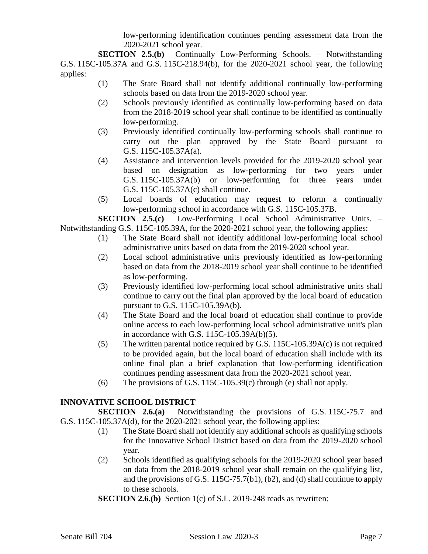low-performing identification continues pending assessment data from the 2020-2021 school year.

**SECTION 2.5.(b)** Continually Low-Performing Schools. – Notwithstanding G.S. 115C-105.37A and G.S. 115C-218.94(b), for the 2020-2021 school year, the following applies:

- (1) The State Board shall not identify additional continually low-performing schools based on data from the 2019-2020 school year.
- (2) Schools previously identified as continually low-performing based on data from the 2018-2019 school year shall continue to be identified as continually low-performing.
- (3) Previously identified continually low-performing schools shall continue to carry out the plan approved by the State Board pursuant to G.S. 115C-105.37A(a).
- (4) Assistance and intervention levels provided for the 2019-2020 school year based on designation as low-performing for two years under G.S. 115C-105.37A(b) or low-performing for three years under G.S. 115C-105.37A(c) shall continue.
- (5) Local boards of education may request to reform a continually low-performing school in accordance with G.S. 115C-105.37B.

**SECTION 2.5.(c)** Low-Performing Local School Administrative Units. – Notwithstanding G.S. 115C-105.39A, for the 2020-2021 school year, the following applies:

- (1) The State Board shall not identify additional low-performing local school administrative units based on data from the 2019-2020 school year.
- (2) Local school administrative units previously identified as low-performing based on data from the 2018-2019 school year shall continue to be identified as low-performing.
- (3) Previously identified low-performing local school administrative units shall continue to carry out the final plan approved by the local board of education pursuant to G.S. 115C-105.39A(b).
- (4) The State Board and the local board of education shall continue to provide online access to each low-performing local school administrative unit's plan in accordance with G.S. 115C-105.39A(b)(5).
- (5) The written parental notice required by G.S. 115C-105.39A(c) is not required to be provided again, but the local board of education shall include with its online final plan a brief explanation that low-performing identification continues pending assessment data from the 2020-2021 school year.
- (6) The provisions of G.S. 115C-105.39 $(c)$  through  $(e)$  shall not apply.

# **INNOVATIVE SCHOOL DISTRICT**

**SECTION 2.6.(a)** Notwithstanding the provisions of G.S. 115C-75.7 and G.S. 115C-105.37A(d), for the 2020-2021 school year, the following applies:

- (1) The State Board shall not identify any additional schools as qualifying schools for the Innovative School District based on data from the 2019-2020 school year.
- (2) Schools identified as qualifying schools for the 2019-2020 school year based on data from the 2018-2019 school year shall remain on the qualifying list, and the provisions of G.S. 115C-75.7(b1), (b2), and (d) shall continue to apply to these schools.
- **SECTION 2.6.(b)** Section 1(c) of S.L. 2019-248 reads as rewritten: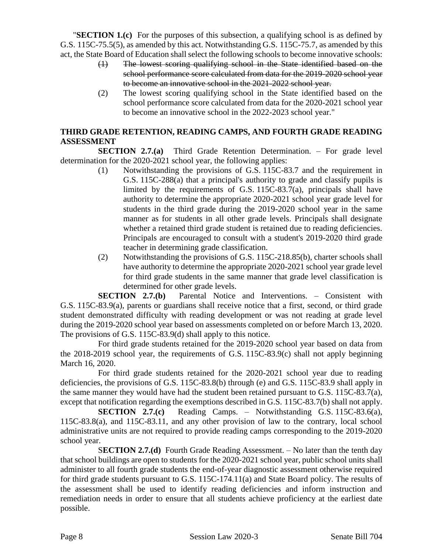"**SECTION 1.(c)** For the purposes of this subsection, a qualifying school is as defined by G.S. 115C-75.5(5), as amended by this act. Notwithstanding G.S. 115C-75.7, as amended by this act, the State Board of Education shall select the following schools to become innovative schools:

- (1) The lowest scoring qualifying school in the State identified based on the school performance score calculated from data for the 2019-2020 school year to become an innovative school in the 2021-2022 school year.
- (2) The lowest scoring qualifying school in the State identified based on the school performance score calculated from data for the 2020-2021 school year to become an innovative school in the 2022-2023 school year."

# **THIRD GRADE RETENTION, READING CAMPS, AND FOURTH GRADE READING ASSESSMENT**

**SECTION 2.7.(a)** Third Grade Retention Determination. – For grade level determination for the 2020-2021 school year, the following applies:

- (1) Notwithstanding the provisions of G.S. 115C-83.7 and the requirement in G.S. 115C-288(a) that a principal's authority to grade and classify pupils is limited by the requirements of G.S. 115C-83.7(a), principals shall have authority to determine the appropriate 2020-2021 school year grade level for students in the third grade during the 2019-2020 school year in the same manner as for students in all other grade levels. Principals shall designate whether a retained third grade student is retained due to reading deficiencies. Principals are encouraged to consult with a student's 2019-2020 third grade teacher in determining grade classification.
- (2) Notwithstanding the provisions of G.S. 115C-218.85(b), charter schools shall have authority to determine the appropriate 2020-2021 school year grade level for third grade students in the same manner that grade level classification is determined for other grade levels.

**SECTION 2.7.(b)** Parental Notice and Interventions. – Consistent with G.S. 115C-83.9(a), parents or guardians shall receive notice that a first, second, or third grade student demonstrated difficulty with reading development or was not reading at grade level during the 2019-2020 school year based on assessments completed on or before March 13, 2020. The provisions of G.S. 115C-83.9(d) shall apply to this notice.

For third grade students retained for the 2019-2020 school year based on data from the 2018-2019 school year, the requirements of G.S. 115C-83.9(c) shall not apply beginning March 16, 2020.

For third grade students retained for the 2020-2021 school year due to reading deficiencies, the provisions of G.S. 115C-83.8(b) through (e) and G.S. 115C-83.9 shall apply in the same manner they would have had the student been retained pursuant to G.S. 115C-83.7(a), except that notification regarding the exemptions described in G.S. 115C-83.7(b) shall not apply.

**SECTION 2.7.(c)** Reading Camps. – Notwithstanding G.S. 115C-83.6(a), 115C-83.8(a), and 115C-83.11, and any other provision of law to the contrary, local school administrative units are not required to provide reading camps corresponding to the 2019-2020 school year.

S**ECTION 2.7.(d)** Fourth Grade Reading Assessment. – No later than the tenth day that school buildings are open to students for the 2020-2021 school year, public school units shall administer to all fourth grade students the end-of-year diagnostic assessment otherwise required for third grade students pursuant to G.S. 115C-174.11(a) and State Board policy. The results of the assessment shall be used to identify reading deficiencies and inform instruction and remediation needs in order to ensure that all students achieve proficiency at the earliest date possible.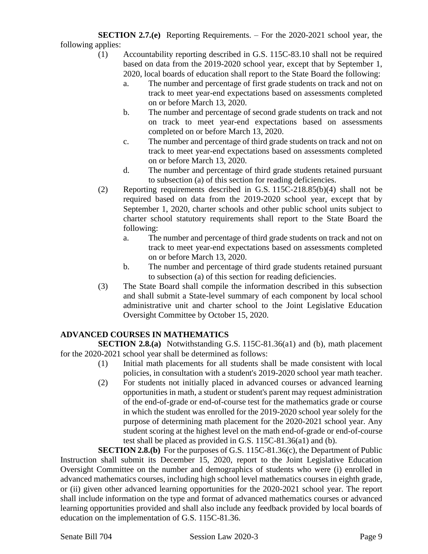**SECTION 2.7.(e)** Reporting Requirements. – For the 2020-2021 school year, the following applies:

- (1) Accountability reporting described in G.S. 115C-83.10 shall not be required based on data from the 2019-2020 school year, except that by September 1, 2020, local boards of education shall report to the State Board the following:
	- a. The number and percentage of first grade students on track and not on track to meet year-end expectations based on assessments completed on or before March 13, 2020.
	- b. The number and percentage of second grade students on track and not on track to meet year-end expectations based on assessments completed on or before March 13, 2020.
	- c. The number and percentage of third grade students on track and not on track to meet year-end expectations based on assessments completed on or before March 13, 2020.
	- d. The number and percentage of third grade students retained pursuant to subsection (a) of this section for reading deficiencies.
- (2) Reporting requirements described in G.S. 115C-218.85(b)(4) shall not be required based on data from the 2019-2020 school year, except that by September 1, 2020, charter schools and other public school units subject to charter school statutory requirements shall report to the State Board the following:
	- a. The number and percentage of third grade students on track and not on track to meet year-end expectations based on assessments completed on or before March 13, 2020.
	- b. The number and percentage of third grade students retained pursuant to subsection (a) of this section for reading deficiencies.
- (3) The State Board shall compile the information described in this subsection and shall submit a State-level summary of each component by local school administrative unit and charter school to the Joint Legislative Education Oversight Committee by October 15, 2020.

# **ADVANCED COURSES IN MATHEMATICS**

**SECTION 2.8.(a)** Notwithstanding G.S. 115C-81.36(a1) and (b), math placement for the 2020-2021 school year shall be determined as follows:

- (1) Initial math placements for all students shall be made consistent with local policies, in consultation with a student's 2019-2020 school year math teacher.
- (2) For students not initially placed in advanced courses or advanced learning opportunities in math, a student or student's parent may request administration of the end-of-grade or end-of-course test for the mathematics grade or course in which the student was enrolled for the 2019-2020 school year solely for the purpose of determining math placement for the 2020-2021 school year. Any student scoring at the highest level on the math end-of-grade or end-of-course test shall be placed as provided in G.S. 115C-81.36(a1) and (b).

**SECTION 2.8.(b)** For the purposes of G.S. 115C-81.36(c), the Department of Public Instruction shall submit its December 15, 2020, report to the Joint Legislative Education Oversight Committee on the number and demographics of students who were (i) enrolled in advanced mathematics courses, including high school level mathematics courses in eighth grade, or (ii) given other advanced learning opportunities for the 2020-2021 school year. The report shall include information on the type and format of advanced mathematics courses or advanced learning opportunities provided and shall also include any feedback provided by local boards of education on the implementation of G.S. 115C-81.36.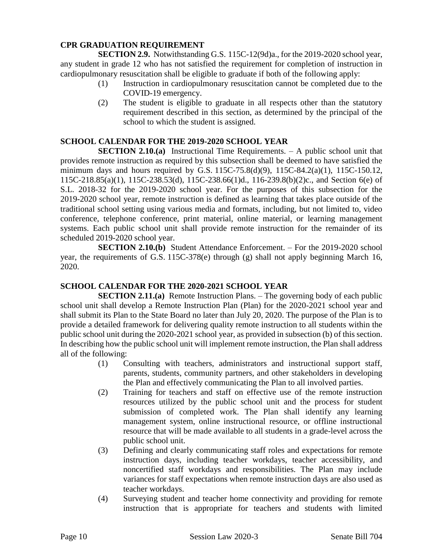## **CPR GRADUATION REQUIREMENT**

**SECTION 2.9.** Notwithstanding G.S. 115C-12(9d)a., for the 2019-2020 school year, any student in grade 12 who has not satisfied the requirement for completion of instruction in cardiopulmonary resuscitation shall be eligible to graduate if both of the following apply:

- (1) Instruction in cardiopulmonary resuscitation cannot be completed due to the COVID-19 emergency.
- (2) The student is eligible to graduate in all respects other than the statutory requirement described in this section, as determined by the principal of the school to which the student is assigned.

#### **SCHOOL CALENDAR FOR THE 2019-2020 SCHOOL YEAR**

**SECTION 2.10.(a)** Instructional Time Requirements. – A public school unit that provides remote instruction as required by this subsection shall be deemed to have satisfied the minimum days and hours required by G.S. 115C-75.8(d)(9), 115C-84.2(a)(1), 115C-150.12, 115C-218.85(a)(1), 115C-238.53(d), 115C-238.66(1)d., 116-239.8(b)(2)c., and Section 6(e) of S.L. 2018-32 for the 2019-2020 school year. For the purposes of this subsection for the 2019-2020 school year, remote instruction is defined as learning that takes place outside of the traditional school setting using various media and formats, including, but not limited to, video conference, telephone conference, print material, online material, or learning management systems. Each public school unit shall provide remote instruction for the remainder of its scheduled 2019-2020 school year.

**SECTION 2.10.(b)** Student Attendance Enforcement. – For the 2019-2020 school year, the requirements of G.S. 115C-378(e) through (g) shall not apply beginning March 16, 2020.

#### **SCHOOL CALENDAR FOR THE 2020-2021 SCHOOL YEAR**

**SECTION 2.11.(a)** Remote Instruction Plans. – The governing body of each public school unit shall develop a Remote Instruction Plan (Plan) for the 2020-2021 school year and shall submit its Plan to the State Board no later than July 20, 2020. The purpose of the Plan is to provide a detailed framework for delivering quality remote instruction to all students within the public school unit during the 2020-2021 school year, as provided in subsection (b) of this section. In describing how the public school unit will implement remote instruction, the Plan shall address all of the following:

- (1) Consulting with teachers, administrators and instructional support staff, parents, students, community partners, and other stakeholders in developing the Plan and effectively communicating the Plan to all involved parties.
- (2) Training for teachers and staff on effective use of the remote instruction resources utilized by the public school unit and the process for student submission of completed work. The Plan shall identify any learning management system, online instructional resource, or offline instructional resource that will be made available to all students in a grade-level across the public school unit.
- (3) Defining and clearly communicating staff roles and expectations for remote instruction days, including teacher workdays, teacher accessibility, and noncertified staff workdays and responsibilities. The Plan may include variances for staff expectations when remote instruction days are also used as teacher workdays.
- (4) Surveying student and teacher home connectivity and providing for remote instruction that is appropriate for teachers and students with limited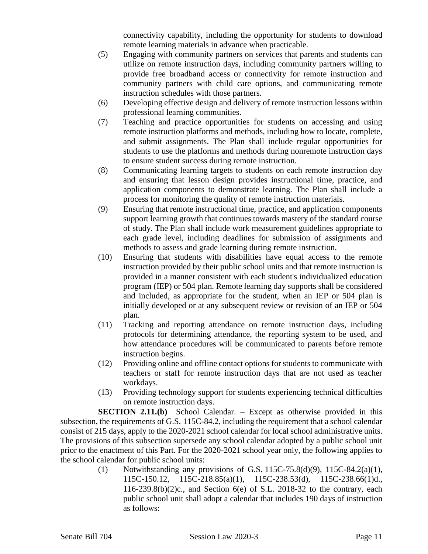connectivity capability, including the opportunity for students to download remote learning materials in advance when practicable.

- (5) Engaging with community partners on services that parents and students can utilize on remote instruction days, including community partners willing to provide free broadband access or connectivity for remote instruction and community partners with child care options, and communicating remote instruction schedules with those partners.
- (6) Developing effective design and delivery of remote instruction lessons within professional learning communities.
- (7) Teaching and practice opportunities for students on accessing and using remote instruction platforms and methods, including how to locate, complete, and submit assignments. The Plan shall include regular opportunities for students to use the platforms and methods during nonremote instruction days to ensure student success during remote instruction.
- (8) Communicating learning targets to students on each remote instruction day and ensuring that lesson design provides instructional time, practice, and application components to demonstrate learning. The Plan shall include a process for monitoring the quality of remote instruction materials.
- (9) Ensuring that remote instructional time, practice, and application components support learning growth that continues towards mastery of the standard course of study. The Plan shall include work measurement guidelines appropriate to each grade level, including deadlines for submission of assignments and methods to assess and grade learning during remote instruction.
- (10) Ensuring that students with disabilities have equal access to the remote instruction provided by their public school units and that remote instruction is provided in a manner consistent with each student's individualized education program (IEP) or 504 plan. Remote learning day supports shall be considered and included, as appropriate for the student, when an IEP or 504 plan is initially developed or at any subsequent review or revision of an IEP or 504 plan.
- (11) Tracking and reporting attendance on remote instruction days, including protocols for determining attendance, the reporting system to be used, and how attendance procedures will be communicated to parents before remote instruction begins.
- (12) Providing online and offline contact options for students to communicate with teachers or staff for remote instruction days that are not used as teacher workdays.
- (13) Providing technology support for students experiencing technical difficulties on remote instruction days.

**SECTION 2.11.(b)** School Calendar. – Except as otherwise provided in this subsection, the requirements of G.S. 115C-84.2, including the requirement that a school calendar consist of 215 days, apply to the 2020-2021 school calendar for local school administrative units. The provisions of this subsection supersede any school calendar adopted by a public school unit prior to the enactment of this Part. For the 2020-2021 school year only, the following applies to the school calendar for public school units:

(1) Notwithstanding any provisions of G.S. 115C-75.8(d)(9), 115C-84.2(a)(1), 115C-150.12, 115C-218.85(a)(1), 115C-238.53(d), 115C-238.66(1)d., 116-239.8(b)(2)c., and Section 6(e) of S.L. 2018-32 to the contrary, each public school unit shall adopt a calendar that includes 190 days of instruction as follows: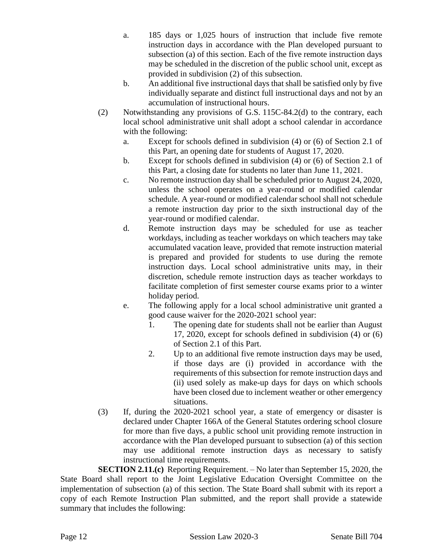- a. 185 days or 1,025 hours of instruction that include five remote instruction days in accordance with the Plan developed pursuant to subsection (a) of this section. Each of the five remote instruction days may be scheduled in the discretion of the public school unit, except as provided in subdivision (2) of this subsection.
- b. An additional five instructional days that shall be satisfied only by five individually separate and distinct full instructional days and not by an accumulation of instructional hours.
- (2) Notwithstanding any provisions of G.S. 115C-84.2(d) to the contrary, each local school administrative unit shall adopt a school calendar in accordance with the following:
	- a. Except for schools defined in subdivision (4) or (6) of Section 2.1 of this Part, an opening date for students of August 17, 2020.
	- b. Except for schools defined in subdivision (4) or (6) of Section 2.1 of this Part, a closing date for students no later than June 11, 2021.
	- c. No remote instruction day shall be scheduled prior to August 24, 2020, unless the school operates on a year-round or modified calendar schedule. A year-round or modified calendar school shall not schedule a remote instruction day prior to the sixth instructional day of the year-round or modified calendar.
	- d. Remote instruction days may be scheduled for use as teacher workdays, including as teacher workdays on which teachers may take accumulated vacation leave, provided that remote instruction material is prepared and provided for students to use during the remote instruction days. Local school administrative units may, in their discretion, schedule remote instruction days as teacher workdays to facilitate completion of first semester course exams prior to a winter holiday period.
	- e. The following apply for a local school administrative unit granted a good cause waiver for the 2020-2021 school year:
		- 1. The opening date for students shall not be earlier than August 17, 2020, except for schools defined in subdivision (4) or (6) of Section 2.1 of this Part.
		- 2. Up to an additional five remote instruction days may be used, if those days are (i) provided in accordance with the requirements of this subsection for remote instruction days and (ii) used solely as make-up days for days on which schools have been closed due to inclement weather or other emergency situations.
- (3) If, during the 2020-2021 school year, a state of emergency or disaster is declared under Chapter 166A of the General Statutes ordering school closure for more than five days, a public school unit providing remote instruction in accordance with the Plan developed pursuant to subsection (a) of this section may use additional remote instruction days as necessary to satisfy instructional time requirements.

**SECTION 2.11.(c)** Reporting Requirement. – No later than September 15, 2020, the State Board shall report to the Joint Legislative Education Oversight Committee on the implementation of subsection (a) of this section. The State Board shall submit with its report a copy of each Remote Instruction Plan submitted, and the report shall provide a statewide summary that includes the following: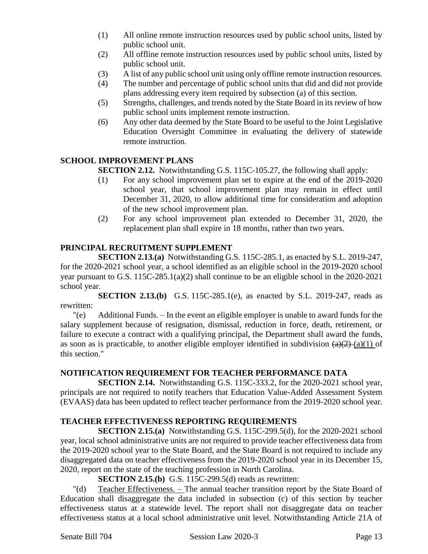- (1) All online remote instruction resources used by public school units, listed by public school unit.
- (2) All offline remote instruction resources used by public school units, listed by public school unit.
- (3) A list of any public school unit using only offline remote instruction resources.
- (4) The number and percentage of public school units that did and did not provide plans addressing every item required by subsection (a) of this section.
- (5) Strengths, challenges, and trends noted by the State Board in its review of how public school units implement remote instruction.
- (6) Any other data deemed by the State Board to be useful to the Joint Legislative Education Oversight Committee in evaluating the delivery of statewide remote instruction.

# **SCHOOL IMPROVEMENT PLANS**

**SECTION 2.12.** Notwithstanding G.S. 115C-105.27, the following shall apply:

- (1) For any school improvement plan set to expire at the end of the 2019-2020 school year, that school improvement plan may remain in effect until December 31, 2020, to allow additional time for consideration and adoption of the new school improvement plan.
- (2) For any school improvement plan extended to December 31, 2020, the replacement plan shall expire in 18 months, rather than two years.

# **PRINCIPAL RECRUITMENT SUPPLEMENT**

**SECTION 2.13.(a)** Notwithstanding G.S. 115C-285.1, as enacted by S.L. 2019-247, for the 2020-2021 school year, a school identified as an eligible school in the 2019-2020 school year pursuant to G.S. 115C-285.1(a)(2) shall continue to be an eligible school in the 2020-2021 school year.

**SECTION 2.13.(b)** G.S. 115C-285.1(e), as enacted by S.L. 2019-247, reads as rewritten:

"(e) Additional Funds. – In the event an eligible employer is unable to award funds for the salary supplement because of resignation, dismissal, reduction in force, death, retirement, or failure to execute a contract with a qualifying principal, the Department shall award the funds, as soon as is practicable, to another eligible employer identified in subdivision  $(a)(2)$  (a)(1) of this section."

## **NOTIFICATION REQUIREMENT FOR TEACHER PERFORMANCE DATA**

**SECTION 2.14.** Notwithstanding G.S. 115C-333.2, for the 2020-2021 school year, principals are not required to notify teachers that Education Value-Added Assessment System (EVAAS) data has been updated to reflect teacher performance from the 2019-2020 school year.

# **TEACHER EFFECTIVENESS REPORTING REQUIREMENTS**

**SECTION 2.15.(a)** Notwithstanding G.S. 115C-299.5(d), for the 2020-2021 school year, local school administrative units are not required to provide teacher effectiveness data from the 2019-2020 school year to the State Board, and the State Board is not required to include any disaggregated data on teacher effectiveness from the 2019-2020 school year in its December 15, 2020, report on the state of the teaching profession in North Carolina.

## **SECTION 2.15.(b)** G.S. 115C-299.5(d) reads as rewritten:

"(d) Teacher Effectiveness. – The annual teacher transition report by the State Board of Education shall disaggregate the data included in subsection (c) of this section by teacher effectiveness status at a statewide level. The report shall not disaggregate data on teacher effectiveness status at a local school administrative unit level. Notwithstanding Article 21A of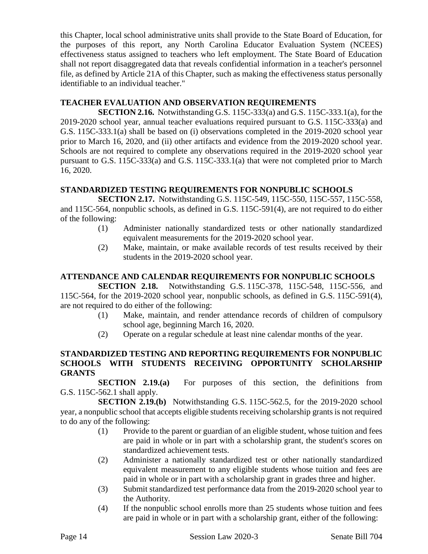this Chapter, local school administrative units shall provide to the State Board of Education, for the purposes of this report, any North Carolina Educator Evaluation System (NCEES) effectiveness status assigned to teachers who left employment. The State Board of Education shall not report disaggregated data that reveals confidential information in a teacher's personnel file, as defined by Article 21A of this Chapter, such as making the effectiveness status personally identifiable to an individual teacher."

## **TEACHER EVALUATION AND OBSERVATION REQUIREMENTS**

**SECTION 2.16.** Notwithstanding G.S. 115C-333(a) and G.S. 115C-333.1(a), for the 2019-2020 school year, annual teacher evaluations required pursuant to G.S. 115C-333(a) and G.S. 115C-333.1(a) shall be based on (i) observations completed in the 2019-2020 school year prior to March 16, 2020, and (ii) other artifacts and evidence from the 2019-2020 school year. Schools are not required to complete any observations required in the 2019-2020 school year pursuant to G.S. 115C-333(a) and G.S. 115C-333.1(a) that were not completed prior to March 16, 2020.

## **STANDARDIZED TESTING REQUIREMENTS FOR NONPUBLIC SCHOOLS**

**SECTION 2.17.** Notwithstanding G.S. 115C-549, 115C-550, 115C-557, 115C-558, and 115C-564, nonpublic schools, as defined in G.S. 115C-591(4), are not required to do either of the following:

- (1) Administer nationally standardized tests or other nationally standardized equivalent measurements for the 2019-2020 school year.
- (2) Make, maintain, or make available records of test results received by their students in the 2019-2020 school year.

# **ATTENDANCE AND CALENDAR REQUIREMENTS FOR NONPUBLIC SCHOOLS**

**SECTION 2.18.** Notwithstanding G.S. 115C-378, 115C-548, 115C-556, and 115C-564, for the 2019-2020 school year, nonpublic schools, as defined in G.S. 115C-591(4), are not required to do either of the following:

- (1) Make, maintain, and render attendance records of children of compulsory school age, beginning March 16, 2020.
- (2) Operate on a regular schedule at least nine calendar months of the year.

#### **STANDARDIZED TESTING AND REPORTING REQUIREMENTS FOR NONPUBLIC SCHOOLS WITH STUDENTS RECEIVING OPPORTUNITY SCHOLARSHIP GRANTS**

**SECTION 2.19.(a)** For purposes of this section, the definitions from G.S. 115C-562.1 shall apply.

**SECTION 2.19.(b)** Notwithstanding G.S. 115C-562.5, for the 2019-2020 school year, a nonpublic school that accepts eligible students receiving scholarship grants is not required to do any of the following:

- (1) Provide to the parent or guardian of an eligible student, whose tuition and fees are paid in whole or in part with a scholarship grant, the student's scores on standardized achievement tests.
- (2) Administer a nationally standardized test or other nationally standardized equivalent measurement to any eligible students whose tuition and fees are paid in whole or in part with a scholarship grant in grades three and higher.
- (3) Submit standardized test performance data from the 2019-2020 school year to the Authority.
- (4) If the nonpublic school enrolls more than 25 students whose tuition and fees are paid in whole or in part with a scholarship grant, either of the following: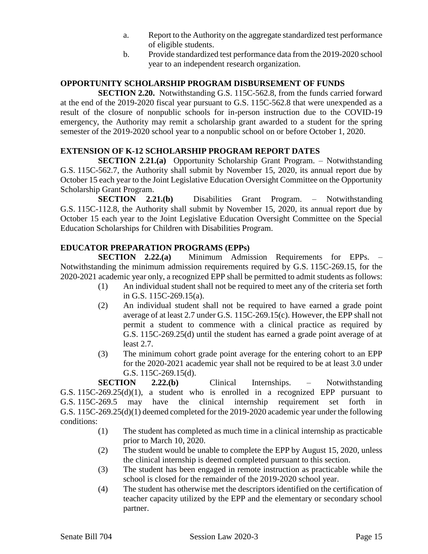- a. Report to the Authority on the aggregate standardized test performance of eligible students.
- b. Provide standardized test performance data from the 2019-2020 school year to an independent research organization.

#### **OPPORTUNITY SCHOLARSHIP PROGRAM DISBURSEMENT OF FUNDS**

**SECTION 2.20.** Notwithstanding G.S. 115C-562.8, from the funds carried forward at the end of the 2019-2020 fiscal year pursuant to G.S. 115C-562.8 that were unexpended as a result of the closure of nonpublic schools for in-person instruction due to the COVID-19 emergency, the Authority may remit a scholarship grant awarded to a student for the spring semester of the 2019-2020 school year to a nonpublic school on or before October 1, 2020.

#### **EXTENSION OF K-12 SCHOLARSHIP PROGRAM REPORT DATES**

**SECTION 2.21.(a)** Opportunity Scholarship Grant Program. – Notwithstanding G.S. 115C-562.7, the Authority shall submit by November 15, 2020, its annual report due by October 15 each year to the Joint Legislative Education Oversight Committee on the Opportunity Scholarship Grant Program.

**SECTION 2.21.(b)** Disabilities Grant Program. – Notwithstanding G.S. 115C-112.8, the Authority shall submit by November 15, 2020, its annual report due by October 15 each year to the Joint Legislative Education Oversight Committee on the Special Education Scholarships for Children with Disabilities Program.

#### **EDUCATOR PREPARATION PROGRAMS (EPPs)**

**SECTION 2.22.(a)** Minimum Admission Requirements for EPPs. – Notwithstanding the minimum admission requirements required by G.S. 115C-269.15, for the 2020-2021 academic year only, a recognized EPP shall be permitted to admit students as follows:

- (1) An individual student shall not be required to meet any of the criteria set forth in G.S. 115C-269.15(a).
- (2) An individual student shall not be required to have earned a grade point average of at least 2.7 under G.S. 115C-269.15(c). However, the EPP shall not permit a student to commence with a clinical practice as required by G.S. 115C-269.25(d) until the student has earned a grade point average of at least 2.7.
- (3) The minimum cohort grade point average for the entering cohort to an EPP for the 2020-2021 academic year shall not be required to be at least 3.0 under G.S. 115C-269.15(d).

**SECTION 2.22.(b)** Clinical Internships. – Notwithstanding G.S. 115C-269.25(d)(1), a student who is enrolled in a recognized EPP pursuant to G.S. 115C-269.5 may have the clinical internship requirement set forth in G.S. 115C-269.25(d)(1) deemed completed for the 2019-2020 academic year under the following conditions:

- (1) The student has completed as much time in a clinical internship as practicable prior to March 10, 2020.
- (2) The student would be unable to complete the EPP by August 15, 2020, unless the clinical internship is deemed completed pursuant to this section.
- (3) The student has been engaged in remote instruction as practicable while the school is closed for the remainder of the 2019-2020 school year.
- (4) The student has otherwise met the descriptors identified on the certification of teacher capacity utilized by the EPP and the elementary or secondary school partner.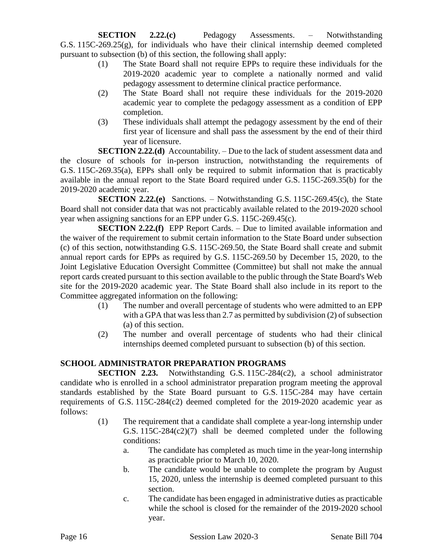**SECTION 2.22.(c)** Pedagogy Assessments. – Notwithstanding G.S. 115C-269.25(g), for individuals who have their clinical internship deemed completed pursuant to subsection (b) of this section, the following shall apply:

- (1) The State Board shall not require EPPs to require these individuals for the 2019-2020 academic year to complete a nationally normed and valid pedagogy assessment to determine clinical practice performance.
- (2) The State Board shall not require these individuals for the 2019-2020 academic year to complete the pedagogy assessment as a condition of EPP completion.
- (3) These individuals shall attempt the pedagogy assessment by the end of their first year of licensure and shall pass the assessment by the end of their third year of licensure.

**SECTION 2.22.(d)** Accountability. – Due to the lack of student assessment data and the closure of schools for in-person instruction, notwithstanding the requirements of G.S. 115C-269.35(a), EPPs shall only be required to submit information that is practicably available in the annual report to the State Board required under G.S. 115C-269.35(b) for the 2019-2020 academic year.

**SECTION 2.22.(e)** Sanctions. – Notwithstanding G.S. 115C-269.45(c), the State Board shall not consider data that was not practicably available related to the 2019-2020 school year when assigning sanctions for an EPP under G.S. 115C-269.45(c).

**SECTION 2.22.(f)** EPP Report Cards. – Due to limited available information and the waiver of the requirement to submit certain information to the State Board under subsection (c) of this section, notwithstanding G.S. 115C-269.50, the State Board shall create and submit annual report cards for EPPs as required by G.S. 115C-269.50 by December 15, 2020, to the Joint Legislative Education Oversight Committee (Committee) but shall not make the annual report cards created pursuant to this section available to the public through the State Board's Web site for the 2019-2020 academic year. The State Board shall also include in its report to the Committee aggregated information on the following:

- (1) The number and overall percentage of students who were admitted to an EPP with a GPA that was less than 2.7 as permitted by subdivision (2) of subsection (a) of this section.
- (2) The number and overall percentage of students who had their clinical internships deemed completed pursuant to subsection (b) of this section.

# **SCHOOL ADMINISTRATOR PREPARATION PROGRAMS**

**SECTION 2.23.** Notwithstanding G.S. 115C-284(c2), a school administrator candidate who is enrolled in a school administrator preparation program meeting the approval standards established by the State Board pursuant to G.S. 115C-284 may have certain requirements of G.S. 115C-284(c2) deemed completed for the 2019-2020 academic year as follows:

- (1) The requirement that a candidate shall complete a year-long internship under G.S. 115C-284(c2)(7) shall be deemed completed under the following conditions:
	- a. The candidate has completed as much time in the year-long internship as practicable prior to March 10, 2020.
	- b. The candidate would be unable to complete the program by August 15, 2020, unless the internship is deemed completed pursuant to this section.
	- c. The candidate has been engaged in administrative duties as practicable while the school is closed for the remainder of the 2019-2020 school year.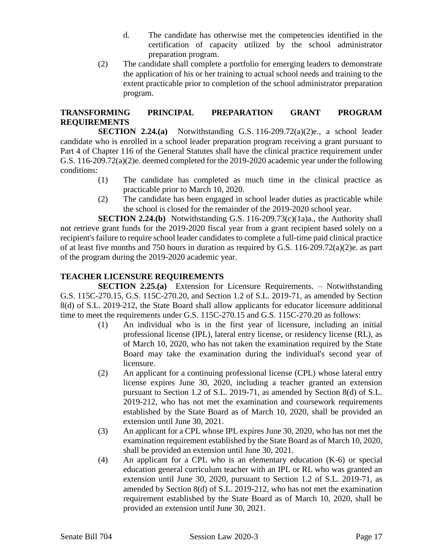- d. The candidate has otherwise met the competencies identified in the certification of capacity utilized by the school administrator preparation program.
- (2) The candidate shall complete a portfolio for emerging leaders to demonstrate the application of his or her training to actual school needs and training to the extent practicable prior to completion of the school administrator preparation program.

## **TRANSFORMING PRINCIPAL PREPARATION GRANT PROGRAM REQUIREMENTS**

**SECTION 2.24.(a)** Notwithstanding G.S. 116-209.72(a)(2)e., a school leader candidate who is enrolled in a school leader preparation program receiving a grant pursuant to Part 4 of Chapter 116 of the General Statutes shall have the clinical practice requirement under G.S. 116-209.72(a)(2)e. deemed completed for the 2019-2020 academic year under the following conditions:

- (1) The candidate has completed as much time in the clinical practice as practicable prior to March 10, 2020.
- (2) The candidate has been engaged in school leader duties as practicable while the school is closed for the remainder of the 2019-2020 school year.

**SECTION 2.24.(b)** Notwithstanding G.S. 116-209.73(c)(1a)a., the Authority shall not retrieve grant funds for the 2019-2020 fiscal year from a grant recipient based solely on a recipient's failure to require school leader candidates to complete a full-time paid clinical practice of at least five months and 750 hours in duration as required by G.S. 116-209.72(a)(2)e. as part of the program during the 2019-2020 academic year.

# **TEACHER LICENSURE REQUIREMENTS**

**SECTION 2.25.(a)** Extension for Licensure Requirements. – Notwithstanding G.S. 115C-270.15, G.S. 115C-270.20, and Section 1.2 of S.L. 2019-71, as amended by Section 8(d) of S.L. 2019-212, the State Board shall allow applicants for educator licensure additional time to meet the requirements under G.S. 115C-270.15 and G.S. 115C-270.20 as follows:

- (1) An individual who is in the first year of licensure, including an initial professional license (IPL), lateral entry license, or residency license (RL), as of March 10, 2020, who has not taken the examination required by the State Board may take the examination during the individual's second year of licensure.
- (2) An applicant for a continuing professional license (CPL) whose lateral entry license expires June 30, 2020, including a teacher granted an extension pursuant to Section 1.2 of S.L. 2019-71, as amended by Section 8(d) of S.L. 2019-212, who has not met the examination and coursework requirements established by the State Board as of March 10, 2020, shall be provided an extension until June 30, 2021.
- (3) An applicant for a CPL whose IPL expires June 30, 2020, who has not met the examination requirement established by the State Board as of March 10, 2020, shall be provided an extension until June 30, 2021.
- (4) An applicant for a CPL who is an elementary education (K-6) or special education general curriculum teacher with an IPL or RL who was granted an extension until June 30, 2020, pursuant to Section 1.2 of S.L. 2019-71, as amended by Section 8(d) of S.L. 2019-212, who has not met the examination requirement established by the State Board as of March 10, 2020, shall be provided an extension until June 30, 2021.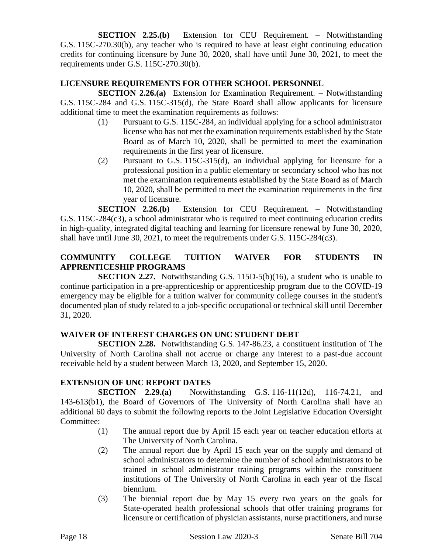**SECTION 2.25.(b)** Extension for CEU Requirement. – Notwithstanding G.S. 115C-270.30(b), any teacher who is required to have at least eight continuing education credits for continuing licensure by June 30, 2020, shall have until June 30, 2021, to meet the requirements under G.S. 115C-270.30(b).

#### **LICENSURE REQUIREMENTS FOR OTHER SCHOOL PERSONNEL**

**SECTION 2.26.(a)** Extension for Examination Requirement. – Notwithstanding G.S. 115C-284 and G.S. 115C-315(d), the State Board shall allow applicants for licensure additional time to meet the examination requirements as follows:

- (1) Pursuant to G.S. 115C-284, an individual applying for a school administrator license who has not met the examination requirements established by the State Board as of March 10, 2020, shall be permitted to meet the examination requirements in the first year of licensure.
- (2) Pursuant to G.S. 115C-315(d), an individual applying for licensure for a professional position in a public elementary or secondary school who has not met the examination requirements established by the State Board as of March 10, 2020, shall be permitted to meet the examination requirements in the first year of licensure.

**SECTION 2.26.(b)** Extension for CEU Requirement. – Notwithstanding G.S. 115C-284(c3), a school administrator who is required to meet continuing education credits in high-quality, integrated digital teaching and learning for licensure renewal by June 30, 2020, shall have until June 30, 2021, to meet the requirements under G.S. 115C-284(c3).

# **COMMUNITY COLLEGE TUITION WAIVER FOR STUDENTS IN APPRENTICESHIP PROGRAMS**

**SECTION 2.27.** Notwithstanding G.S. 115D-5(b)(16), a student who is unable to continue participation in a pre-apprenticeship or apprenticeship program due to the COVID-19 emergency may be eligible for a tuition waiver for community college courses in the student's documented plan of study related to a job-specific occupational or technical skill until December 31, 2020.

## **WAIVER OF INTEREST CHARGES ON UNC STUDENT DEBT**

**SECTION 2.28.** Notwithstanding G.S. 147-86.23, a constituent institution of The University of North Carolina shall not accrue or charge any interest to a past-due account receivable held by a student between March 13, 2020, and September 15, 2020.

#### **EXTENSION OF UNC REPORT DATES**

**SECTION 2.29.(a)** Notwithstanding G.S. 116-11(12d), 116-74.21, and 143-613(b1), the Board of Governors of The University of North Carolina shall have an additional 60 days to submit the following reports to the Joint Legislative Education Oversight Committee:

- (1) The annual report due by April 15 each year on teacher education efforts at The University of North Carolina.
- (2) The annual report due by April 15 each year on the supply and demand of school administrators to determine the number of school administrators to be trained in school administrator training programs within the constituent institutions of The University of North Carolina in each year of the fiscal biennium.
- (3) The biennial report due by May 15 every two years on the goals for State-operated health professional schools that offer training programs for licensure or certification of physician assistants, nurse practitioners, and nurse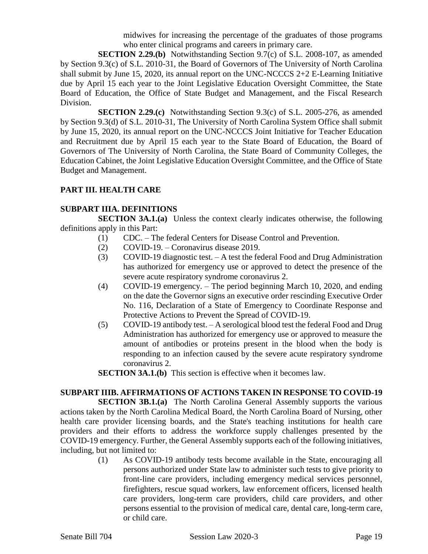midwives for increasing the percentage of the graduates of those programs who enter clinical programs and careers in primary care.

**SECTION 2.29.(b)** Notwithstanding Section 9.7(c) of S.L. 2008-107, as amended by Section 9.3(c) of S.L. 2010-31, the Board of Governors of The University of North Carolina shall submit by June 15, 2020, its annual report on the UNC-NCCCS 2+2 E-Learning Initiative due by April 15 each year to the Joint Legislative Education Oversight Committee, the State Board of Education, the Office of State Budget and Management, and the Fiscal Research Division.

**SECTION 2.29.(c)** Notwithstanding Section 9.3(c) of S.L. 2005-276, as amended by Section 9.3(d) of S.L. 2010-31, The University of North Carolina System Office shall submit by June 15, 2020, its annual report on the UNC-NCCCS Joint Initiative for Teacher Education and Recruitment due by April 15 each year to the State Board of Education, the Board of Governors of The University of North Carolina, the State Board of Community Colleges, the Education Cabinet, the Joint Legislative Education Oversight Committee, and the Office of State Budget and Management.

#### **PART III. HEALTH CARE**

#### **SUBPART IIIA. DEFINITIONS**

**SECTION 3A.1.(a)** Unless the context clearly indicates otherwise, the following definitions apply in this Part:

- (1) CDC. The federal Centers for Disease Control and Prevention.
- (2) COVID-19. Coronavirus disease 2019.
- (3) COVID-19 diagnostic test. A test the federal Food and Drug Administration has authorized for emergency use or approved to detect the presence of the severe acute respiratory syndrome coronavirus 2.
- (4) COVID-19 emergency. The period beginning March 10, 2020, and ending on the date the Governor signs an executive order rescinding Executive Order No. 116, Declaration of a State of Emergency to Coordinate Response and Protective Actions to Prevent the Spread of COVID-19.
- (5) COVID-19 antibody test. A serological blood test the federal Food and Drug Administration has authorized for emergency use or approved to measure the amount of antibodies or proteins present in the blood when the body is responding to an infection caused by the severe acute respiratory syndrome coronavirus 2.

**SECTION 3A.1.(b)** This section is effective when it becomes law.

## **SUBPART IIIB. AFFIRMATIONS OF ACTIONS TAKEN IN RESPONSE TO COVID-19**

**SECTION 3B.1.(a)** The North Carolina General Assembly supports the various actions taken by the North Carolina Medical Board, the North Carolina Board of Nursing, other health care provider licensing boards, and the State's teaching institutions for health care providers and their efforts to address the workforce supply challenges presented by the COVID-19 emergency. Further, the General Assembly supports each of the following initiatives, including, but not limited to:

(1) As COVID-19 antibody tests become available in the State, encouraging all persons authorized under State law to administer such tests to give priority to front-line care providers, including emergency medical services personnel, firefighters, rescue squad workers, law enforcement officers, licensed health care providers, long-term care providers, child care providers, and other persons essential to the provision of medical care, dental care, long-term care, or child care.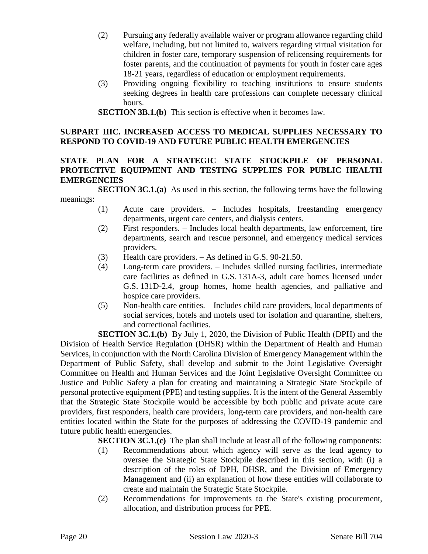- (2) Pursuing any federally available waiver or program allowance regarding child welfare, including, but not limited to, waivers regarding virtual visitation for children in foster care, temporary suspension of relicensing requirements for foster parents, and the continuation of payments for youth in foster care ages 18-21 years, regardless of education or employment requirements.
- (3) Providing ongoing flexibility to teaching institutions to ensure students seeking degrees in health care professions can complete necessary clinical hours.
- **SECTION 3B.1.(b)** This section is effective when it becomes law.

#### **SUBPART IIIC. INCREASED ACCESS TO MEDICAL SUPPLIES NECESSARY TO RESPOND TO COVID-19 AND FUTURE PUBLIC HEALTH EMERGENCIES**

## **STATE PLAN FOR A STRATEGIC STATE STOCKPILE OF PERSONAL PROTECTIVE EQUIPMENT AND TESTING SUPPLIES FOR PUBLIC HEALTH EMERGENCIES**

**SECTION 3C.1.(a)** As used in this section, the following terms have the following meanings:

- (1) Acute care providers. Includes hospitals, freestanding emergency departments, urgent care centers, and dialysis centers.
- (2) First responders. Includes local health departments, law enforcement, fire departments, search and rescue personnel, and emergency medical services providers.
- (3) Health care providers. As defined in G.S. 90-21.50.
- (4) Long-term care providers. Includes skilled nursing facilities, intermediate care facilities as defined in G.S. 131A-3, adult care homes licensed under G.S. 131D-2.4, group homes, home health agencies, and palliative and hospice care providers.
- (5) Non-health care entities. Includes child care providers, local departments of social services, hotels and motels used for isolation and quarantine, shelters, and correctional facilities.

**SECTION 3C.1.(b)** By July 1, 2020, the Division of Public Health (DPH) and the Division of Health Service Regulation (DHSR) within the Department of Health and Human Services, in conjunction with the North Carolina Division of Emergency Management within the Department of Public Safety, shall develop and submit to the Joint Legislative Oversight Committee on Health and Human Services and the Joint Legislative Oversight Committee on Justice and Public Safety a plan for creating and maintaining a Strategic State Stockpile of personal protective equipment (PPE) and testing supplies. It is the intent of the General Assembly that the Strategic State Stockpile would be accessible by both public and private acute care providers, first responders, health care providers, long-term care providers, and non-health care entities located within the State for the purposes of addressing the COVID-19 pandemic and future public health emergencies.

**SECTION 3C.1.(c)** The plan shall include at least all of the following components:

- (1) Recommendations about which agency will serve as the lead agency to oversee the Strategic State Stockpile described in this section, with (i) a description of the roles of DPH, DHSR, and the Division of Emergency Management and (ii) an explanation of how these entities will collaborate to create and maintain the Strategic State Stockpile.
- (2) Recommendations for improvements to the State's existing procurement, allocation, and distribution process for PPE.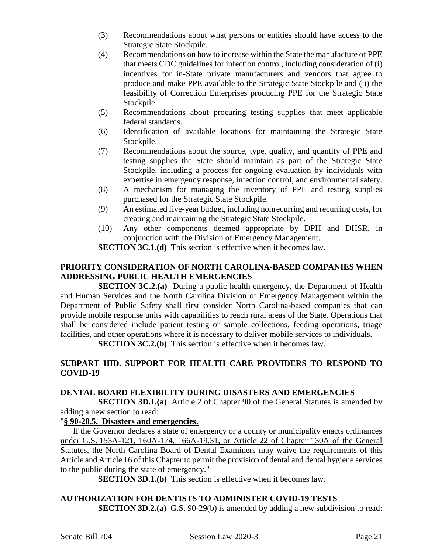- (3) Recommendations about what persons or entities should have access to the Strategic State Stockpile.
- (4) Recommendations on how to increase within the State the manufacture of PPE that meets CDC guidelines for infection control, including consideration of (i) incentives for in-State private manufacturers and vendors that agree to produce and make PPE available to the Strategic State Stockpile and (ii) the feasibility of Correction Enterprises producing PPE for the Strategic State Stockpile.
- (5) Recommendations about procuring testing supplies that meet applicable federal standards.
- (6) Identification of available locations for maintaining the Strategic State Stockpile.
- (7) Recommendations about the source, type, quality, and quantity of PPE and testing supplies the State should maintain as part of the Strategic State Stockpile, including a process for ongoing evaluation by individuals with expertise in emergency response, infection control, and environmental safety.
- (8) A mechanism for managing the inventory of PPE and testing supplies purchased for the Strategic State Stockpile.
- (9) An estimated five-year budget, including nonrecurring and recurring costs, for creating and maintaining the Strategic State Stockpile.
- (10) Any other components deemed appropriate by DPH and DHSR, in conjunction with the Division of Emergency Management.

**SECTION 3C.1.(d)** This section is effective when it becomes law.

## **PRIORITY CONSIDERATION OF NORTH CAROLINA-BASED COMPANIES WHEN ADDRESSING PUBLIC HEALTH EMERGENCIES**

**SECTION 3C.2.(a)** During a public health emergency, the Department of Health and Human Services and the North Carolina Division of Emergency Management within the Department of Public Safety shall first consider North Carolina-based companies that can provide mobile response units with capabilities to reach rural areas of the State. Operations that shall be considered include patient testing or sample collections, feeding operations, triage facilities, and other operations where it is necessary to deliver mobile services to individuals.

**SECTION 3C.2.(b)** This section is effective when it becomes law.

# **SUBPART IIID. SUPPORT FOR HEALTH CARE PROVIDERS TO RESPOND TO COVID-19**

## **DENTAL BOARD FLEXIBILITY DURING DISASTERS AND EMERGENCIES**

**SECTION 3D.1.(a)** Article 2 of Chapter 90 of the General Statutes is amended by adding a new section to read:

## "**§ 90-28.5. Disasters and emergencies.**

If the Governor declares a state of emergency or a county or municipality enacts ordinances under G.S. 153A-121, 160A-174, 166A-19.31, or Article 22 of Chapter 130A of the General Statutes, the North Carolina Board of Dental Examiners may waive the requirements of this Article and Article 16 of this Chapter to permit the provision of dental and dental hygiene services to the public during the state of emergency."

**SECTION 3D.1.(b)** This section is effective when it becomes law.

# **AUTHORIZATION FOR DENTISTS TO ADMINISTER COVID-19 TESTS**

**SECTION 3D.2.(a)** G.S. 90-29(b) is amended by adding a new subdivision to read: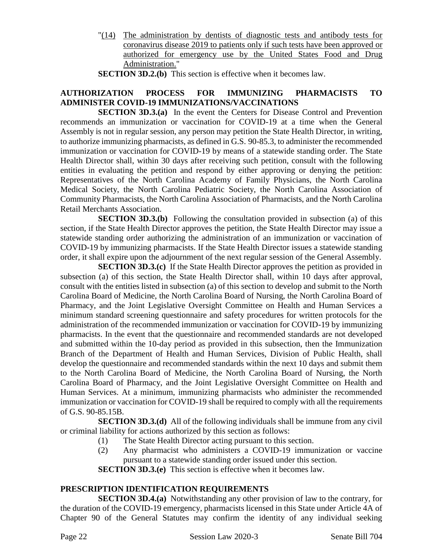- "(14) The administration by dentists of diagnostic tests and antibody tests for coronavirus disease 2019 to patients only if such tests have been approved or authorized for emergency use by the United States Food and Drug Administration."
- **SECTION 3D.2.(b)** This section is effective when it becomes law.

# **AUTHORIZATION PROCESS FOR IMMUNIZING PHARMACISTS TO ADMINISTER COVID-19 IMMUNIZATIONS/VACCINATIONS**

**SECTION 3D.3.(a)** In the event the Centers for Disease Control and Prevention recommends an immunization or vaccination for COVID-19 at a time when the General Assembly is not in regular session, any person may petition the State Health Director, in writing, to authorize immunizing pharmacists, as defined in G.S. 90-85.3, to administer the recommended immunization or vaccination for COVID-19 by means of a statewide standing order. The State Health Director shall, within 30 days after receiving such petition, consult with the following entities in evaluating the petition and respond by either approving or denying the petition: Representatives of the North Carolina Academy of Family Physicians, the North Carolina Medical Society, the North Carolina Pediatric Society, the North Carolina Association of Community Pharmacists, the North Carolina Association of Pharmacists, and the North Carolina Retail Merchants Association.

**SECTION 3D.3.(b)** Following the consultation provided in subsection (a) of this section, if the State Health Director approves the petition, the State Health Director may issue a statewide standing order authorizing the administration of an immunization or vaccination of COVID-19 by immunizing pharmacists. If the State Health Director issues a statewide standing order, it shall expire upon the adjournment of the next regular session of the General Assembly.

**SECTION 3D.3.(c)** If the State Health Director approves the petition as provided in subsection (a) of this section, the State Health Director shall, within 10 days after approval, consult with the entities listed in subsection (a) of this section to develop and submit to the North Carolina Board of Medicine, the North Carolina Board of Nursing, the North Carolina Board of Pharmacy, and the Joint Legislative Oversight Committee on Health and Human Services a minimum standard screening questionnaire and safety procedures for written protocols for the administration of the recommended immunization or vaccination for COVID-19 by immunizing pharmacists. In the event that the questionnaire and recommended standards are not developed and submitted within the 10-day period as provided in this subsection, then the Immunization Branch of the Department of Health and Human Services, Division of Public Health, shall develop the questionnaire and recommended standards within the next 10 days and submit them to the North Carolina Board of Medicine, the North Carolina Board of Nursing, the North Carolina Board of Pharmacy, and the Joint Legislative Oversight Committee on Health and Human Services. At a minimum, immunizing pharmacists who administer the recommended immunization or vaccination for COVID-19 shall be required to comply with all the requirements of G.S. 90-85.15B.

**SECTION 3D.3.(d)** All of the following individuals shall be immune from any civil or criminal liability for actions authorized by this section as follows:

- (1) The State Health Director acting pursuant to this section.
- (2) Any pharmacist who administers a COVID-19 immunization or vaccine pursuant to a statewide standing order issued under this section.

**SECTION 3D.3.(e)** This section is effective when it becomes law.

## **PRESCRIPTION IDENTIFICATION REQUIREMENTS**

**SECTION 3D.4.(a)** Notwithstanding any other provision of law to the contrary, for the duration of the COVID-19 emergency, pharmacists licensed in this State under Article 4A of Chapter 90 of the General Statutes may confirm the identity of any individual seeking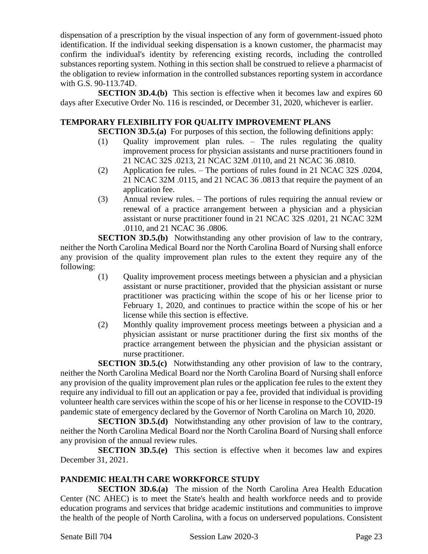dispensation of a prescription by the visual inspection of any form of government-issued photo identification. If the individual seeking dispensation is a known customer, the pharmacist may confirm the individual's identity by referencing existing records, including the controlled substances reporting system. Nothing in this section shall be construed to relieve a pharmacist of the obligation to review information in the controlled substances reporting system in accordance with G.S. 90-113.74D.

**SECTION 3D.4.(b)** This section is effective when it becomes law and expires 60 days after Executive Order No. 116 is rescinded, or December 31, 2020, whichever is earlier.

#### **TEMPORARY FLEXIBILITY FOR QUALITY IMPROVEMENT PLANS**

**SECTION 3D.5.(a)** For purposes of this section, the following definitions apply:

- (1) Quality improvement plan rules. The rules regulating the quality improvement process for physician assistants and nurse practitioners found in 21 NCAC 32S .0213, 21 NCAC 32M .0110, and 21 NCAC 36 .0810.
- (2) Application fee rules. The portions of rules found in 21 NCAC 32S .0204, 21 NCAC 32M .0115, and 21 NCAC 36 .0813 that require the payment of an application fee.
- (3) Annual review rules. The portions of rules requiring the annual review or renewal of a practice arrangement between a physician and a physician assistant or nurse practitioner found in 21 NCAC 32S .0201, 21 NCAC 32M .0110, and 21 NCAC 36 .0806.

**SECTION 3D.5.(b)** Notwithstanding any other provision of law to the contrary, neither the North Carolina Medical Board nor the North Carolina Board of Nursing shall enforce any provision of the quality improvement plan rules to the extent they require any of the following:

- (1) Quality improvement process meetings between a physician and a physician assistant or nurse practitioner, provided that the physician assistant or nurse practitioner was practicing within the scope of his or her license prior to February 1, 2020, and continues to practice within the scope of his or her license while this section is effective.
- (2) Monthly quality improvement process meetings between a physician and a physician assistant or nurse practitioner during the first six months of the practice arrangement between the physician and the physician assistant or nurse practitioner.

**SECTION 3D.5.(c)** Notwithstanding any other provision of law to the contrary, neither the North Carolina Medical Board nor the North Carolina Board of Nursing shall enforce any provision of the quality improvement plan rules or the application fee rules to the extent they require any individual to fill out an application or pay a fee, provided that individual is providing volunteer health care services within the scope of his or her license in response to the COVID-19 pandemic state of emergency declared by the Governor of North Carolina on March 10, 2020.

**SECTION 3D.5.(d)** Notwithstanding any other provision of law to the contrary, neither the North Carolina Medical Board nor the North Carolina Board of Nursing shall enforce any provision of the annual review rules.

**SECTION 3D.5.(e)** This section is effective when it becomes law and expires December 31, 2021.

## **PANDEMIC HEALTH CARE WORKFORCE STUDY**

**SECTION 3D.6.(a)** The mission of the North Carolina Area Health Education Center (NC AHEC) is to meet the State's health and health workforce needs and to provide education programs and services that bridge academic institutions and communities to improve the health of the people of North Carolina, with a focus on underserved populations. Consistent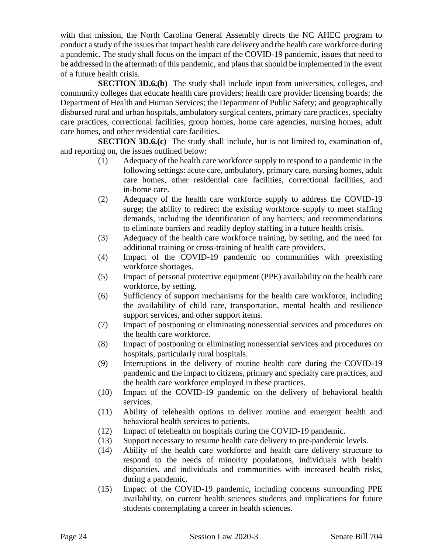with that mission, the North Carolina General Assembly directs the NC AHEC program to conduct a study of the issues that impact health care delivery and the health care workforce during a pandemic. The study shall focus on the impact of the COVID-19 pandemic, issues that need to be addressed in the aftermath of this pandemic, and plans that should be implemented in the event of a future health crisis.

**SECTION 3D.6.(b)** The study shall include input from universities, colleges, and community colleges that educate health care providers; health care provider licensing boards; the Department of Health and Human Services; the Department of Public Safety; and geographically disbursed rural and urban hospitals, ambulatory surgical centers, primary care practices, specialty care practices, correctional facilities, group homes, home care agencies, nursing homes, adult care homes, and other residential care facilities.

**SECTION 3D.6.(c)** The study shall include, but is not limited to, examination of, and reporting on, the issues outlined below:

- (1) Adequacy of the health care workforce supply to respond to a pandemic in the following settings: acute care, ambulatory, primary care, nursing homes, adult care homes, other residential care facilities, correctional facilities, and in-home care.
- (2) Adequacy of the health care workforce supply to address the COVID-19 surge; the ability to redirect the existing workforce supply to meet staffing demands, including the identification of any barriers; and recommendations to eliminate barriers and readily deploy staffing in a future health crisis.
- (3) Adequacy of the health care workforce training, by setting, and the need for additional training or cross-training of health care providers.
- (4) Impact of the COVID-19 pandemic on communities with preexisting workforce shortages.
- (5) Impact of personal protective equipment (PPE) availability on the health care workforce, by setting.
- (6) Sufficiency of support mechanisms for the health care workforce, including the availability of child care, transportation, mental health and resilience support services, and other support items.
- (7) Impact of postponing or eliminating nonessential services and procedures on the health care workforce.
- (8) Impact of postponing or eliminating nonessential services and procedures on hospitals, particularly rural hospitals.
- (9) Interruptions in the delivery of routine health care during the COVID-19 pandemic and the impact to citizens, primary and specialty care practices, and the health care workforce employed in these practices.
- (10) Impact of the COVID-19 pandemic on the delivery of behavioral health services.
- (11) Ability of telehealth options to deliver routine and emergent health and behavioral health services to patients.
- (12) Impact of telehealth on hospitals during the COVID-19 pandemic.
- (13) Support necessary to resume health care delivery to pre-pandemic levels.
- (14) Ability of the health care workforce and health care delivery structure to respond to the needs of minority populations, individuals with health disparities, and individuals and communities with increased health risks, during a pandemic.
- (15) Impact of the COVID-19 pandemic, including concerns surrounding PPE availability, on current health sciences students and implications for future students contemplating a career in health sciences.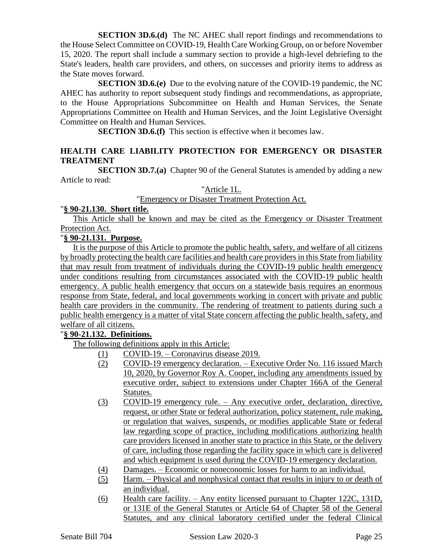**SECTION 3D.6.(d)** The NC AHEC shall report findings and recommendations to the House Select Committee on COVID-19, Health Care Working Group, on or before November 15, 2020. The report shall include a summary section to provide a high-level debriefing to the State's leaders, health care providers, and others, on successes and priority items to address as the State moves forward.

**SECTION 3D.6.(e)** Due to the evolving nature of the COVID-19 pandemic, the NC AHEC has authority to report subsequent study findings and recommendations, as appropriate, to the House Appropriations Subcommittee on Health and Human Services, the Senate Appropriations Committee on Health and Human Services, and the Joint Legislative Oversight Committee on Health and Human Services.

**SECTION 3D.6.(f)** This section is effective when it becomes law.

## **HEALTH CARE LIABILITY PROTECTION FOR EMERGENCY OR DISASTER TREATMENT**

**SECTION 3D.7.(a)** Chapter 90 of the General Statutes is amended by adding a new Article to read:

"Article 1L.

"Emergency or Disaster Treatment Protection Act.

#### "**§ 90-21.130. Short title.**

This Article shall be known and may be cited as the Emergency or Disaster Treatment Protection Act.

# "**§ 90-21.131. Purpose.**

It is the purpose of this Article to promote the public health, safety, and welfare of all citizens by broadly protecting the health care facilities and health care providers in this State from liability that may result from treatment of individuals during the COVID-19 public health emergency under conditions resulting from circumstances associated with the COVID-19 public health emergency. A public health emergency that occurs on a statewide basis requires an enormous response from State, federal, and local governments working in concert with private and public health care providers in the community. The rendering of treatment to patients during such a public health emergency is a matter of vital State concern affecting the public health, safety, and welfare of all citizens.

## "**§ 90-21.132. Definitions.**

The following definitions apply in this Article:

- (1) COVID-19. Coronavirus disease 2019.
- (2) COVID-19 emergency declaration. Executive Order No. 116 issued March 10, 2020, by Governor Roy A. Cooper, including any amendments issued by executive order, subject to extensions under Chapter 166A of the General Statutes.
- (3) COVID-19 emergency rule. Any executive order, declaration, directive, request, or other State or federal authorization, policy statement, rule making, or regulation that waives, suspends, or modifies applicable State or federal law regarding scope of practice, including modifications authorizing health care providers licensed in another state to practice in this State, or the delivery of care, including those regarding the facility space in which care is delivered and which equipment is used during the COVID-19 emergency declaration.
- (4) Damages. Economic or noneconomic losses for harm to an individual.
- (5) Harm. Physical and nonphysical contact that results in injury to or death of an individual.
- (6) Health care facility. Any entity licensed pursuant to Chapter 122C, 131D, or 131E of the General Statutes or Article 64 of Chapter 58 of the General Statutes, and any clinical laboratory certified under the federal Clinical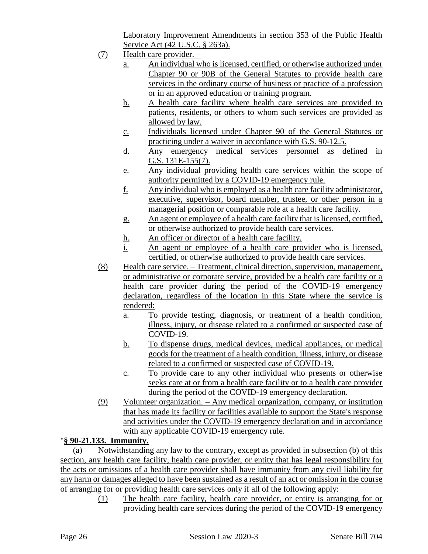Laboratory Improvement Amendments in section 353 of the Public Health Service Act (42 U.S.C. § 263a).

- $(7)$  Health care provider.
	- a. An individual who is licensed, certified, or otherwise authorized under Chapter 90 or 90B of the General Statutes to provide health care services in the ordinary course of business or practice of a profession or in an approved education or training program.
	- b. A health care facility where health care services are provided to patients, residents, or others to whom such services are provided as allowed by law.
	- c. Individuals licensed under Chapter 90 of the General Statutes or practicing under a waiver in accordance with G.S. 90-12.5.
	- d. Any emergency medical services personnel as defined in G.S. 131E-155(7).
	- e. Any individual providing health care services within the scope of authority permitted by a COVID-19 emergency rule.
	- f. Any individual who is employed as a health care facility administrator, executive, supervisor, board member, trustee, or other person in a managerial position or comparable role at a health care facility.
	- g. An agent or employee of a health care facility that is licensed, certified, or otherwise authorized to provide health care services.
	- h. An officer or director of a health care facility.
	- i. An agent or employee of a health care provider who is licensed, certified, or otherwise authorized to provide health care services.
- (8) Health care service. Treatment, clinical direction, supervision, management, or administrative or corporate service, provided by a health care facility or a health care provider during the period of the COVID-19 emergency declaration, regardless of the location in this State where the service is rendered:
	- a. To provide testing, diagnosis, or treatment of a health condition, illness, injury, or disease related to a confirmed or suspected case of COVID-19.
	- b. To dispense drugs, medical devices, medical appliances, or medical goods for the treatment of a health condition, illness, injury, or disease related to a confirmed or suspected case of COVID-19.
	- c. To provide care to any other individual who presents or otherwise seeks care at or from a health care facility or to a health care provider during the period of the COVID-19 emergency declaration.
- (9) Volunteer organization. Any medical organization, company, or institution that has made its facility or facilities available to support the State's response and activities under the COVID-19 emergency declaration and in accordance with any applicable COVID-19 emergency rule.

# "**§ 90-21.133. Immunity.**

(a) Notwithstanding any law to the contrary, except as provided in subsection (b) of this section, any health care facility, health care provider, or entity that has legal responsibility for the acts or omissions of a health care provider shall have immunity from any civil liability for any harm or damages alleged to have been sustained as a result of an act or omission in the course of arranging for or providing health care services only if all of the following apply:

> (1) The health care facility, health care provider, or entity is arranging for or providing health care services during the period of the COVID-19 emergency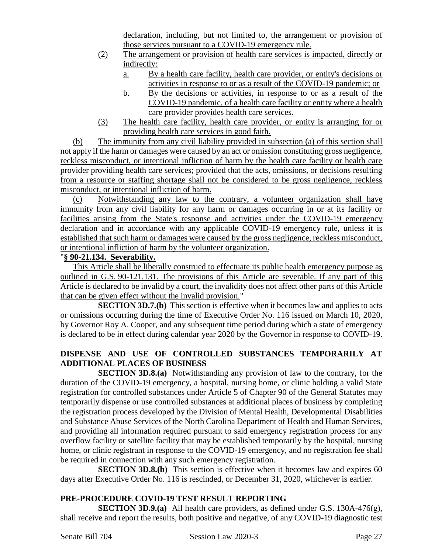declaration, including, but not limited to, the arrangement or provision of those services pursuant to a COVID-19 emergency rule.

- (2) The arrangement or provision of health care services is impacted, directly or indirectly:
	- a. By a health care facility, health care provider, or entity's decisions or activities in response to or as a result of the COVID-19 pandemic; or
	- b. By the decisions or activities, in response to or as a result of the COVID-19 pandemic, of a health care facility or entity where a health care provider provides health care services.
- (3) The health care facility, health care provider, or entity is arranging for or providing health care services in good faith.

(b) The immunity from any civil liability provided in subsection (a) of this section shall not apply if the harm or damages were caused by an act or omission constituting gross negligence, reckless misconduct, or intentional infliction of harm by the health care facility or health care provider providing health care services; provided that the acts, omissions, or decisions resulting from a resource or staffing shortage shall not be considered to be gross negligence, reckless misconduct, or intentional infliction of harm.

(c) Notwithstanding any law to the contrary, a volunteer organization shall have immunity from any civil liability for any harm or damages occurring in or at its facility or facilities arising from the State's response and activities under the COVID-19 emergency declaration and in accordance with any applicable COVID-19 emergency rule, unless it is established that such harm or damages were caused by the gross negligence, reckless misconduct, or intentional infliction of harm by the volunteer organization.

# "**§ 90-21.134. Severability.**

This Article shall be liberally construed to effectuate its public health emergency purpose as outlined in G.S. 90-121.131. The provisions of this Article are severable. If any part of this Article is declared to be invalid by a court, the invalidity does not affect other parts of this Article that can be given effect without the invalid provision."

**SECTION 3D.7.(b)** This section is effective when it becomes law and applies to acts or omissions occurring during the time of Executive Order No. 116 issued on March 10, 2020, by Governor Roy A. Cooper, and any subsequent time period during which a state of emergency is declared to be in effect during calendar year 2020 by the Governor in response to COVID-19.

# **DISPENSE AND USE OF CONTROLLED SUBSTANCES TEMPORARILY AT ADDITIONAL PLACES OF BUSINESS**

**SECTION 3D.8.(a)** Notwithstanding any provision of law to the contrary, for the duration of the COVID-19 emergency, a hospital, nursing home, or clinic holding a valid State registration for controlled substances under Article 5 of Chapter 90 of the General Statutes may temporarily dispense or use controlled substances at additional places of business by completing the registration process developed by the Division of Mental Health, Developmental Disabilities and Substance Abuse Services of the North Carolina Department of Health and Human Services, and providing all information required pursuant to said emergency registration process for any overflow facility or satellite facility that may be established temporarily by the hospital, nursing home, or clinic registrant in response to the COVID-19 emergency, and no registration fee shall be required in connection with any such emergency registration.

**SECTION 3D.8.(b)** This section is effective when it becomes law and expires 60 days after Executive Order No. 116 is rescinded, or December 31, 2020, whichever is earlier.

# **PRE-PROCEDURE COVID-19 TEST RESULT REPORTING**

**SECTION 3D.9.(a)** All health care providers, as defined under G.S. 130A-476(g), shall receive and report the results, both positive and negative, of any COVID-19 diagnostic test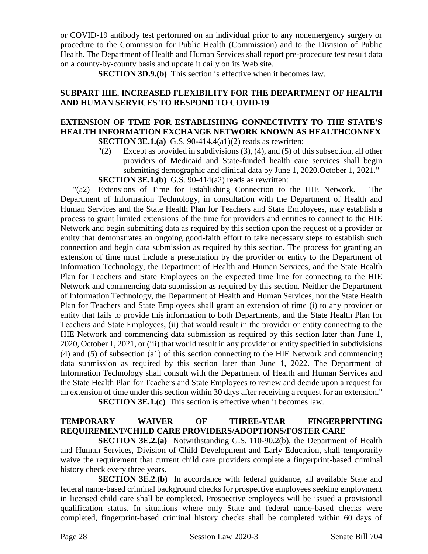or COVID-19 antibody test performed on an individual prior to any nonemergency surgery or procedure to the Commission for Public Health (Commission) and to the Division of Public Health. The Department of Health and Human Services shall report pre-procedure test result data on a county-by-county basis and update it daily on its Web site.

**SECTION 3D.9.(b)** This section is effective when it becomes law.

## **SUBPART IIIE. INCREASED FLEXIBILITY FOR THE DEPARTMENT OF HEALTH AND HUMAN SERVICES TO RESPOND TO COVID-19**

#### **EXTENSION OF TIME FOR ESTABLISHING CONNECTIVITY TO THE STATE'S HEALTH INFORMATION EXCHANGE NETWORK KNOWN AS HEALTHCONNEX SECTION 3E.1.(a)** G.S. 90-414.4(a1)(2) reads as rewritten:

"(2) Except as provided in subdivisions (3), (4), and (5) of this subsection, all other providers of Medicaid and State-funded health care services shall begin submitting demographic and clinical data by <del>June 1, 2020.</del>October 1, 2021." **SECTION 3E.1.(b)** G.S. 90-414(a2) reads as rewritten:

"(a2) Extensions of Time for Establishing Connection to the HIE Network. – The Department of Information Technology, in consultation with the Department of Health and Human Services and the State Health Plan for Teachers and State Employees, may establish a process to grant limited extensions of the time for providers and entities to connect to the HIE Network and begin submitting data as required by this section upon the request of a provider or entity that demonstrates an ongoing good-faith effort to take necessary steps to establish such connection and begin data submission as required by this section. The process for granting an extension of time must include a presentation by the provider or entity to the Department of Information Technology, the Department of Health and Human Services, and the State Health Plan for Teachers and State Employees on the expected time line for connecting to the HIE Network and commencing data submission as required by this section. Neither the Department of Information Technology, the Department of Health and Human Services, nor the State Health Plan for Teachers and State Employees shall grant an extension of time (i) to any provider or entity that fails to provide this information to both Departments, and the State Health Plan for Teachers and State Employees, (ii) that would result in the provider or entity connecting to the HIE Network and commencing data submission as required by this section later than June 1, 2020, October 1, 2021, or (iii) that would result in any provider or entity specified in subdivisions (4) and (5) of subsection (a1) of this section connecting to the HIE Network and commencing data submission as required by this section later than June 1, 2022. The Department of Information Technology shall consult with the Department of Health and Human Services and the State Health Plan for Teachers and State Employees to review and decide upon a request for an extension of time under this section within 30 days after receiving a request for an extension."

**SECTION 3E.1.(c)** This section is effective when it becomes law.

# **TEMPORARY WAIVER OF THREE-YEAR FINGERPRINTING REQUIREMENT/CHILD CARE PROVIDERS/ADOPTIONS/FOSTER CARE**

**SECTION 3E.2.(a)** Notwithstanding G.S. 110-90.2(b), the Department of Health and Human Services, Division of Child Development and Early Education, shall temporarily waive the requirement that current child care providers complete a fingerprint-based criminal history check every three years.

**SECTION 3E.2.(b)** In accordance with federal guidance, all available State and federal name-based criminal background checks for prospective employees seeking employment in licensed child care shall be completed. Prospective employees will be issued a provisional qualification status. In situations where only State and federal name-based checks were completed, fingerprint-based criminal history checks shall be completed within 60 days of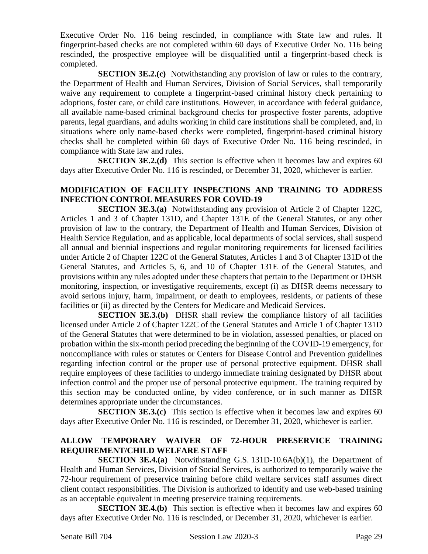Executive Order No. 116 being rescinded, in compliance with State law and rules. If fingerprint-based checks are not completed within 60 days of Executive Order No. 116 being rescinded, the prospective employee will be disqualified until a fingerprint-based check is completed.

**SECTION 3E.2.(c)** Notwithstanding any provision of law or rules to the contrary, the Department of Health and Human Services, Division of Social Services, shall temporarily waive any requirement to complete a fingerprint-based criminal history check pertaining to adoptions, foster care, or child care institutions. However, in accordance with federal guidance, all available name-based criminal background checks for prospective foster parents, adoptive parents, legal guardians, and adults working in child care institutions shall be completed, and, in situations where only name-based checks were completed, fingerprint-based criminal history checks shall be completed within 60 days of Executive Order No. 116 being rescinded, in compliance with State law and rules.

**SECTION 3E.2.(d)** This section is effective when it becomes law and expires 60 days after Executive Order No. 116 is rescinded, or December 31, 2020, whichever is earlier.

#### **MODIFICATION OF FACILITY INSPECTIONS AND TRAINING TO ADDRESS INFECTION CONTROL MEASURES FOR COVID-19**

**SECTION 3E.3.(a)** Notwithstanding any provision of Article 2 of Chapter 122C, Articles 1 and 3 of Chapter 131D, and Chapter 131E of the General Statutes, or any other provision of law to the contrary, the Department of Health and Human Services, Division of Health Service Regulation, and as applicable, local departments of social services, shall suspend all annual and biennial inspections and regular monitoring requirements for licensed facilities under Article 2 of Chapter 122C of the General Statutes, Articles 1 and 3 of Chapter 131D of the General Statutes, and Articles 5, 6, and 10 of Chapter 131E of the General Statutes, and provisions within any rules adopted under these chapters that pertain to the Department or DHSR monitoring, inspection, or investigative requirements, except (i) as DHSR deems necessary to avoid serious injury, harm, impairment, or death to employees, residents, or patients of these facilities or (ii) as directed by the Centers for Medicare and Medicaid Services.

**SECTION 3E.3.(b)** DHSR shall review the compliance history of all facilities licensed under Article 2 of Chapter 122C of the General Statutes and Article 1 of Chapter 131D of the General Statutes that were determined to be in violation, assessed penalties, or placed on probation within the six-month period preceding the beginning of the COVID-19 emergency, for noncompliance with rules or statutes or Centers for Disease Control and Prevention guidelines regarding infection control or the proper use of personal protective equipment. DHSR shall require employees of these facilities to undergo immediate training designated by DHSR about infection control and the proper use of personal protective equipment. The training required by this section may be conducted online, by video conference, or in such manner as DHSR determines appropriate under the circumstances.

**SECTION 3E.3.(c)** This section is effective when it becomes law and expires 60 days after Executive Order No. 116 is rescinded, or December 31, 2020, whichever is earlier.

## **ALLOW TEMPORARY WAIVER OF 72-HOUR PRESERVICE TRAINING REQUIREMENT/CHILD WELFARE STAFF**

**SECTION 3E.4.(a)** Notwithstanding G.S. 131D-10.6A(b)(1), the Department of Health and Human Services, Division of Social Services, is authorized to temporarily waive the 72-hour requirement of preservice training before child welfare services staff assumes direct client contact responsibilities. The Division is authorized to identify and use web-based training as an acceptable equivalent in meeting preservice training requirements.

**SECTION 3E.4.(b)** This section is effective when it becomes law and expires 60 days after Executive Order No. 116 is rescinded, or December 31, 2020, whichever is earlier.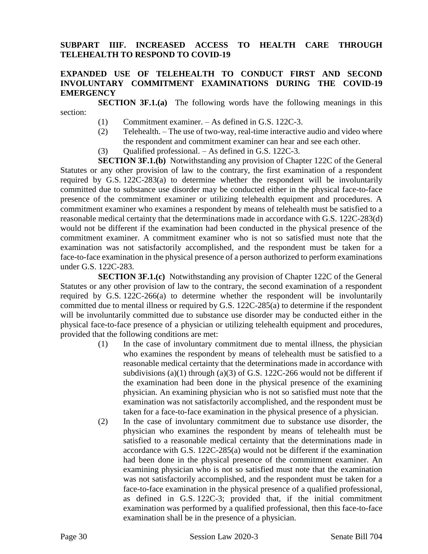#### **SUBPART IIIF. INCREASED ACCESS TO HEALTH CARE THROUGH TELEHEALTH TO RESPOND TO COVID-19**

## **EXPANDED USE OF TELEHEALTH TO CONDUCT FIRST AND SECOND INVOLUNTARY COMMITMENT EXAMINATIONS DURING THE COVID-19 EMERGENCY**

**SECTION 3F.1.(a)** The following words have the following meanings in this section:

- (1) Commitment examiner. As defined in G.S. 122C-3.
- (2) Telehealth. The use of two-way, real-time interactive audio and video where the respondent and commitment examiner can hear and see each other.
- (3) Qualified professional. As defined in G.S. 122C-3.

**SECTION 3F.1.(b)** Notwithstanding any provision of Chapter 122C of the General Statutes or any other provision of law to the contrary, the first examination of a respondent required by G.S. 122C-283(a) to determine whether the respondent will be involuntarily committed due to substance use disorder may be conducted either in the physical face-to-face presence of the commitment examiner or utilizing telehealth equipment and procedures. A commitment examiner who examines a respondent by means of telehealth must be satisfied to a reasonable medical certainty that the determinations made in accordance with G.S. 122C-283(d) would not be different if the examination had been conducted in the physical presence of the commitment examiner. A commitment examiner who is not so satisfied must note that the examination was not satisfactorily accomplished, and the respondent must be taken for a face-to-face examination in the physical presence of a person authorized to perform examinations under G.S. 122C-283.

**SECTION 3F.1.(c)** Notwithstanding any provision of Chapter 122C of the General Statutes or any other provision of law to the contrary, the second examination of a respondent required by G.S. 122C-266(a) to determine whether the respondent will be involuntarily committed due to mental illness or required by G.S. 122C-285(a) to determine if the respondent will be involuntarily committed due to substance use disorder may be conducted either in the physical face-to-face presence of a physician or utilizing telehealth equipment and procedures, provided that the following conditions are met:

- (1) In the case of involuntary commitment due to mental illness, the physician who examines the respondent by means of telehealth must be satisfied to a reasonable medical certainty that the determinations made in accordance with subdivisions (a)(1) through (a)(3) of G.S. 122C-266 would not be different if the examination had been done in the physical presence of the examining physician. An examining physician who is not so satisfied must note that the examination was not satisfactorily accomplished, and the respondent must be taken for a face-to-face examination in the physical presence of a physician.
- (2) In the case of involuntary commitment due to substance use disorder, the physician who examines the respondent by means of telehealth must be satisfied to a reasonable medical certainty that the determinations made in accordance with G.S. 122C-285(a) would not be different if the examination had been done in the physical presence of the commitment examiner. An examining physician who is not so satisfied must note that the examination was not satisfactorily accomplished, and the respondent must be taken for a face-to-face examination in the physical presence of a qualified professional, as defined in G.S. 122C-3; provided that, if the initial commitment examination was performed by a qualified professional, then this face-to-face examination shall be in the presence of a physician.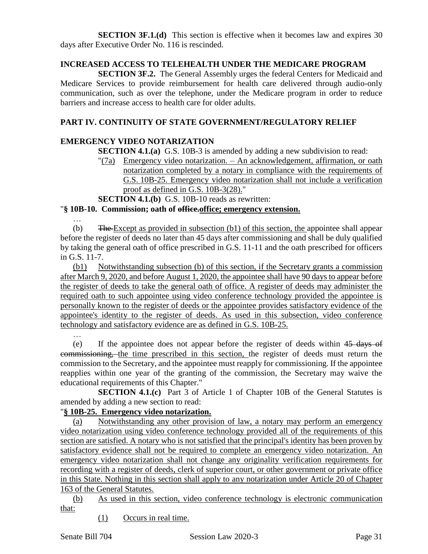**SECTION 3F.1.(d)** This section is effective when it becomes law and expires 30 days after Executive Order No. 116 is rescinded.

#### **INCREASED ACCESS TO TELEHEALTH UNDER THE MEDICARE PROGRAM**

**SECTION 3F.2.** The General Assembly urges the federal Centers for Medicaid and Medicare Services to provide reimbursement for health care delivered through audio-only communication, such as over the telephone, under the Medicare program in order to reduce barriers and increase access to health care for older adults.

#### **PART IV. CONTINUITY OF STATE GOVERNMENT/REGULATORY RELIEF**

#### **EMERGENCY VIDEO NOTARIZATION**

**SECTION 4.1.(a)** G.S. 10B-3 is amended by adding a new subdivision to read:

 $T(7a)$  Emergency video notarization. – An acknowledgement, affirmation, or oath notarization completed by a notary in compliance with the requirements of G.S. 10B-25. Emergency video notarization shall not include a verification proof as defined in G.S. 10B-3(28)."

**SECTION 4.1.(b)** G.S. 10B-10 reads as rewritten:

#### "**§ 10B-10. Commission; oath of office.office; emergency extension.**

…

(b) The Except as provided in subsection (b1) of this section, the appointee shall appear before the register of deeds no later than 45 days after commissioning and shall be duly qualified by taking the general oath of office prescribed in G.S. 11-11 and the oath prescribed for officers in G.S. 11-7.

(b1) Notwithstanding subsection (b) of this section, if the Secretary grants a commission after March 9, 2020, and before August 1, 2020, the appointee shall have 90 days to appear before the register of deeds to take the general oath of office. A register of deeds may administer the required oath to such appointee using video conference technology provided the appointee is personally known to the register of deeds or the appointee provides satisfactory evidence of the appointee's identity to the register of deeds. As used in this subsection, video conference technology and satisfactory evidence are as defined in G.S. 10B-25.

…

(e) If the appointee does not appear before the register of deeds within 45 days of commissioning, the time prescribed in this section, the register of deeds must return the commission to the Secretary, and the appointee must reapply for commissioning. If the appointee reapplies within one year of the granting of the commission, the Secretary may waive the educational requirements of this Chapter."

**SECTION 4.1.(c)** Part 3 of Article 1 of Chapter 10B of the General Statutes is amended by adding a new section to read:

## "**§ 10B-25. Emergency video notarization.**

(a) Notwithstanding any other provision of law, a notary may perform an emergency video notarization using video conference technology provided all of the requirements of this section are satisfied. A notary who is not satisfied that the principal's identity has been proven by satisfactory evidence shall not be required to complete an emergency video notarization. An emergency video notarization shall not change any originality verification requirements for recording with a register of deeds, clerk of superior court, or other government or private office in this State. Nothing in this section shall apply to any notarization under Article 20 of Chapter 163 of the General Statutes.

(b) As used in this section, video conference technology is electronic communication that:

(1) Occurs in real time.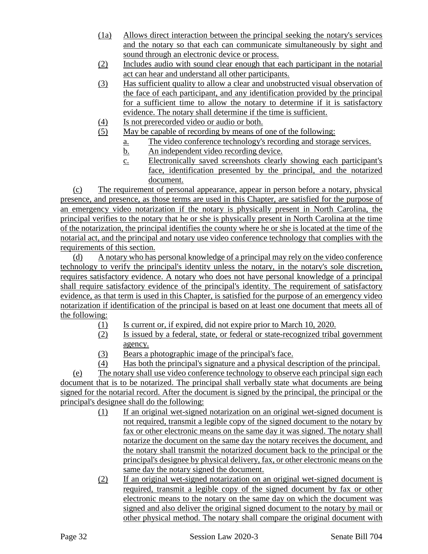- (1a) Allows direct interaction between the principal seeking the notary's services and the notary so that each can communicate simultaneously by sight and sound through an electronic device or process.
- (2) Includes audio with sound clear enough that each participant in the notarial act can hear and understand all other participants.
- (3) Has sufficient quality to allow a clear and unobstructed visual observation of the face of each participant, and any identification provided by the principal for a sufficient time to allow the notary to determine if it is satisfactory evidence. The notary shall determine if the time is sufficient.
- (4) Is not prerecorded video or audio or both.
- (5) May be capable of recording by means of one of the following:
	- a. The video conference technology's recording and storage services.
	- b. An independent video recording device.
	- c. Electronically saved screenshots clearly showing each participant's face, identification presented by the principal, and the notarized document.

(c) The requirement of personal appearance, appear in person before a notary, physical presence, and presence, as those terms are used in this Chapter, are satisfied for the purpose of an emergency video notarization if the notary is physically present in North Carolina, the principal verifies to the notary that he or she is physically present in North Carolina at the time of the notarization, the principal identifies the county where he or she is located at the time of the notarial act, and the principal and notary use video conference technology that complies with the requirements of this section.

(d) A notary who has personal knowledge of a principal may rely on the video conference technology to verify the principal's identity unless the notary, in the notary's sole discretion, requires satisfactory evidence. A notary who does not have personal knowledge of a principal shall require satisfactory evidence of the principal's identity. The requirement of satisfactory evidence, as that term is used in this Chapter, is satisfied for the purpose of an emergency video notarization if identification of the principal is based on at least one document that meets all of the following:

- (1) Is current or, if expired, did not expire prior to March 10, 2020.
- (2) Is issued by a federal, state, or federal or state-recognized tribal government agency.
- (3) Bears a photographic image of the principal's face.
- (4) Has both the principal's signature and a physical description of the principal.

(e) The notary shall use video conference technology to observe each principal sign each document that is to be notarized. The principal shall verbally state what documents are being signed for the notarial record. After the document is signed by the principal, the principal or the principal's designee shall do the following:

- (1) If an original wet-signed notarization on an original wet-signed document is not required, transmit a legible copy of the signed document to the notary by fax or other electronic means on the same day it was signed. The notary shall notarize the document on the same day the notary receives the document, and the notary shall transmit the notarized document back to the principal or the principal's designee by physical delivery, fax, or other electronic means on the same day the notary signed the document.
- (2) If an original wet-signed notarization on an original wet-signed document is required, transmit a legible copy of the signed document by fax or other electronic means to the notary on the same day on which the document was signed and also deliver the original signed document to the notary by mail or other physical method. The notary shall compare the original document with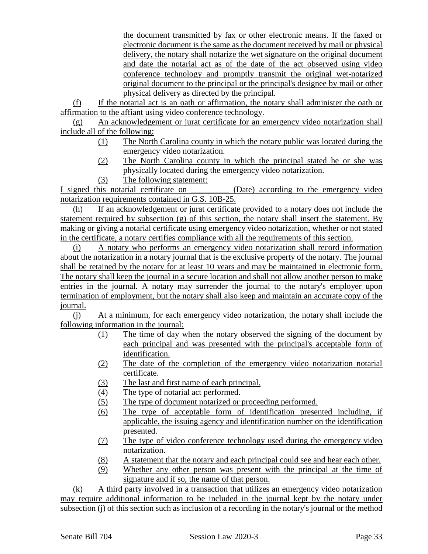the document transmitted by fax or other electronic means. If the faxed or electronic document is the same as the document received by mail or physical delivery, the notary shall notarize the wet signature on the original document and date the notarial act as of the date of the act observed using video conference technology and promptly transmit the original wet-notarized original document to the principal or the principal's designee by mail or other physical delivery as directed by the principal.

(f) If the notarial act is an oath or affirmation, the notary shall administer the oath or affirmation to the affiant using video conference technology.

(g) An acknowledgement or jurat certificate for an emergency video notarization shall include all of the following:

- (1) The North Carolina county in which the notary public was located during the emergency video notarization.
- (2) The North Carolina county in which the principal stated he or she was physically located during the emergency video notarization.
- (3) The following statement:

I signed this notarial certificate on \_\_\_\_\_\_\_\_\_ (Date) according to the emergency video notarization requirements contained in G.S. 10B-25.

(h) If an acknowledgement or jurat certificate provided to a notary does not include the statement required by subsection (g) of this section, the notary shall insert the statement. By making or giving a notarial certificate using emergency video notarization, whether or not stated in the certificate, a notary certifies compliance with all the requirements of this section.

(i) A notary who performs an emergency video notarization shall record information about the notarization in a notary journal that is the exclusive property of the notary. The journal shall be retained by the notary for at least 10 years and may be maintained in electronic form. The notary shall keep the journal in a secure location and shall not allow another person to make entries in the journal. A notary may surrender the journal to the notary's employer upon termination of employment, but the notary shall also keep and maintain an accurate copy of the journal.

(j) At a minimum, for each emergency video notarization, the notary shall include the following information in the journal:

- (1) The time of day when the notary observed the signing of the document by each principal and was presented with the principal's acceptable form of identification.
- (2) The date of the completion of the emergency video notarization notarial certificate.
- (3) The last and first name of each principal.
- (4) The type of notarial act performed.
- (5) The type of document notarized or proceeding performed.
- (6) The type of acceptable form of identification presented including, if applicable, the issuing agency and identification number on the identification presented.
- (7) The type of video conference technology used during the emergency video notarization.
- (8) A statement that the notary and each principal could see and hear each other.
- (9) Whether any other person was present with the principal at the time of signature and if so, the name of that person.

(k) A third party involved in a transaction that utilizes an emergency video notarization may require additional information to be included in the journal kept by the notary under subsection (j) of this section such as inclusion of a recording in the notary's journal or the method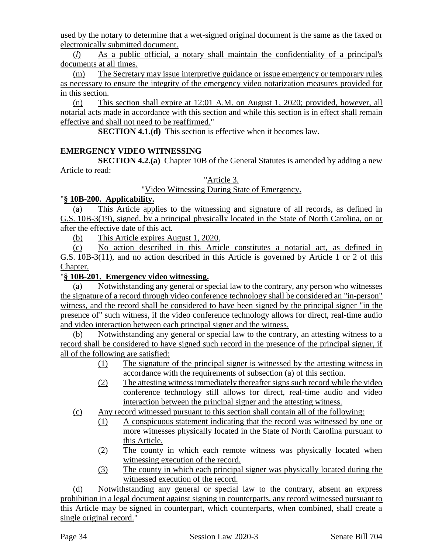used by the notary to determine that a wet-signed original document is the same as the faxed or electronically submitted document.

(*l*) As a public official, a notary shall maintain the confidentiality of a principal's documents at all times.

(m) The Secretary may issue interpretive guidance or issue emergency or temporary rules as necessary to ensure the integrity of the emergency video notarization measures provided for in this section.

(n) This section shall expire at 12:01 A.M. on August 1, 2020; provided, however, all notarial acts made in accordance with this section and while this section is in effect shall remain effective and shall not need to be reaffirmed."

**SECTION 4.1.(d)** This section is effective when it becomes law.

# **EMERGENCY VIDEO WITNESSING**

**SECTION 4.2.(a)** Chapter 10B of the General Statutes is amended by adding a new Article to read:

## "Article 3.

"Video Witnessing During State of Emergency.

# "**§ 10B-200. Applicability.**

(a) This Article applies to the witnessing and signature of all records, as defined in G.S. 10B-3(19), signed, by a principal physically located in the State of North Carolina, on or after the effective date of this act.

(b) This Article expires August 1, 2020.

(c) No action described in this Article constitutes a notarial act, as defined in G.S. 10B-3(11), and no action described in this Article is governed by Article 1 or 2 of this Chapter.

# "**§ 10B-201. Emergency video witnessing.**

(a) Notwithstanding any general or special law to the contrary, any person who witnesses the signature of a record through video conference technology shall be considered an "in-person" witness, and the record shall be considered to have been signed by the principal signer "in the presence of" such witness, if the video conference technology allows for direct, real-time audio and video interaction between each principal signer and the witness.

(b) Notwithstanding any general or special law to the contrary, an attesting witness to a record shall be considered to have signed such record in the presence of the principal signer, if all of the following are satisfied:

- (1) The signature of the principal signer is witnessed by the attesting witness in accordance with the requirements of subsection (a) of this section.
- (2) The attesting witness immediately thereafter signs such record while the video conference technology still allows for direct, real-time audio and video interaction between the principal signer and the attesting witness.

(c) Any record witnessed pursuant to this section shall contain all of the following:

- (1) A conspicuous statement indicating that the record was witnessed by one or more witnesses physically located in the State of North Carolina pursuant to this Article.
- (2) The county in which each remote witness was physically located when witnessing execution of the record.
- (3) The county in which each principal signer was physically located during the witnessed execution of the record.

(d) Notwithstanding any general or special law to the contrary, absent an express prohibition in a legal document against signing in counterparts, any record witnessed pursuant to this Article may be signed in counterpart, which counterparts, when combined, shall create a single original record."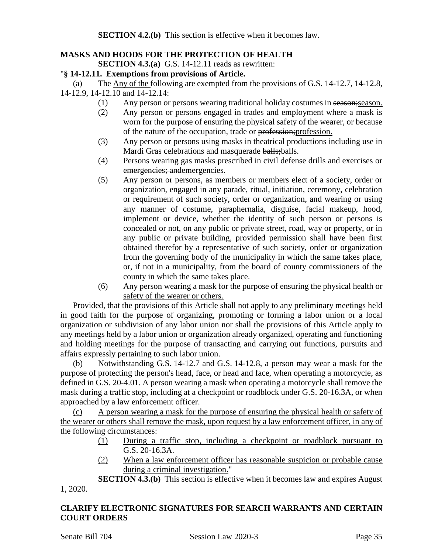## **MASKS AND HOODS FOR THE PROTECTION OF HEALTH**

**SECTION 4.3.(a)** G.S. 14-12.11 reads as rewritten:

#### "**§ 14-12.11. Exemptions from provisions of Article.**

(a) The Any of the following are exempted from the provisions of G.S. 14-12.7, 14-12.8, 14-12.9, 14-12.10 and 14-12.14:

- (1) Any person or persons wearing traditional holiday costumes in season;season.
- (2) Any person or persons engaged in trades and employment where a mask is worn for the purpose of ensuring the physical safety of the wearer, or because of the nature of the occupation, trade or profession;profession.
- (3) Any person or persons using masks in theatrical productions including use in Mardi Gras celebrations and masquerade balls; balls.
- (4) Persons wearing gas masks prescribed in civil defense drills and exercises or emergencies; andemergencies.
- (5) Any person or persons, as members or members elect of a society, order or organization, engaged in any parade, ritual, initiation, ceremony, celebration or requirement of such society, order or organization, and wearing or using any manner of costume, paraphernalia, disguise, facial makeup, hood, implement or device, whether the identity of such person or persons is concealed or not, on any public or private street, road, way or property, or in any public or private building, provided permission shall have been first obtained therefor by a representative of such society, order or organization from the governing body of the municipality in which the same takes place, or, if not in a municipality, from the board of county commissioners of the county in which the same takes place.
- (6) Any person wearing a mask for the purpose of ensuring the physical health or safety of the wearer or others.

Provided, that the provisions of this Article shall not apply to any preliminary meetings held in good faith for the purpose of organizing, promoting or forming a labor union or a local organization or subdivision of any labor union nor shall the provisions of this Article apply to any meetings held by a labor union or organization already organized, operating and functioning and holding meetings for the purpose of transacting and carrying out functions, pursuits and affairs expressly pertaining to such labor union.

(b) Notwithstanding G.S. 14-12.7 and G.S. 14-12.8, a person may wear a mask for the purpose of protecting the person's head, face, or head and face, when operating a motorcycle, as defined in G.S. 20-4.01. A person wearing a mask when operating a motorcycle shall remove the mask during a traffic stop, including at a checkpoint or roadblock under G.S. 20-16.3A, or when approached by a law enforcement officer.

(c) A person wearing a mask for the purpose of ensuring the physical health or safety of the wearer or others shall remove the mask, upon request by a law enforcement officer, in any of the following circumstances:

- (1) During a traffic stop, including a checkpoint or roadblock pursuant to G.S. 20-16.3A.
- (2) When a law enforcement officer has reasonable suspicion or probable cause during a criminal investigation."

**SECTION 4.3.(b)** This section is effective when it becomes law and expires August 1, 2020.

#### **CLARIFY ELECTRONIC SIGNATURES FOR SEARCH WARRANTS AND CERTAIN COURT ORDERS**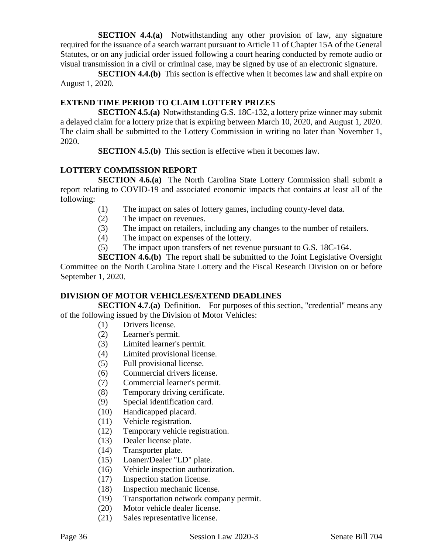**SECTION 4.4.(a)** Notwithstanding any other provision of law, any signature required for the issuance of a search warrant pursuant to Article 11 of Chapter 15A of the General Statutes, or on any judicial order issued following a court hearing conducted by remote audio or visual transmission in a civil or criminal case, may be signed by use of an electronic signature.

**SECTION 4.4.(b)** This section is effective when it becomes law and shall expire on August 1, 2020.

#### **EXTEND TIME PERIOD TO CLAIM LOTTERY PRIZES**

**SECTION 4.5.(a)** Notwithstanding G.S. 18C-132, a lottery prize winner may submit a delayed claim for a lottery prize that is expiring between March 10, 2020, and August 1, 2020. The claim shall be submitted to the Lottery Commission in writing no later than November 1, 2020.

**SECTION 4.5.(b)** This section is effective when it becomes law.

#### **LOTTERY COMMISSION REPORT**

**SECTION 4.6.(a)** The North Carolina State Lottery Commission shall submit a report relating to COVID-19 and associated economic impacts that contains at least all of the following:

- (1) The impact on sales of lottery games, including county-level data.
- (2) The impact on revenues.
- (3) The impact on retailers, including any changes to the number of retailers.
- (4) The impact on expenses of the lottery.
- (5) The impact upon transfers of net revenue pursuant to G.S. 18C-164.

**SECTION 4.6.(b)** The report shall be submitted to the Joint Legislative Oversight Committee on the North Carolina State Lottery and the Fiscal Research Division on or before September 1, 2020.

#### **DIVISION OF MOTOR VEHICLES/EXTEND DEADLINES**

**SECTION 4.7.(a)** Definition. – For purposes of this section, "credential" means any of the following issued by the Division of Motor Vehicles:

- (1) Drivers license.
- (2) Learner's permit.
- (3) Limited learner's permit.
- (4) Limited provisional license.
- (5) Full provisional license.
- (6) Commercial drivers license.
- (7) Commercial learner's permit.
- (8) Temporary driving certificate.
- (9) Special identification card.
- (10) Handicapped placard.
- (11) Vehicle registration.
- (12) Temporary vehicle registration.
- (13) Dealer license plate.
- (14) Transporter plate.
- (15) Loaner/Dealer "LD" plate.
- (16) Vehicle inspection authorization.
- (17) Inspection station license.
- (18) Inspection mechanic license.
- (19) Transportation network company permit.
- (20) Motor vehicle dealer license.
- (21) Sales representative license.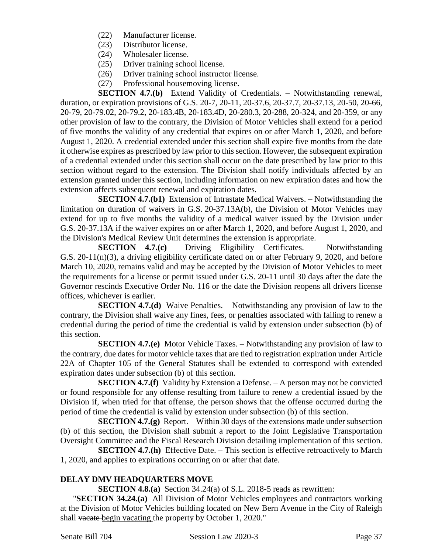- (22) Manufacturer license.
- (23) Distributor license.
- (24) Wholesaler license.
- (25) Driver training school license.
- (26) Driver training school instructor license.
- (27) Professional housemoving license.

**SECTION 4.7.(b)** Extend Validity of Credentials. – Notwithstanding renewal, duration, or expiration provisions of G.S. 20-7, 20-11, 20-37.6, 20-37.7, 20-37.13, 20-50, 20-66, 20-79, 20-79.02, 20-79.2, 20-183.4B, 20-183.4D, 20-280.3, 20-288, 20-324, and 20-359, or any other provision of law to the contrary, the Division of Motor Vehicles shall extend for a period of five months the validity of any credential that expires on or after March 1, 2020, and before August 1, 2020. A credential extended under this section shall expire five months from the date it otherwise expires as prescribed by law prior to this section. However, the subsequent expiration of a credential extended under this section shall occur on the date prescribed by law prior to this section without regard to the extension. The Division shall notify individuals affected by an extension granted under this section, including information on new expiration dates and how the extension affects subsequent renewal and expiration dates.

**SECTION 4.7.(b1)** Extension of Intrastate Medical Waivers. – Notwithstanding the limitation on duration of waivers in G.S. 20-37.13A(b), the Division of Motor Vehicles may extend for up to five months the validity of a medical waiver issued by the Division under G.S. 20-37.13A if the waiver expires on or after March 1, 2020, and before August 1, 2020, and the Division's Medical Review Unit determines the extension is appropriate.

**SECTION 4.7.(c)** Driving Eligibility Certificates. – Notwithstanding G.S. 20-11(n)(3), a driving eligibility certificate dated on or after February 9, 2020, and before March 10, 2020, remains valid and may be accepted by the Division of Motor Vehicles to meet the requirements for a license or permit issued under G.S. 20-11 until 30 days after the date the Governor rescinds Executive Order No. 116 or the date the Division reopens all drivers license offices, whichever is earlier.

**SECTION 4.7.(d)** Waive Penalties. – Notwithstanding any provision of law to the contrary, the Division shall waive any fines, fees, or penalties associated with failing to renew a credential during the period of time the credential is valid by extension under subsection (b) of this section.

**SECTION 4.7.(e)** Motor Vehicle Taxes. – Notwithstanding any provision of law to the contrary, due dates for motor vehicle taxes that are tied to registration expiration under Article 22A of Chapter 105 of the General Statutes shall be extended to correspond with extended expiration dates under subsection (b) of this section.

**SECTION 4.7.(f)** Validity by Extension a Defense. – A person may not be convicted or found responsible for any offense resulting from failure to renew a credential issued by the Division if, when tried for that offense, the person shows that the offense occurred during the period of time the credential is valid by extension under subsection (b) of this section.

**SECTION 4.7.(g)** Report. – Within 30 days of the extensions made under subsection (b) of this section, the Division shall submit a report to the Joint Legislative Transportation Oversight Committee and the Fiscal Research Division detailing implementation of this section.

**SECTION 4.7.(h)** Effective Date. – This section is effective retroactively to March 1, 2020, and applies to expirations occurring on or after that date.

## **DELAY DMV HEADQUARTERS MOVE**

**SECTION 4.8.(a)** Section 34.24(a) of S.L. 2018-5 reads as rewritten:

"**SECTION 34.24.(a)** All Division of Motor Vehicles employees and contractors working at the Division of Motor Vehicles building located on New Bern Avenue in the City of Raleigh shall vacate begin vacating the property by October 1, 2020."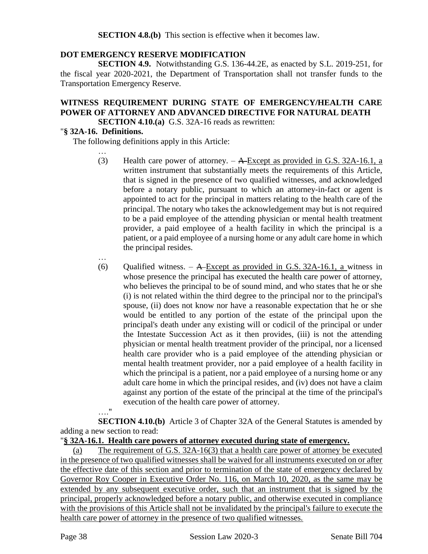**SECTION 4.8.(b)** This section is effective when it becomes law.

## **DOT EMERGENCY RESERVE MODIFICATION**

**SECTION 4.9.** Notwithstanding G.S. 136-44.2E, as enacted by S.L. 2019-251, for the fiscal year 2020-2021, the Department of Transportation shall not transfer funds to the Transportation Emergency Reserve.

# **WITNESS REQUIREMENT DURING STATE OF EMERGENCY/HEALTH CARE POWER OF ATTORNEY AND ADVANCED DIRECTIVE FOR NATURAL DEATH**

**SECTION 4.10.(a)** G.S. 32A-16 reads as rewritten:

#### "**§ 32A-16. Definitions.**

The following definitions apply in this Article:

…

…

…."

- (3) Health care power of attorney.  $A$ -Except as provided in G.S. 32A-16.1, a written instrument that substantially meets the requirements of this Article, that is signed in the presence of two qualified witnesses, and acknowledged before a notary public, pursuant to which an attorney-in-fact or agent is appointed to act for the principal in matters relating to the health care of the principal. The notary who takes the acknowledgement may but is not required to be a paid employee of the attending physician or mental health treatment provider, a paid employee of a health facility in which the principal is a patient, or a paid employee of a nursing home or any adult care home in which the principal resides.
- (6) Qualified witness. A-Except as provided in G.S. 32A-16.1, a witness in whose presence the principal has executed the health care power of attorney, who believes the principal to be of sound mind, and who states that he or she (i) is not related within the third degree to the principal nor to the principal's spouse, (ii) does not know nor have a reasonable expectation that he or she would be entitled to any portion of the estate of the principal upon the principal's death under any existing will or codicil of the principal or under the Intestate Succession Act as it then provides, (iii) is not the attending physician or mental health treatment provider of the principal, nor a licensed health care provider who is a paid employee of the attending physician or mental health treatment provider, nor a paid employee of a health facility in which the principal is a patient, nor a paid employee of a nursing home or any adult care home in which the principal resides, and (iv) does not have a claim against any portion of the estate of the principal at the time of the principal's execution of the health care power of attorney.

**SECTION 4.10.(b)** Article 3 of Chapter 32A of the General Statutes is amended by adding a new section to read:

"**§ 32A-16.1. Health care powers of attorney executed during state of emergency.**

(a) The requirement of G.S. 32A-16(3) that a health care power of attorney be executed in the presence of two qualified witnesses shall be waived for all instruments executed on or after the effective date of this section and prior to termination of the state of emergency declared by Governor Roy Cooper in Executive Order No. 116, on March 10, 2020, as the same may be extended by any subsequent executive order, such that an instrument that is signed by the principal, properly acknowledged before a notary public, and otherwise executed in compliance with the provisions of this Article shall not be invalidated by the principal's failure to execute the health care power of attorney in the presence of two qualified witnesses.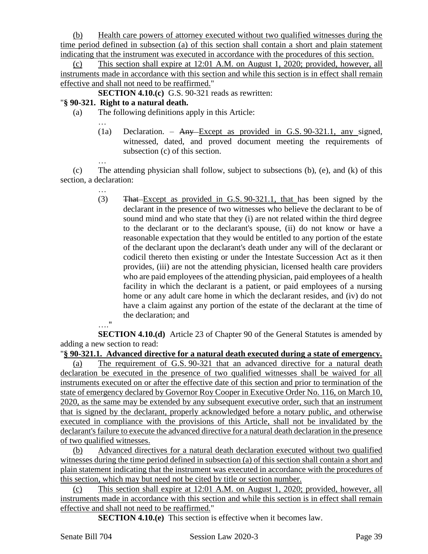(b) Health care powers of attorney executed without two qualified witnesses during the time period defined in subsection (a) of this section shall contain a short and plain statement indicating that the instrument was executed in accordance with the procedures of this section.

(c) This section shall expire at 12:01 A.M. on August 1, 2020; provided, however, all instruments made in accordance with this section and while this section is in effect shall remain effective and shall not need to be reaffirmed."

**SECTION 4.10.(c)** G.S. 90-321 reads as rewritten:

## "**§ 90-321. Right to a natural death.**

…

…

(a) The following definitions apply in this Article:

(1a) Declaration. – Any Except as provided in G.S. 90-321.1, any signed, witnessed, dated, and proved document meeting the requirements of subsection (c) of this section.

(c) The attending physician shall follow, subject to subsections (b), (e), and (k) of this section, a declaration:

> … (3) That Except as provided in G.S. 90-321.1, that has been signed by the declarant in the presence of two witnesses who believe the declarant to be of sound mind and who state that they (i) are not related within the third degree to the declarant or to the declarant's spouse, (ii) do not know or have a reasonable expectation that they would be entitled to any portion of the estate of the declarant upon the declarant's death under any will of the declarant or codicil thereto then existing or under the Intestate Succession Act as it then provides, (iii) are not the attending physician, licensed health care providers who are paid employees of the attending physician, paid employees of a health facility in which the declarant is a patient, or paid employees of a nursing home or any adult care home in which the declarant resides, and (iv) do not have a claim against any portion of the estate of the declarant at the time of the declaration; and

…."

**SECTION 4.10.(d)** Article 23 of Chapter 90 of the General Statutes is amended by adding a new section to read:

"**§ 90-321.1. Advanced directive for a natural death executed during a state of emergency.**

(a) The requirement of G.S. 90-321 that an advanced directive for a natural death declaration be executed in the presence of two qualified witnesses shall be waived for all instruments executed on or after the effective date of this section and prior to termination of the state of emergency declared by Governor Roy Cooper in Executive Order No. 116, on March 10, 2020, as the same may be extended by any subsequent executive order, such that an instrument that is signed by the declarant, properly acknowledged before a notary public, and otherwise executed in compliance with the provisions of this Article, shall not be invalidated by the declarant's failure to execute the advanced directive for a natural death declaration in the presence of two qualified witnesses.

(b) Advanced directives for a natural death declaration executed without two qualified witnesses during the time period defined in subsection (a) of this section shall contain a short and plain statement indicating that the instrument was executed in accordance with the procedures of this section, which may but need not be cited by title or section number.

(c) This section shall expire at 12:01 A.M. on August 1, 2020; provided, however, all instruments made in accordance with this section and while this section is in effect shall remain effective and shall not need to be reaffirmed."

**SECTION 4.10.(e)** This section is effective when it becomes law.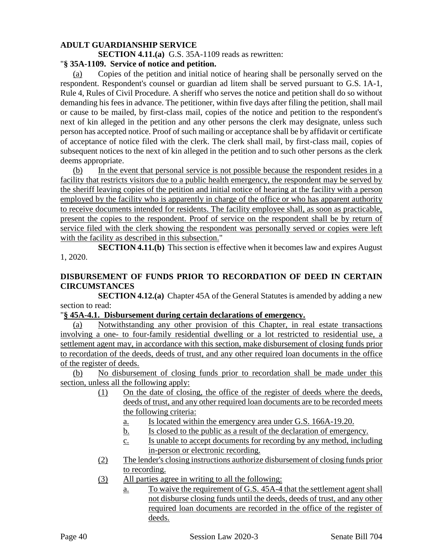#### **ADULT GUARDIANSHIP SERVICE**

**SECTION 4.11.(a)** G.S. 35A-1109 reads as rewritten:

#### "**§ 35A-1109. Service of notice and petition.**

(a) Copies of the petition and initial notice of hearing shall be personally served on the respondent. Respondent's counsel or guardian ad litem shall be served pursuant to G.S. 1A-1, Rule 4, Rules of Civil Procedure. A sheriff who serves the notice and petition shall do so without demanding his fees in advance. The petitioner, within five days after filing the petition, shall mail or cause to be mailed, by first-class mail, copies of the notice and petition to the respondent's next of kin alleged in the petition and any other persons the clerk may designate, unless such person has accepted notice. Proof of such mailing or acceptance shall be by affidavit or certificate of acceptance of notice filed with the clerk. The clerk shall mail, by first-class mail, copies of subsequent notices to the next of kin alleged in the petition and to such other persons as the clerk deems appropriate.

(b) In the event that personal service is not possible because the respondent resides in a facility that restricts visitors due to a public health emergency, the respondent may be served by the sheriff leaving copies of the petition and initial notice of hearing at the facility with a person employed by the facility who is apparently in charge of the office or who has apparent authority to receive documents intended for residents. The facility employee shall, as soon as practicable, present the copies to the respondent. Proof of service on the respondent shall be by return of service filed with the clerk showing the respondent was personally served or copies were left with the facility as described in this subsection."

**SECTION 4.11.(b)** This section is effective when it becomes law and expires August 1, 2020.

#### **DISBURSEMENT OF FUNDS PRIOR TO RECORDATION OF DEED IN CERTAIN CIRCUMSTANCES**

**SECTION 4.12.(a)** Chapter 45A of the General Statutes is amended by adding a new section to read:

#### "**§ 45A-4.1. Disbursement during certain declarations of emergency.**

(a) Notwithstanding any other provision of this Chapter, in real estate transactions involving a one- to four-family residential dwelling or a lot restricted to residential use, a settlement agent may, in accordance with this section, make disbursement of closing funds prior to recordation of the deeds, deeds of trust, and any other required loan documents in the office of the register of deeds.

(b) No disbursement of closing funds prior to recordation shall be made under this section, unless all the following apply:

- (1) On the date of closing, the office of the register of deeds where the deeds, deeds of trust, and any other required loan documents are to be recorded meets the following criteria:
	- a. Is located within the emergency area under G.S. 166A-19.20.
	- b. Is closed to the public as a result of the declaration of emergency.
	- c. Is unable to accept documents for recording by any method, including in-person or electronic recording.
- (2) The lender's closing instructions authorize disbursement of closing funds prior to recording.
- (3) All parties agree in writing to all the following:
	- a. To waive the requirement of G.S. 45A-4 that the settlement agent shall not disburse closing funds until the deeds, deeds of trust, and any other required loan documents are recorded in the office of the register of deeds.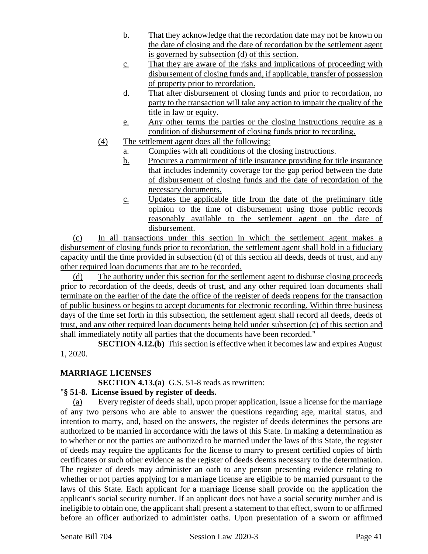- b. That they acknowledge that the recordation date may not be known on the date of closing and the date of recordation by the settlement agent is governed by subsection (d) of this section.
- c. That they are aware of the risks and implications of proceeding with disbursement of closing funds and, if applicable, transfer of possession of property prior to recordation.
- d. That after disbursement of closing funds and prior to recordation, no party to the transaction will take any action to impair the quality of the title in law or equity.
- e. Any other terms the parties or the closing instructions require as a condition of disbursement of closing funds prior to recording.
- (4) The settlement agent does all the following:
	- a. Complies with all conditions of the closing instructions.
	- b. Procures a commitment of title insurance providing for title insurance that includes indemnity coverage for the gap period between the date of disbursement of closing funds and the date of recordation of the necessary documents.
	- c. Updates the applicable title from the date of the preliminary title opinion to the time of disbursement using those public records reasonably available to the settlement agent on the date of disbursement.

(c) In all transactions under this section in which the settlement agent makes a disbursement of closing funds prior to recordation, the settlement agent shall hold in a fiduciary capacity until the time provided in subsection (d) of this section all deeds, deeds of trust, and any other required loan documents that are to be recorded.

(d) The authority under this section for the settlement agent to disburse closing proceeds prior to recordation of the deeds, deeds of trust, and any other required loan documents shall terminate on the earlier of the date the office of the register of deeds reopens for the transaction of public business or begins to accept documents for electronic recording. Within three business days of the time set forth in this subsection, the settlement agent shall record all deeds, deeds of trust, and any other required loan documents being held under subsection (c) of this section and shall immediately notify all parties that the documents have been recorded."

**SECTION 4.12.(b)** This section is effective when it becomes law and expires August 1, 2020.

## **MARRIAGE LICENSES**

**SECTION 4.13.(a)** G.S. 51-8 reads as rewritten:

## "**§ 51-8. License issued by register of deeds.**

(a) Every register of deeds shall, upon proper application, issue a license for the marriage of any two persons who are able to answer the questions regarding age, marital status, and intention to marry, and, based on the answers, the register of deeds determines the persons are authorized to be married in accordance with the laws of this State. In making a determination as to whether or not the parties are authorized to be married under the laws of this State, the register of deeds may require the applicants for the license to marry to present certified copies of birth certificates or such other evidence as the register of deeds deems necessary to the determination. The register of deeds may administer an oath to any person presenting evidence relating to whether or not parties applying for a marriage license are eligible to be married pursuant to the laws of this State. Each applicant for a marriage license shall provide on the application the applicant's social security number. If an applicant does not have a social security number and is ineligible to obtain one, the applicant shall present a statement to that effect, sworn to or affirmed before an officer authorized to administer oaths. Upon presentation of a sworn or affirmed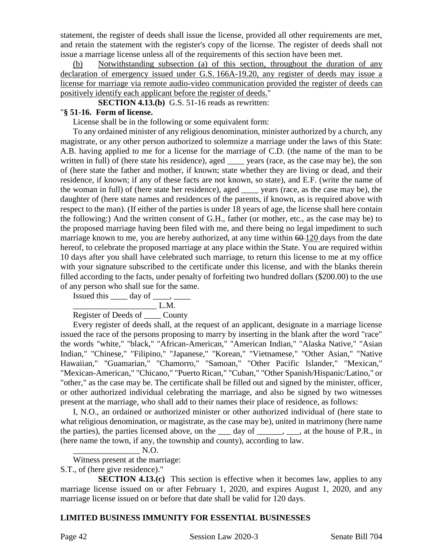statement, the register of deeds shall issue the license, provided all other requirements are met, and retain the statement with the register's copy of the license. The register of deeds shall not issue a marriage license unless all of the requirements of this section have been met.

(b) Notwithstanding subsection (a) of this section, throughout the duration of any declaration of emergency issued under G.S. 166A-19.20, any register of deeds may issue a license for marriage via remote audio-video communication provided the register of deeds can positively identify each applicant before the register of deeds."

**SECTION 4.13.(b)** G.S. 51-16 reads as rewritten:

#### "**§ 51-16. Form of license.**

License shall be in the following or some equivalent form:

To any ordained minister of any religious denomination, minister authorized by a church, any magistrate, or any other person authorized to solemnize a marriage under the laws of this State: A.B. having applied to me for a license for the marriage of C.D. (the name of the man to be written in full) of (here state his residence), aged <u>see</u> years (race, as the case may be), the son of (here state the father and mother, if known; state whether they are living or dead, and their residence, if known; if any of these facts are not known, so state), and E.F. (write the name of the woman in full) of (here state her residence), aged \_\_\_\_ years (race, as the case may be), the daughter of (here state names and residences of the parents, if known, as is required above with respect to the man). (If either of the parties is under 18 years of age, the license shall here contain the following:) And the written consent of G.H., father (or mother, etc., as the case may be) to the proposed marriage having been filed with me, and there being no legal impediment to such marriage known to me, you are hereby authorized, at any time within  $60-120$  days from the date hereof, to celebrate the proposed marriage at any place within the State. You are required within 10 days after you shall have celebrated such marriage, to return this license to me at my office with your signature subscribed to the certificate under this license, and with the blanks therein filled according to the facts, under penalty of forfeiting two hundred dollars (\$200.00) to the use of any person who shall sue for the same.

Issued this  $\rule{1em}{0.15mm}$  day of  $\rule{1em}{0.15mm}$ .

 $\frac{L.M.}{L.M.}$ 

# Register of Deeds of County

Every register of deeds shall, at the request of an applicant, designate in a marriage license issued the race of the persons proposing to marry by inserting in the blank after the word "race" the words "white," "black," "African-American," "American Indian," "Alaska Native," "Asian Indian," "Chinese," "Filipino," "Japanese," "Korean," "Vietnamese," "Other Asian," "Native Hawaiian," "Guamarian," "Chamorro," "Samoan," "Other Pacific Islander," "Mexican," "Mexican-American," "Chicano," "Puerto Rican," "Cuban," "Other Spanish/Hispanic/Latino," or "other," as the case may be. The certificate shall be filled out and signed by the minister, officer, or other authorized individual celebrating the marriage, and also be signed by two witnesses present at the marriage, who shall add to their names their place of residence, as follows:

I, N.O., an ordained or authorized minister or other authorized individual of (here state to what religious denomination, or magistrate, as the case may be), united in matrimony (here name the parties), the parties licensed above, on the  $\_\_\_$  day of  $\_\_\_\,,\_\_\_$ , at the house of P.R., in (here name the town, if any, the township and county), according to law.

$$
\overbrace{\hspace{1.5cm}}\hspace{1.5cm} \text{N.O.}
$$

Witness present at the marriage:

S.T., of (here give residence)."

**SECTION 4.13.(c)** This section is effective when it becomes law, applies to any marriage license issued on or after February 1, 2020, and expires August 1, 2020, and any marriage license issued on or before that date shall be valid for 120 days.

## **LIMITED BUSINESS IMMUNITY FOR ESSENTIAL BUSINESSES**

Page 42 Session Law 2020-3 Senate Bill 704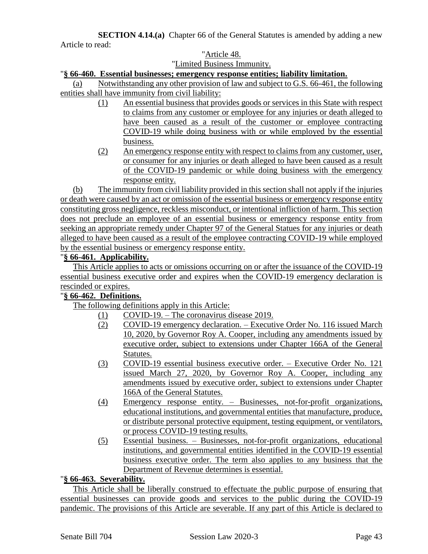**SECTION 4.14.(a)** Chapter 66 of the General Statutes is amended by adding a new Article to read:

#### "Article 48. "Limited Business Immunity.

#### "**§ 66-460. Essential businesses; emergency response entities; liability limitation.**

(a) Notwithstanding any other provision of law and subject to G.S. 66-461, the following entities shall have immunity from civil liability:

- (1) An essential business that provides goods or services in this State with respect to claims from any customer or employee for any injuries or death alleged to have been caused as a result of the customer or employee contracting COVID-19 while doing business with or while employed by the essential business.
- (2) An emergency response entity with respect to claims from any customer, user, or consumer for any injuries or death alleged to have been caused as a result of the COVID-19 pandemic or while doing business with the emergency response entity.

(b) The immunity from civil liability provided in this section shall not apply if the injuries or death were caused by an act or omission of the essential business or emergency response entity constituting gross negligence, reckless misconduct, or intentional infliction of harm. This section does not preclude an employee of an essential business or emergency response entity from seeking an appropriate remedy under Chapter 97 of the General Statues for any injuries or death alleged to have been caused as a result of the employee contracting COVID-19 while employed by the essential business or emergency response entity.

# "**§ 66-461. Applicability.**

This Article applies to acts or omissions occurring on or after the issuance of the COVID-19 essential business executive order and expires when the COVID-19 emergency declaration is rescinded or expires.

## "**§ 66-462. Definitions.**

The following definitions apply in this Article:

- (1) COVID-19. The coronavirus disease 2019.
- (2) COVID-19 emergency declaration. Executive Order No. 116 issued March 10, 2020, by Governor Roy A. Cooper, including any amendments issued by executive order, subject to extensions under Chapter 166A of the General Statutes.
- (3) COVID-19 essential business executive order. Executive Order No. 121 issued March 27, 2020, by Governor Roy A. Cooper, including any amendments issued by executive order, subject to extensions under Chapter 166A of the General Statutes.
- (4) Emergency response entity. Businesses, not-for-profit organizations, educational institutions, and governmental entities that manufacture, produce, or distribute personal protective equipment, testing equipment, or ventilators, or process COVID-19 testing results.
- (5) Essential business. Businesses, not-for-profit organizations, educational institutions, and governmental entities identified in the COVID-19 essential business executive order. The term also applies to any business that the Department of Revenue determines is essential.

## "**§ 66-463. Severability.**

This Article shall be liberally construed to effectuate the public purpose of ensuring that essential businesses can provide goods and services to the public during the COVID-19 pandemic. The provisions of this Article are severable. If any part of this Article is declared to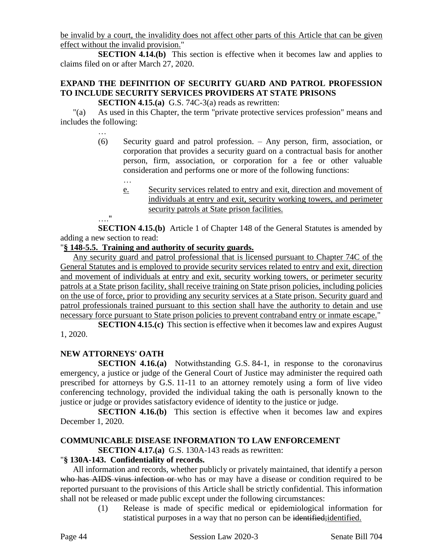be invalid by a court, the invalidity does not affect other parts of this Article that can be given effect without the invalid provision."

**SECTION 4.14.(b)** This section is effective when it becomes law and applies to claims filed on or after March 27, 2020.

# **EXPAND THE DEFINITION OF SECURITY GUARD AND PATROL PROFESSION TO INCLUDE SECURITY SERVICES PROVIDERS AT STATE PRISONS**

**SECTION 4.15.(a)** G.S. 74C-3(a) reads as rewritten:

"(a) As used in this Chapter, the term "private protective services profession" means and includes the following:

- (6) Security guard and patrol profession. Any person, firm, association, or corporation that provides a security guard on a contractual basis for another person, firm, association, or corporation for a fee or other valuable consideration and performs one or more of the following functions:
	- e. Security services related to entry and exit, direction and movement of individuals at entry and exit, security working towers, and perimeter security patrols at State prison facilities.

…."

…

**SECTION 4.15.(b)** Article 1 of Chapter 148 of the General Statutes is amended by adding a new section to read:

## "**§ 148-5.5. Training and authority of security guards.**

Any security guard and patrol professional that is licensed pursuant to Chapter 74C of the General Statutes and is employed to provide security services related to entry and exit, direction and movement of individuals at entry and exit, security working towers, or perimeter security patrols at a State prison facility, shall receive training on State prison policies, including policies on the use of force, prior to providing any security services at a State prison. Security guard and patrol professionals trained pursuant to this section shall have the authority to detain and use necessary force pursuant to State prison policies to prevent contraband entry or inmate escape."

**SECTION 4.15.(c)** This section is effective when it becomes law and expires August 1, 2020.

# **NEW ATTORNEYS' OATH**

**SECTION 4.16.(a)** Notwithstanding G.S. 84-1, in response to the coronavirus emergency, a justice or judge of the General Court of Justice may administer the required oath prescribed for attorneys by G.S. 11-11 to an attorney remotely using a form of live video conferencing technology, provided the individual taking the oath is personally known to the justice or judge or provides satisfactory evidence of identity to the justice or judge.

**SECTION 4.16.(b)** This section is effective when it becomes law and expires December 1, 2020.

# **COMMUNICABLE DISEASE INFORMATION TO LAW ENFORCEMENT**

**SECTION 4.17.(a)** G.S. 130A-143 reads as rewritten:

## "**§ 130A-143. Confidentiality of records.**

All information and records, whether publicly or privately maintained, that identify a person who has AIDS virus infection or who has or may have a disease or condition required to be reported pursuant to the provisions of this Article shall be strictly confidential. This information shall not be released or made public except under the following circumstances:

(1) Release is made of specific medical or epidemiological information for statistical purposes in a way that no person can be identified; identified.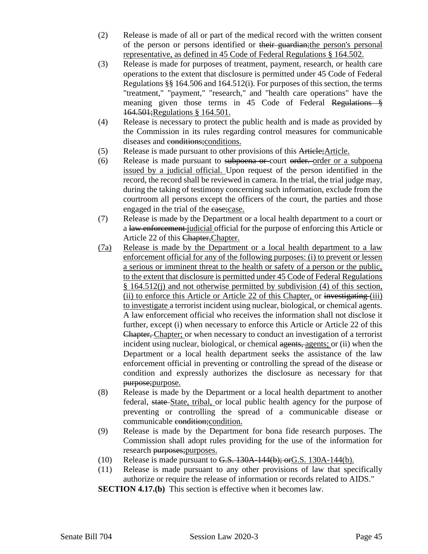- (2) Release is made of all or part of the medical record with the written consent of the person or persons identified or their guardian;the person's personal representative, as defined in 45 Code of Federal Regulations § 164.502.
- (3) Release is made for purposes of treatment, payment, research, or health care operations to the extent that disclosure is permitted under 45 Code of Federal Regulations §§ 164.506 and 164.512(i). For purposes of this section, the terms "treatment," "payment," "research," and "health care operations" have the meaning given those terms in 45 Code of Federal Regulations § 164.501;Regulations § 164.501.
- (4) Release is necessary to protect the public health and is made as provided by the Commission in its rules regarding control measures for communicable diseases and conditions;conditions.
- (5) Release is made pursuant to other provisions of this Article;Article.
- (6) Release is made pursuant to subpoena or court order. order or a subpoena issued by a judicial official. Upon request of the person identified in the record, the record shall be reviewed in camera. In the trial, the trial judge may, during the taking of testimony concerning such information, exclude from the courtroom all persons except the officers of the court, the parties and those engaged in the trial of the case;case.
- (7) Release is made by the Department or a local health department to a court or a law enforcement judicial official for the purpose of enforcing this Article or Article 22 of this Chapter,Chapter.
- (7a) Release is made by the Department or a local health department to a law enforcement official for any of the following purposes: (i) to prevent or lessen a serious or imminent threat to the health or safety of a person or the public, to the extent that disclosure is permitted under 45 Code of Federal Regulations § 164.512(j) and not otherwise permitted by subdivision (4) of this section, (ii) to enforce this Article or Article 22 of this Chapter, or investigating (iii) to investigate a terrorist incident using nuclear, biological, or chemical agents. A law enforcement official who receives the information shall not disclose it further, except (i) when necessary to enforce this Article or Article 22 of this Chapter, Chapter; or when necessary to conduct an investigation of a terrorist incident using nuclear, biological, or chemical agents, agents; or (ii) when the Department or a local health department seeks the assistance of the law enforcement official in preventing or controlling the spread of the disease or condition and expressly authorizes the disclosure as necessary for that purpose;purpose.
- (8) Release is made by the Department or a local health department to another federal, state State, tribal, or local public health agency for the purpose of preventing or controlling the spread of a communicable disease or communicable condition;condition.
- (9) Release is made by the Department for bona fide research purposes. The Commission shall adopt rules providing for the use of the information for research purposes;purposes.
- (10) Release is made pursuant to  $G.S. 130A-144(b)$ ; or  $G.S. 130A-144(b)$ .
- (11) Release is made pursuant to any other provisions of law that specifically authorize or require the release of information or records related to AIDS."

**SECTION 4.17.(b)** This section is effective when it becomes law.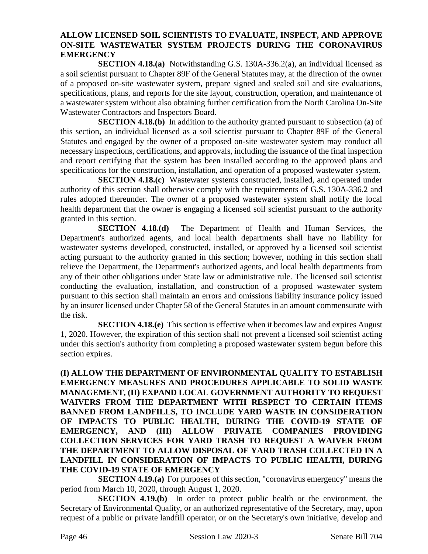#### **ALLOW LICENSED SOIL SCIENTISTS TO EVALUATE, INSPECT, AND APPROVE ON-SITE WASTEWATER SYSTEM PROJECTS DURING THE CORONAVIRUS EMERGENCY**

**SECTION 4.18.(a)** Notwithstanding G.S. 130A-336.2(a), an individual licensed as a soil scientist pursuant to Chapter 89F of the General Statutes may, at the direction of the owner of a proposed on-site wastewater system, prepare signed and sealed soil and site evaluations, specifications, plans, and reports for the site layout, construction, operation, and maintenance of a wastewater system without also obtaining further certification from the North Carolina On-Site Wastewater Contractors and Inspectors Board.

**SECTION 4.18.(b)** In addition to the authority granted pursuant to subsection (a) of this section, an individual licensed as a soil scientist pursuant to Chapter 89F of the General Statutes and engaged by the owner of a proposed on-site wastewater system may conduct all necessary inspections, certifications, and approvals, including the issuance of the final inspection and report certifying that the system has been installed according to the approved plans and specifications for the construction, installation, and operation of a proposed wastewater system.

**SECTION 4.18.(c)** Wastewater systems constructed, installed, and operated under authority of this section shall otherwise comply with the requirements of G.S. 130A-336.2 and rules adopted thereunder. The owner of a proposed wastewater system shall notify the local health department that the owner is engaging a licensed soil scientist pursuant to the authority granted in this section.

**SECTION 4.18.(d)** The Department of Health and Human Services, the Department's authorized agents, and local health departments shall have no liability for wastewater systems developed, constructed, installed, or approved by a licensed soil scientist acting pursuant to the authority granted in this section; however, nothing in this section shall relieve the Department, the Department's authorized agents, and local health departments from any of their other obligations under State law or administrative rule. The licensed soil scientist conducting the evaluation, installation, and construction of a proposed wastewater system pursuant to this section shall maintain an errors and omissions liability insurance policy issued by an insurer licensed under Chapter 58 of the General Statutes in an amount commensurate with the risk.

**SECTION 4.18.(e)** This section is effective when it becomes law and expires August 1, 2020. However, the expiration of this section shall not prevent a licensed soil scientist acting under this section's authority from completing a proposed wastewater system begun before this section expires.

**(I) ALLOW THE DEPARTMENT OF ENVIRONMENTAL QUALITY TO ESTABLISH EMERGENCY MEASURES AND PROCEDURES APPLICABLE TO SOLID WASTE MANAGEMENT, (II) EXPAND LOCAL GOVERNMENT AUTHORITY TO REQUEST WAIVERS FROM THE DEPARTMENT WITH RESPECT TO CERTAIN ITEMS BANNED FROM LANDFILLS, TO INCLUDE YARD WASTE IN CONSIDERATION OF IMPACTS TO PUBLIC HEALTH, DURING THE COVID-19 STATE OF EMERGENCY, AND (III) ALLOW PRIVATE COMPANIES PROVIDING COLLECTION SERVICES FOR YARD TRASH TO REQUEST A WAIVER FROM THE DEPARTMENT TO ALLOW DISPOSAL OF YARD TRASH COLLECTED IN A LANDFILL IN CONSIDERATION OF IMPACTS TO PUBLIC HEALTH, DURING THE COVID-19 STATE OF EMERGENCY**

**SECTION 4.19.(a)** For purposes of this section, "coronavirus emergency" means the period from March 10, 2020, through August 1, 2020.

**SECTION 4.19.(b)** In order to protect public health or the environment, the Secretary of Environmental Quality, or an authorized representative of the Secretary, may, upon request of a public or private landfill operator, or on the Secretary's own initiative, develop and

Page 46 Session Law 2020-3 Senate Bill 704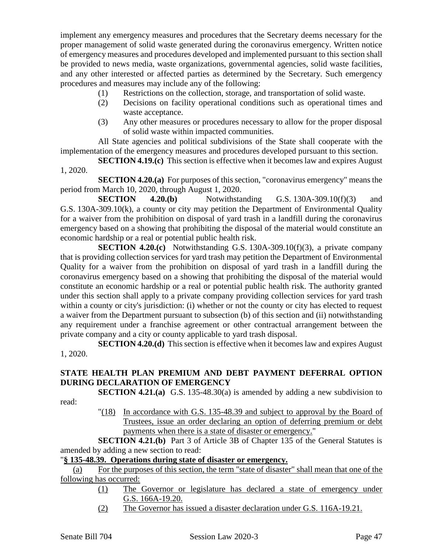implement any emergency measures and procedures that the Secretary deems necessary for the proper management of solid waste generated during the coronavirus emergency. Written notice of emergency measures and procedures developed and implemented pursuant to this section shall be provided to news media, waste organizations, governmental agencies, solid waste facilities, and any other interested or affected parties as determined by the Secretary. Such emergency procedures and measures may include any of the following:

- (1) Restrictions on the collection, storage, and transportation of solid waste.
- (2) Decisions on facility operational conditions such as operational times and waste acceptance.
- (3) Any other measures or procedures necessary to allow for the proper disposal of solid waste within impacted communities.

All State agencies and political subdivisions of the State shall cooperate with the implementation of the emergency measures and procedures developed pursuant to this section.

**SECTION 4.19.(c)** This section is effective when it becomes law and expires August 1, 2020.

**SECTION 4.20.(a)** For purposes of this section, "coronavirus emergency" means the period from March 10, 2020, through August 1, 2020.

**SECTION** 4.20.(b) Notwithstanding G.S. 130A-309.10(f)(3) and G.S. 130A-309.10(k), a county or city may petition the Department of Environmental Quality for a waiver from the prohibition on disposal of yard trash in a landfill during the coronavirus emergency based on a showing that prohibiting the disposal of the material would constitute an economic hardship or a real or potential public health risk.

**SECTION 4.20.(c)** Notwithstanding G.S. 130A-309.10(f)(3), a private company that is providing collection services for yard trash may petition the Department of Environmental Quality for a waiver from the prohibition on disposal of yard trash in a landfill during the coronavirus emergency based on a showing that prohibiting the disposal of the material would constitute an economic hardship or a real or potential public health risk. The authority granted under this section shall apply to a private company providing collection services for yard trash within a county or city's jurisdiction: (i) whether or not the county or city has elected to request a waiver from the Department pursuant to subsection (b) of this section and (ii) notwithstanding any requirement under a franchise agreement or other contractual arrangement between the private company and a city or county applicable to yard trash disposal.

**SECTION 4.20.(d)** This section is effective when it becomes law and expires August 1, 2020.

## **STATE HEALTH PLAN PREMIUM AND DEBT PAYMENT DEFERRAL OPTION DURING DECLARATION OF EMERGENCY**

**SECTION 4.21.(a)** G.S. 135-48.30(a) is amended by adding a new subdivision to

read:

"(18) In accordance with G.S. 135-48.39 and subject to approval by the Board of Trustees, issue an order declaring an option of deferring premium or debt payments when there is a state of disaster or emergency."

**SECTION 4.21.(b)** Part 3 of Article 3B of Chapter 135 of the General Statutes is amended by adding a new section to read:

## "**§ 135-48.39. Operations during state of disaster or emergency.**

(a) For the purposes of this section, the term "state of disaster" shall mean that one of the following has occurred:

- (1) The Governor or legislature has declared a state of emergency under G.S. 166A-19.20.
- (2) The Governor has issued a disaster declaration under G.S. 116A-19.21.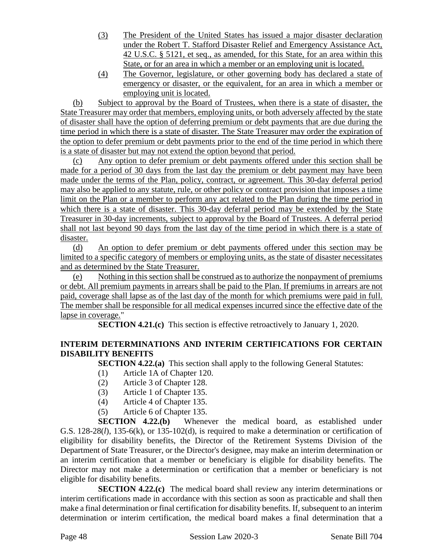- (3) The President of the United States has issued a major disaster declaration under the Robert T. Stafford Disaster Relief and Emergency Assistance Act, 42 U.S.C. § 5121, et seq., as amended, for this State, for an area within this State, or for an area in which a member or an employing unit is located.
- (4) The Governor, legislature, or other governing body has declared a state of emergency or disaster, or the equivalent, for an area in which a member or employing unit is located.

(b) Subject to approval by the Board of Trustees, when there is a state of disaster, the State Treasurer may order that members, employing units, or both adversely affected by the state of disaster shall have the option of deferring premium or debt payments that are due during the time period in which there is a state of disaster. The State Treasurer may order the expiration of the option to defer premium or debt payments prior to the end of the time period in which there is a state of disaster but may not extend the option beyond that period.

(c) Any option to defer premium or debt payments offered under this section shall be made for a period of 30 days from the last day the premium or debt payment may have been made under the terms of the Plan, policy, contract, or agreement. This 30-day deferral period may also be applied to any statute, rule, or other policy or contract provision that imposes a time limit on the Plan or a member to perform any act related to the Plan during the time period in which there is a state of disaster. This 30-day deferral period may be extended by the State Treasurer in 30-day increments, subject to approval by the Board of Trustees. A deferral period shall not last beyond 90 days from the last day of the time period in which there is a state of disaster.

(d) An option to defer premium or debt payments offered under this section may be limited to a specific category of members or employing units, as the state of disaster necessitates and as determined by the State Treasurer.

(e) Nothing in this section shall be construed as to authorize the nonpayment of premiums or debt. All premium payments in arrears shall be paid to the Plan. If premiums in arrears are not paid, coverage shall lapse as of the last day of the month for which premiums were paid in full. The member shall be responsible for all medical expenses incurred since the effective date of the lapse in coverage."

**SECTION 4.21.(c)** This section is effective retroactively to January 1, 2020.

# **INTERIM DETERMINATIONS AND INTERIM CERTIFICATIONS FOR CERTAIN DISABILITY BENEFITS**

**SECTION 4.22.(a)** This section shall apply to the following General Statutes:

- (1) Article 1A of Chapter 120.
- (2) Article 3 of Chapter 128.
- (3) Article 1 of Chapter 135.
- (4) Article 4 of Chapter 135.
- (5) Article 6 of Chapter 135.

**SECTION 4.22.(b)** Whenever the medical board, as established under G.S. 128-28(*l*), 135-6(k), or 135-102(d), is required to make a determination or certification of eligibility for disability benefits, the Director of the Retirement Systems Division of the Department of State Treasurer, or the Director's designee, may make an interim determination or an interim certification that a member or beneficiary is eligible for disability benefits. The Director may not make a determination or certification that a member or beneficiary is not eligible for disability benefits.

**SECTION 4.22.(c)** The medical board shall review any interim determinations or interim certifications made in accordance with this section as soon as practicable and shall then make a final determination or final certification for disability benefits. If, subsequent to an interim determination or interim certification, the medical board makes a final determination that a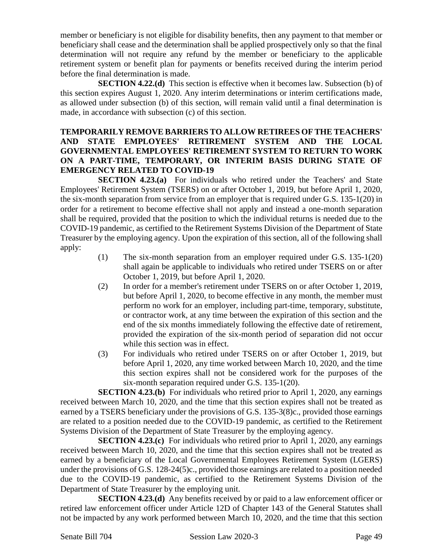member or beneficiary is not eligible for disability benefits, then any payment to that member or beneficiary shall cease and the determination shall be applied prospectively only so that the final determination will not require any refund by the member or beneficiary to the applicable retirement system or benefit plan for payments or benefits received during the interim period before the final determination is made.

**SECTION 4.22.(d)** This section is effective when it becomes law. Subsection (b) of this section expires August 1, 2020. Any interim determinations or interim certifications made, as allowed under subsection (b) of this section, will remain valid until a final determination is made, in accordance with subsection (c) of this section.

#### **TEMPORARILY REMOVE BARRIERS TO ALLOW RETIREES OF THE TEACHERS' AND STATE EMPLOYEES' RETIREMENT SYSTEM AND THE LOCAL GOVERNMENTAL EMPLOYEES' RETIREMENT SYSTEM TO RETURN TO WORK ON A PART-TIME, TEMPORARY, OR INTERIM BASIS DURING STATE OF EMERGENCY RELATED TO COVID-19**

**SECTION 4.23.(a)** For individuals who retired under the Teachers' and State Employees' Retirement System (TSERS) on or after October 1, 2019, but before April 1, 2020, the six-month separation from service from an employer that is required under G.S. 135-1(20) in order for a retirement to become effective shall not apply and instead a one-month separation shall be required, provided that the position to which the individual returns is needed due to the COVID-19 pandemic, as certified to the Retirement Systems Division of the Department of State Treasurer by the employing agency. Upon the expiration of this section, all of the following shall apply:

- (1) The six-month separation from an employer required under G.S. 135-1(20) shall again be applicable to individuals who retired under TSERS on or after October 1, 2019, but before April 1, 2020.
- (2) In order for a member's retirement under TSERS on or after October 1, 2019, but before April 1, 2020, to become effective in any month, the member must perform no work for an employer, including part-time, temporary, substitute, or contractor work, at any time between the expiration of this section and the end of the six months immediately following the effective date of retirement, provided the expiration of the six-month period of separation did not occur while this section was in effect.
- (3) For individuals who retired under TSERS on or after October 1, 2019, but before April 1, 2020, any time worked between March 10, 2020, and the time this section expires shall not be considered work for the purposes of the six-month separation required under G.S. 135-1(20).

**SECTION 4.23.(b)** For individuals who retired prior to April 1, 2020, any earnings received between March 10, 2020, and the time that this section expires shall not be treated as earned by a TSERS beneficiary under the provisions of G.S. 135-3(8)c., provided those earnings are related to a position needed due to the COVID-19 pandemic, as certified to the Retirement Systems Division of the Department of State Treasurer by the employing agency.

**SECTION 4.23.(c)** For individuals who retired prior to April 1, 2020, any earnings received between March 10, 2020, and the time that this section expires shall not be treated as earned by a beneficiary of the Local Governmental Employees Retirement System (LGERS) under the provisions of G.S. 128-24(5)c., provided those earnings are related to a position needed due to the COVID-19 pandemic, as certified to the Retirement Systems Division of the Department of State Treasurer by the employing unit.

**SECTION 4.23.(d)** Any benefits received by or paid to a law enforcement officer or retired law enforcement officer under Article 12D of Chapter 143 of the General Statutes shall not be impacted by any work performed between March 10, 2020, and the time that this section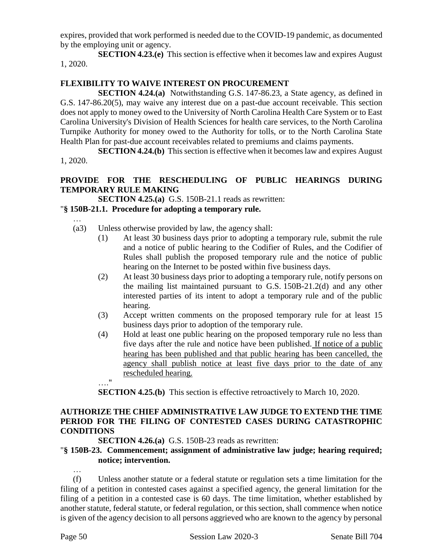expires, provided that work performed is needed due to the COVID-19 pandemic, as documented by the employing unit or agency.

**SECTION 4.23.(e)** This section is effective when it becomes law and expires August 1, 2020.

#### **FLEXIBILITY TO WAIVE INTEREST ON PROCUREMENT**

**SECTION 4.24.(a)** Notwithstanding G.S. 147-86.23, a State agency, as defined in G.S. 147-86.20(5), may waive any interest due on a past-due account receivable. This section does not apply to money owed to the University of North Carolina Health Care System or to East Carolina University's Division of Health Sciences for health care services, to the North Carolina Turnpike Authority for money owed to the Authority for tolls, or to the North Carolina State Health Plan for past-due account receivables related to premiums and claims payments.

**SECTION 4.24.(b)** This section is effective when it becomes law and expires August 1, 2020.

## **PROVIDE FOR THE RESCHEDULING OF PUBLIC HEARINGS DURING TEMPORARY RULE MAKING**

**SECTION 4.25.(a)** G.S. 150B-21.1 reads as rewritten:

#### "**§ 150B-21.1. Procedure for adopting a temporary rule.**

…

- (a3) Unless otherwise provided by law, the agency shall:
	- (1) At least 30 business days prior to adopting a temporary rule, submit the rule and a notice of public hearing to the Codifier of Rules, and the Codifier of Rules shall publish the proposed temporary rule and the notice of public hearing on the Internet to be posted within five business days.
	- (2) At least 30 business days prior to adopting a temporary rule, notify persons on the mailing list maintained pursuant to G.S. 150B-21.2(d) and any other interested parties of its intent to adopt a temporary rule and of the public hearing.
	- (3) Accept written comments on the proposed temporary rule for at least 15 business days prior to adoption of the temporary rule.
	- (4) Hold at least one public hearing on the proposed temporary rule no less than five days after the rule and notice have been published. If notice of a public hearing has been published and that public hearing has been cancelled, the agency shall publish notice at least five days prior to the date of any rescheduled hearing.

**SECTION 4.25.(b)** This section is effective retroactively to March 10, 2020.

# **AUTHORIZE THE CHIEF ADMINISTRATIVE LAW JUDGE TO EXTEND THE TIME PERIOD FOR THE FILING OF CONTESTED CASES DURING CATASTROPHIC CONDITIONS**

**SECTION 4.26.(a)** G.S. 150B-23 reads as rewritten:

#### "**§ 150B-23. Commencement; assignment of administrative law judge; hearing required; notice; intervention.**

…

…."

(f) Unless another statute or a federal statute or regulation sets a time limitation for the filing of a petition in contested cases against a specified agency, the general limitation for the filing of a petition in a contested case is 60 days. The time limitation, whether established by another statute, federal statute, or federal regulation, or this section, shall commence when notice is given of the agency decision to all persons aggrieved who are known to the agency by personal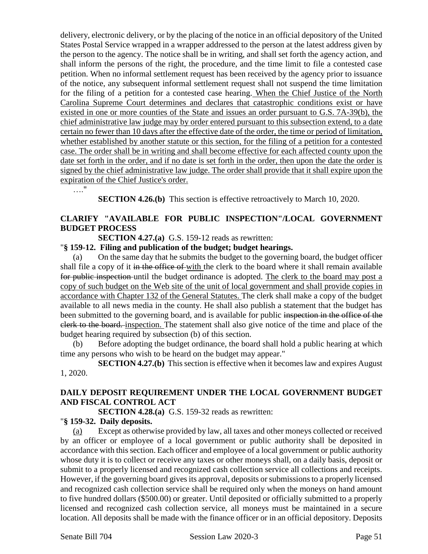delivery, electronic delivery, or by the placing of the notice in an official depository of the United States Postal Service wrapped in a wrapper addressed to the person at the latest address given by the person to the agency. The notice shall be in writing, and shall set forth the agency action, and shall inform the persons of the right, the procedure, and the time limit to file a contested case petition. When no informal settlement request has been received by the agency prior to issuance of the notice, any subsequent informal settlement request shall not suspend the time limitation for the filing of a petition for a contested case hearing. When the Chief Justice of the North Carolina Supreme Court determines and declares that catastrophic conditions exist or have existed in one or more counties of the State and issues an order pursuant to G.S. 7A-39(b), the chief administrative law judge may by order entered pursuant to this subsection extend, to a date certain no fewer than 10 days after the effective date of the order, the time or period of limitation, whether established by another statute or this section, for the filing of a petition for a contested case. The order shall be in writing and shall become effective for each affected county upon the date set forth in the order, and if no date is set forth in the order, then upon the date the order is signed by the chief administrative law judge. The order shall provide that it shall expire upon the expiration of the Chief Justice's order.

…."

**SECTION 4.26.(b)** This section is effective retroactively to March 10, 2020.

## **CLARIFY "AVAILABLE FOR PUBLIC INSPECTION"/LOCAL GOVERNMENT BUDGET PROCESS**

**SECTION 4.27.(a)** G.S. 159-12 reads as rewritten:

#### "**§ 159-12. Filing and publication of the budget; budget hearings.**

(a) On the same day that he submits the budget to the governing board, the budget officer shall file a copy of it in the office of with the clerk to the board where it shall remain available for public inspection until the budget ordinance is adopted. The clerk to the board may post a copy of such budget on the Web site of the unit of local government and shall provide copies in accordance with Chapter 132 of the General Statutes. The clerk shall make a copy of the budget available to all news media in the county. He shall also publish a statement that the budget has been submitted to the governing board, and is available for public inspection in the office of the clerk to the board. inspection. The statement shall also give notice of the time and place of the budget hearing required by subsection (b) of this section.

(b) Before adopting the budget ordinance, the board shall hold a public hearing at which time any persons who wish to be heard on the budget may appear."

**SECTION 4.27.(b)** This section is effective when it becomes law and expires August 1, 2020.

## **DAILY DEPOSIT REQUIREMENT UNDER THE LOCAL GOVERNMENT BUDGET AND FISCAL CONTROL ACT**

**SECTION 4.28.(a)** G.S. 159-32 reads as rewritten:

#### "**§ 159-32. Daily deposits.**

(a) Except as otherwise provided by law, all taxes and other moneys collected or received by an officer or employee of a local government or public authority shall be deposited in accordance with this section. Each officer and employee of a local government or public authority whose duty it is to collect or receive any taxes or other moneys shall, on a daily basis, deposit or submit to a properly licensed and recognized cash collection service all collections and receipts. However, if the governing board gives its approval, deposits or submissions to a properly licensed and recognized cash collection service shall be required only when the moneys on hand amount to five hundred dollars (\$500.00) or greater. Until deposited or officially submitted to a properly licensed and recognized cash collection service, all moneys must be maintained in a secure location. All deposits shall be made with the finance officer or in an official depository. Deposits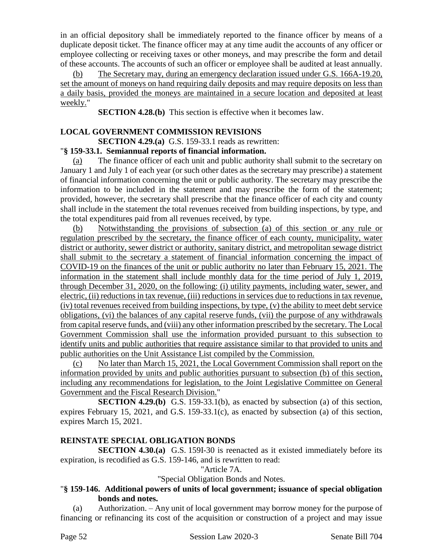in an official depository shall be immediately reported to the finance officer by means of a duplicate deposit ticket. The finance officer may at any time audit the accounts of any officer or employee collecting or receiving taxes or other moneys, and may prescribe the form and detail of these accounts. The accounts of such an officer or employee shall be audited at least annually.

(b) The Secretary may, during an emergency declaration issued under G.S. 166A-19.20, set the amount of moneys on hand requiring daily deposits and may require deposits on less than a daily basis, provided the moneys are maintained in a secure location and deposited at least weekly."

**SECTION 4.28.(b)** This section is effective when it becomes law.

#### **LOCAL GOVERNMENT COMMISSION REVISIONS**

**SECTION 4.29.(a)** G.S. 159-33.1 reads as rewritten:

## "**§ 159-33.1. Semiannual reports of financial information.**

(a) The finance officer of each unit and public authority shall submit to the secretary on January 1 and July 1 of each year (or such other dates as the secretary may prescribe) a statement of financial information concerning the unit or public authority. The secretary may prescribe the information to be included in the statement and may prescribe the form of the statement; provided, however, the secretary shall prescribe that the finance officer of each city and county shall include in the statement the total revenues received from building inspections, by type, and the total expenditures paid from all revenues received, by type.

(b) Notwithstanding the provisions of subsection (a) of this section or any rule or regulation prescribed by the secretary, the finance officer of each county, municipality, water district or authority, sewer district or authority, sanitary district, and metropolitan sewage district shall submit to the secretary a statement of financial information concerning the impact of COVID-19 on the finances of the unit or public authority no later than February 15, 2021. The information in the statement shall include monthly data for the time period of July 1, 2019, through December 31, 2020, on the following: (i) utility payments, including water, sewer, and electric, (ii) reductions in tax revenue, (iii) reductions in services due to reductions in tax revenue, (iv) total revenues received from building inspections, by type, (v) the ability to meet debt service obligations, (vi) the balances of any capital reserve funds, (vii) the purpose of any withdrawals from capital reserve funds, and (viii) any other information prescribed by the secretary. The Local Government Commission shall use the information provided pursuant to this subsection to identify units and public authorities that require assistance similar to that provided to units and public authorities on the Unit Assistance List compiled by the Commission.

No later than March 15, 2021, the Local Government Commission shall report on the information provided by units and public authorities pursuant to subsection (b) of this section, including any recommendations for legislation, to the Joint Legislative Committee on General Government and the Fiscal Research Division."

**SECTION 4.29.(b)** G.S. 159-33.1(b), as enacted by subsection (a) of this section, expires February 15, 2021, and G.S. 159-33.1(c), as enacted by subsection (a) of this section, expires March 15, 2021.

## **REINSTATE SPECIAL OBLIGATION BONDS**

**SECTION 4.30.(a)** G.S. 159I-30 is reenacted as it existed immediately before its expiration, is recodified as G.S. 159-146, and is rewritten to read:

"Article 7A.

"Special Obligation Bonds and Notes.

## "**§ 159-146. Additional powers of units of local government; issuance of special obligation bonds and notes.**

(a) Authorization. – Any unit of local government may borrow money for the purpose of financing or refinancing its cost of the acquisition or construction of a project and may issue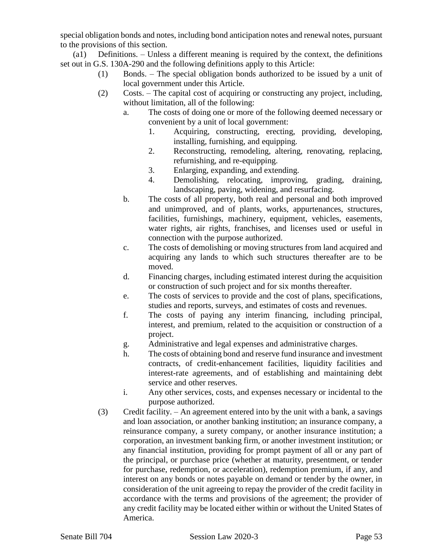special obligation bonds and notes, including bond anticipation notes and renewal notes, pursuant to the provisions of this section.

(a1) Definitions. – Unless a different meaning is required by the context, the definitions set out in G.S. 130A-290 and the following definitions apply to this Article:

- (1) Bonds. The special obligation bonds authorized to be issued by a unit of local government under this Article.
- (2) Costs. The capital cost of acquiring or constructing any project, including, without limitation, all of the following:
	- a. The costs of doing one or more of the following deemed necessary or convenient by a unit of local government:
		- 1. Acquiring, constructing, erecting, providing, developing, installing, furnishing, and equipping.
		- 2. Reconstructing, remodeling, altering, renovating, replacing, refurnishing, and re-equipping.
		- 3. Enlarging, expanding, and extending.
		- 4. Demolishing, relocating, improving, grading, draining, landscaping, paving, widening, and resurfacing.
	- b. The costs of all property, both real and personal and both improved and unimproved, and of plants, works, appurtenances, structures, facilities, furnishings, machinery, equipment, vehicles, easements, water rights, air rights, franchises, and licenses used or useful in connection with the purpose authorized.
	- c. The costs of demolishing or moving structures from land acquired and acquiring any lands to which such structures thereafter are to be moved.
	- d. Financing charges, including estimated interest during the acquisition or construction of such project and for six months thereafter.
	- e. The costs of services to provide and the cost of plans, specifications, studies and reports, surveys, and estimates of costs and revenues.
	- f. The costs of paying any interim financing, including principal, interest, and premium, related to the acquisition or construction of a project.
	- g. Administrative and legal expenses and administrative charges.
	- h. The costs of obtaining bond and reserve fund insurance and investment contracts, of credit-enhancement facilities, liquidity facilities and interest-rate agreements, and of establishing and maintaining debt service and other reserves.
	- i. Any other services, costs, and expenses necessary or incidental to the purpose authorized.
- (3) Credit facility. An agreement entered into by the unit with a bank, a savings and loan association, or another banking institution; an insurance company, a reinsurance company, a surety company, or another insurance institution; a corporation, an investment banking firm, or another investment institution; or any financial institution, providing for prompt payment of all or any part of the principal, or purchase price (whether at maturity, presentment, or tender for purchase, redemption, or acceleration), redemption premium, if any, and interest on any bonds or notes payable on demand or tender by the owner, in consideration of the unit agreeing to repay the provider of the credit facility in accordance with the terms and provisions of the agreement; the provider of any credit facility may be located either within or without the United States of America.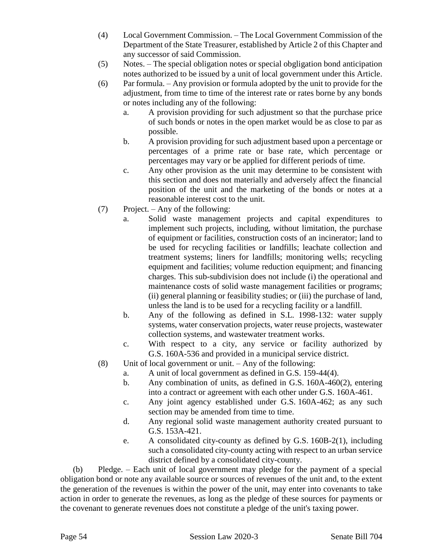- (4) Local Government Commission. The Local Government Commission of the Department of the State Treasurer, established by Article 2 of this Chapter and any successor of said Commission.
- (5) Notes. The special obligation notes or special obgligation bond anticipation notes authorized to be issued by a unit of local government under this Article.
- (6) Par formula. Any provision or formula adopted by the unit to provide for the adjustment, from time to time of the interest rate or rates borne by any bonds or notes including any of the following:
	- a. A provision providing for such adjustment so that the purchase price of such bonds or notes in the open market would be as close to par as possible.
	- b. A provision providing for such adjustment based upon a percentage or percentages of a prime rate or base rate, which percentage or percentages may vary or be applied for different periods of time.
	- c. Any other provision as the unit may determine to be consistent with this section and does not materially and adversely affect the financial position of the unit and the marketing of the bonds or notes at a reasonable interest cost to the unit.
- (7) Project. Any of the following:
	- a. Solid waste management projects and capital expenditures to implement such projects, including, without limitation, the purchase of equipment or facilities, construction costs of an incinerator; land to be used for recycling facilities or landfills; leachate collection and treatment systems; liners for landfills; monitoring wells; recycling equipment and facilities; volume reduction equipment; and financing charges. This sub-subdivision does not include (i) the operational and maintenance costs of solid waste management facilities or programs; (ii) general planning or feasibility studies; or (iii) the purchase of land, unless the land is to be used for a recycling facility or a landfill.
	- b. Any of the following as defined in S.L. 1998-132: water supply systems, water conservation projects, water reuse projects, wastewater collection systems, and wastewater treatment works.
	- c. With respect to a city, any service or facility authorized by G.S. 160A-536 and provided in a municipal service district.
- (8) Unit of local government or unit. Any of the following:
	- a. A unit of local government as defined in G.S. 159-44(4).
	- b. Any combination of units, as defined in G.S. 160A-460(2), entering into a contract or agreement with each other under G.S. 160A-461.
	- c. Any joint agency established under G.S. 160A-462; as any such section may be amended from time to time.
	- d. Any regional solid waste management authority created pursuant to G.S. 153A-421.
	- e. A consolidated city-county as defined by G.S. 160B-2(1), including such a consolidated city-county acting with respect to an urban service district defined by a consolidated city-county.

(b) Pledge. – Each unit of local government may pledge for the payment of a special obligation bond or note any available source or sources of revenues of the unit and, to the extent the generation of the revenues is within the power of the unit, may enter into covenants to take action in order to generate the revenues, as long as the pledge of these sources for payments or the covenant to generate revenues does not constitute a pledge of the unit's taxing power.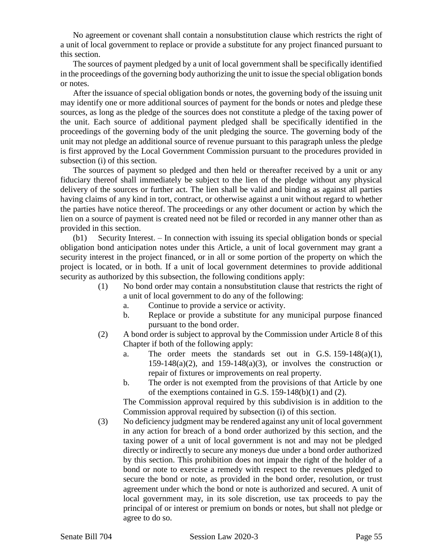No agreement or covenant shall contain a nonsubstitution clause which restricts the right of a unit of local government to replace or provide a substitute for any project financed pursuant to this section.

The sources of payment pledged by a unit of local government shall be specifically identified in the proceedings of the governing body authorizing the unit to issue the special obligation bonds or notes.

After the issuance of special obligation bonds or notes, the governing body of the issuing unit may identify one or more additional sources of payment for the bonds or notes and pledge these sources, as long as the pledge of the sources does not constitute a pledge of the taxing power of the unit. Each source of additional payment pledged shall be specifically identified in the proceedings of the governing body of the unit pledging the source. The governing body of the unit may not pledge an additional source of revenue pursuant to this paragraph unless the pledge is first approved by the Local Government Commission pursuant to the procedures provided in subsection (i) of this section.

The sources of payment so pledged and then held or thereafter received by a unit or any fiduciary thereof shall immediately be subject to the lien of the pledge without any physical delivery of the sources or further act. The lien shall be valid and binding as against all parties having claims of any kind in tort, contract, or otherwise against a unit without regard to whether the parties have notice thereof. The proceedings or any other document or action by which the lien on a source of payment is created need not be filed or recorded in any manner other than as provided in this section.

(b1) Security Interest. – In connection with issuing its special obligation bonds or special obligation bond anticipation notes under this Article, a unit of local government may grant a security interest in the project financed, or in all or some portion of the property on which the project is located, or in both. If a unit of local government determines to provide additional security as authorized by this subsection, the following conditions apply:

- (1) No bond order may contain a nonsubstitution clause that restricts the right of a unit of local government to do any of the following:
	- a. Continue to provide a service or activity.
	- b. Replace or provide a substitute for any municipal purpose financed pursuant to the bond order.
- (2) A bond order is subject to approval by the Commission under Article 8 of this Chapter if both of the following apply:
	- a. The order meets the standards set out in G.S. 159-148(a)(1), 159-148(a)(2), and 159-148(a)(3), or involves the construction or repair of fixtures or improvements on real property.
	- b. The order is not exempted from the provisions of that Article by one of the exemptions contained in G.S. 159-148(b)(1) and (2).

The Commission approval required by this subdivision is in addition to the Commission approval required by subsection (i) of this section.

(3) No deficiency judgment may be rendered against any unit of local government in any action for breach of a bond order authorized by this section, and the taxing power of a unit of local government is not and may not be pledged directly or indirectly to secure any moneys due under a bond order authorized by this section. This prohibition does not impair the right of the holder of a bond or note to exercise a remedy with respect to the revenues pledged to secure the bond or note, as provided in the bond order, resolution, or trust agreement under which the bond or note is authorized and secured. A unit of local government may, in its sole discretion, use tax proceeds to pay the principal of or interest or premium on bonds or notes, but shall not pledge or agree to do so.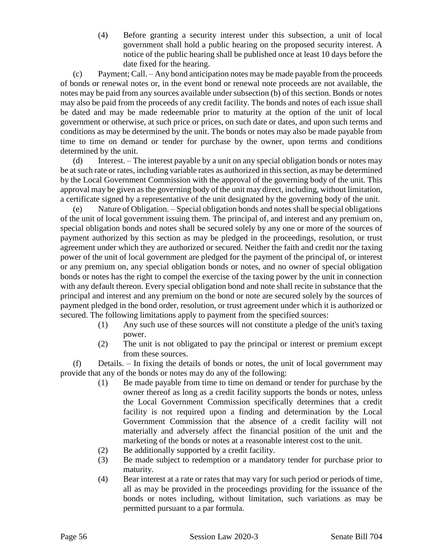(4) Before granting a security interest under this subsection, a unit of local government shall hold a public hearing on the proposed security interest. A notice of the public hearing shall be published once at least 10 days before the date fixed for the hearing.

(c) Payment; Call. – Any bond anticipation notes may be made payable from the proceeds of bonds or renewal notes or, in the event bond or renewal note proceeds are not available, the notes may be paid from any sources available under subsection (b) of this section. Bonds or notes may also be paid from the proceeds of any credit facility. The bonds and notes of each issue shall be dated and may be made redeemable prior to maturity at the option of the unit of local government or otherwise, at such price or prices, on such date or dates, and upon such terms and conditions as may be determined by the unit. The bonds or notes may also be made payable from time to time on demand or tender for purchase by the owner, upon terms and conditions determined by the unit.

(d) Interest. – The interest payable by a unit on any special obligation bonds or notes may be at such rate or rates, including variable rates as authorized in this section, as may be determined by the Local Government Commission with the approval of the governing body of the unit. This approval may be given as the governing body of the unit may direct, including, without limitation, a certificate signed by a representative of the unit designated by the governing body of the unit.

(e) Nature of Obligation. – Special obligation bonds and notes shall be special obligations of the unit of local government issuing them. The principal of, and interest and any premium on, special obligation bonds and notes shall be secured solely by any one or more of the sources of payment authorized by this section as may be pledged in the proceedings, resolution, or trust agreement under which they are authorized or secured. Neither the faith and credit nor the taxing power of the unit of local government are pledged for the payment of the principal of, or interest or any premium on, any special obligation bonds or notes, and no owner of special obligation bonds or notes has the right to compel the exercise of the taxing power by the unit in connection with any default thereon. Every special obligation bond and note shall recite in substance that the principal and interest and any premium on the bond or note are secured solely by the sources of payment pledged in the bond order, resolution, or trust agreement under which it is authorized or secured. The following limitations apply to payment from the specified sources:

- (1) Any such use of these sources will not constitute a pledge of the unit's taxing power.
- (2) The unit is not obligated to pay the principal or interest or premium except from these sources.

(f) Details. – In fixing the details of bonds or notes, the unit of local government may provide that any of the bonds or notes may do any of the following:

- (1) Be made payable from time to time on demand or tender for purchase by the owner thereof as long as a credit facility supports the bonds or notes, unless the Local Government Commission specifically determines that a credit facility is not required upon a finding and determination by the Local Government Commission that the absence of a credit facility will not materially and adversely affect the financial position of the unit and the marketing of the bonds or notes at a reasonable interest cost to the unit.
- (2) Be additionally supported by a credit facility.
- (3) Be made subject to redemption or a mandatory tender for purchase prior to maturity.
- (4) Bear interest at a rate or rates that may vary for such period or periods of time, all as may be provided in the proceedings providing for the issuance of the bonds or notes including, without limitation, such variations as may be permitted pursuant to a par formula.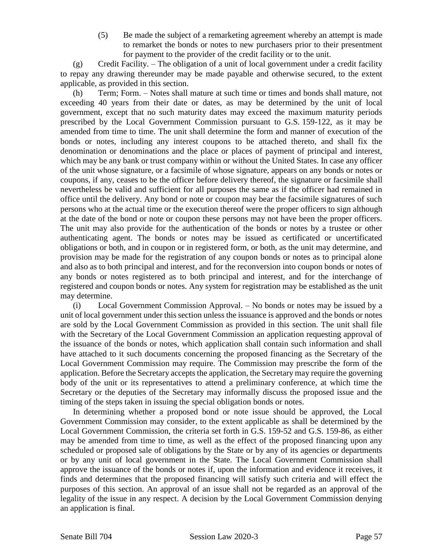(5) Be made the subject of a remarketing agreement whereby an attempt is made to remarket the bonds or notes to new purchasers prior to their presentment for payment to the provider of the credit facility or to the unit.

(g) Credit Facility. – The obligation of a unit of local government under a credit facility to repay any drawing thereunder may be made payable and otherwise secured, to the extent applicable, as provided in this section.

(h) Term; Form. – Notes shall mature at such time or times and bonds shall mature, not exceeding 40 years from their date or dates, as may be determined by the unit of local government, except that no such maturity dates may exceed the maximum maturity periods prescribed by the Local Government Commission pursuant to G.S. 159-122, as it may be amended from time to time. The unit shall determine the form and manner of execution of the bonds or notes, including any interest coupons to be attached thereto, and shall fix the denomination or denominations and the place or places of payment of principal and interest, which may be any bank or trust company within or without the United States. In case any officer of the unit whose signature, or a facsimile of whose signature, appears on any bonds or notes or coupons, if any, ceases to be the officer before delivery thereof, the signature or facsimile shall nevertheless be valid and sufficient for all purposes the same as if the officer had remained in office until the delivery. Any bond or note or coupon may bear the facsimile signatures of such persons who at the actual time or the execution thereof were the proper officers to sign although at the date of the bond or note or coupon these persons may not have been the proper officers. The unit may also provide for the authentication of the bonds or notes by a trustee or other authenticating agent. The bonds or notes may be issued as certificated or uncertificated obligations or both, and in coupon or in registered form, or both, as the unit may determine, and provision may be made for the registration of any coupon bonds or notes as to principal alone and also as to both principal and interest, and for the reconversion into coupon bonds or notes of any bonds or notes registered as to both principal and interest, and for the interchange of registered and coupon bonds or notes. Any system for registration may be established as the unit may determine.

(i) Local Government Commission Approval. – No bonds or notes may be issued by a unit of local government under this section unless the issuance is approved and the bonds or notes are sold by the Local Government Commission as provided in this section. The unit shall file with the Secretary of the Local Government Commission an application requesting approval of the issuance of the bonds or notes, which application shall contain such information and shall have attached to it such documents concerning the proposed financing as the Secretary of the Local Government Commission may require. The Commission may prescribe the form of the application. Before the Secretary accepts the application, the Secretary may require the governing body of the unit or its representatives to attend a preliminary conference, at which time the Secretary or the deputies of the Secretary may informally discuss the proposed issue and the timing of the steps taken in issuing the special obligation bonds or notes.

In determining whether a proposed bond or note issue should be approved, the Local Government Commission may consider, to the extent applicable as shall be determined by the Local Government Commission, the criteria set forth in G.S. 159-52 and G.S. 159-86, as either may be amended from time to time, as well as the effect of the proposed financing upon any scheduled or proposed sale of obligations by the State or by any of its agencies or departments or by any unit of local government in the State. The Local Government Commission shall approve the issuance of the bonds or notes if, upon the information and evidence it receives, it finds and determines that the proposed financing will satisfy such criteria and will effect the purposes of this section. An approval of an issue shall not be regarded as an approval of the legality of the issue in any respect. A decision by the Local Government Commission denying an application is final.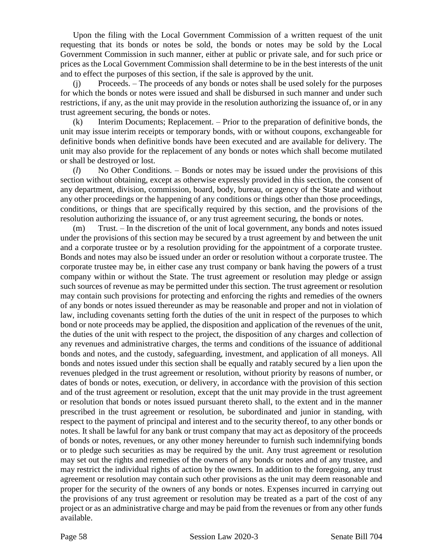Upon the filing with the Local Government Commission of a written request of the unit requesting that its bonds or notes be sold, the bonds or notes may be sold by the Local Government Commission in such manner, either at public or private sale, and for such price or prices as the Local Government Commission shall determine to be in the best interests of the unit and to effect the purposes of this section, if the sale is approved by the unit.

(j) Proceeds. – The proceeds of any bonds or notes shall be used solely for the purposes for which the bonds or notes were issued and shall be disbursed in such manner and under such restrictions, if any, as the unit may provide in the resolution authorizing the issuance of, or in any trust agreement securing, the bonds or notes.

(k) Interim Documents; Replacement. – Prior to the preparation of definitive bonds, the unit may issue interim receipts or temporary bonds, with or without coupons, exchangeable for definitive bonds when definitive bonds have been executed and are available for delivery. The unit may also provide for the replacement of any bonds or notes which shall become mutilated or shall be destroyed or lost.

(*l*) No Other Conditions. – Bonds or notes may be issued under the provisions of this section without obtaining, except as otherwise expressly provided in this section, the consent of any department, division, commission, board, body, bureau, or agency of the State and without any other proceedings or the happening of any conditions or things other than those proceedings, conditions, or things that are specifically required by this section, and the provisions of the resolution authorizing the issuance of, or any trust agreement securing, the bonds or notes.

(m) Trust. – In the discretion of the unit of local government, any bonds and notes issued under the provisions of this section may be secured by a trust agreement by and between the unit and a corporate trustee or by a resolution providing for the appointment of a corporate trustee. Bonds and notes may also be issued under an order or resolution without a corporate trustee. The corporate trustee may be, in either case any trust company or bank having the powers of a trust company within or without the State. The trust agreement or resolution may pledge or assign such sources of revenue as may be permitted under this section. The trust agreement or resolution may contain such provisions for protecting and enforcing the rights and remedies of the owners of any bonds or notes issued thereunder as may be reasonable and proper and not in violation of law, including covenants setting forth the duties of the unit in respect of the purposes to which bond or note proceeds may be applied, the disposition and application of the revenues of the unit, the duties of the unit with respect to the project, the disposition of any charges and collection of any revenues and administrative charges, the terms and conditions of the issuance of additional bonds and notes, and the custody, safeguarding, investment, and application of all moneys. All bonds and notes issued under this section shall be equally and ratably secured by a lien upon the revenues pledged in the trust agreement or resolution, without priority by reasons of number, or dates of bonds or notes, execution, or delivery, in accordance with the provision of this section and of the trust agreement or resolution, except that the unit may provide in the trust agreement or resolution that bonds or notes issued pursuant thereto shall, to the extent and in the manner prescribed in the trust agreement or resolution, be subordinated and junior in standing, with respect to the payment of principal and interest and to the security thereof, to any other bonds or notes. It shall be lawful for any bank or trust company that may act as depository of the proceeds of bonds or notes, revenues, or any other money hereunder to furnish such indemnifying bonds or to pledge such securities as may be required by the unit. Any trust agreement or resolution may set out the rights and remedies of the owners of any bonds or notes and of any trustee, and may restrict the individual rights of action by the owners. In addition to the foregoing, any trust agreement or resolution may contain such other provisions as the unit may deem reasonable and proper for the security of the owners of any bonds or notes. Expenses incurred in carrying out the provisions of any trust agreement or resolution may be treated as a part of the cost of any project or as an administrative charge and may be paid from the revenues or from any other funds available.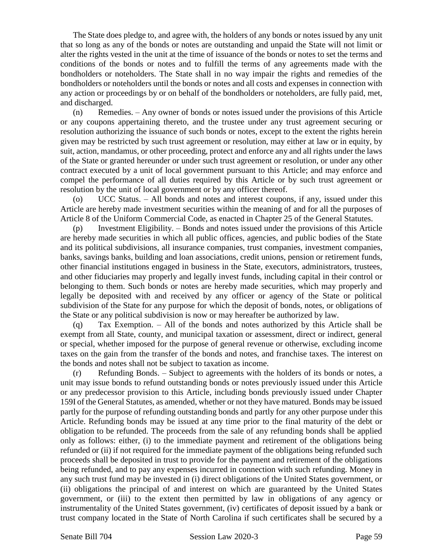The State does pledge to, and agree with, the holders of any bonds or notes issued by any unit that so long as any of the bonds or notes are outstanding and unpaid the State will not limit or alter the rights vested in the unit at the time of issuance of the bonds or notes to set the terms and conditions of the bonds or notes and to fulfill the terms of any agreements made with the bondholders or noteholders. The State shall in no way impair the rights and remedies of the bondholders or noteholders until the bonds or notes and all costs and expenses in connection with any action or proceedings by or on behalf of the bondholders or noteholders, are fully paid, met, and discharged.

(n) Remedies. – Any owner of bonds or notes issued under the provisions of this Article or any coupons appertaining thereto, and the trustee under any trust agreement securing or resolution authorizing the issuance of such bonds or notes, except to the extent the rights herein given may be restricted by such trust agreement or resolution, may either at law or in equity, by suit, action, mandamus, or other proceeding, protect and enforce any and all rights under the laws of the State or granted hereunder or under such trust agreement or resolution, or under any other contract executed by a unit of local government pursuant to this Article; and may enforce and compel the performance of all duties required by this Article or by such trust agreement or resolution by the unit of local government or by any officer thereof.

(o) UCC Status. – All bonds and notes and interest coupons, if any, issued under this Article are hereby made investment securities within the meaning of and for all the purposes of Article 8 of the Uniform Commercial Code, as enacted in Chapter 25 of the General Statutes.

(p) Investment Eligibility. – Bonds and notes issued under the provisions of this Article are hereby made securities in which all public offices, agencies, and public bodies of the State and its political subdivisions, all insurance companies, trust companies, investment companies, banks, savings banks, building and loan associations, credit unions, pension or retirement funds, other financial institutions engaged in business in the State, executors, administrators, trustees, and other fiduciaries may properly and legally invest funds, including capital in their control or belonging to them. Such bonds or notes are hereby made securities, which may properly and legally be deposited with and received by any officer or agency of the State or political subdivision of the State for any purpose for which the deposit of bonds, notes, or obligations of the State or any political subdivision is now or may hereafter be authorized by law.

(q) Tax Exemption. – All of the bonds and notes authorized by this Article shall be exempt from all State, county, and municipal taxation or assessment, direct or indirect, general or special, whether imposed for the purpose of general revenue or otherwise, excluding income taxes on the gain from the transfer of the bonds and notes, and franchise taxes. The interest on the bonds and notes shall not be subject to taxation as income.

(r) Refunding Bonds. – Subject to agreements with the holders of its bonds or notes, a unit may issue bonds to refund outstanding bonds or notes previously issued under this Article or any predecessor provision to this Article, including bonds previously issued under Chapter 159I of the General Statutes, as amended, whether or not they have matured. Bonds may be issued partly for the purpose of refunding outstanding bonds and partly for any other purpose under this Article. Refunding bonds may be issued at any time prior to the final maturity of the debt or obligation to be refunded. The proceeds from the sale of any refunding bonds shall be applied only as follows: either, (i) to the immediate payment and retirement of the obligations being refunded or (ii) if not required for the immediate payment of the obligations being refunded such proceeds shall be deposited in trust to provide for the payment and retirement of the obligations being refunded, and to pay any expenses incurred in connection with such refunding. Money in any such trust fund may be invested in (i) direct obligations of the United States government, or (ii) obligations the principal of and interest on which are guaranteed by the United States government, or (iii) to the extent then permitted by law in obligations of any agency or instrumentality of the United States government, (iv) certificates of deposit issued by a bank or trust company located in the State of North Carolina if such certificates shall be secured by a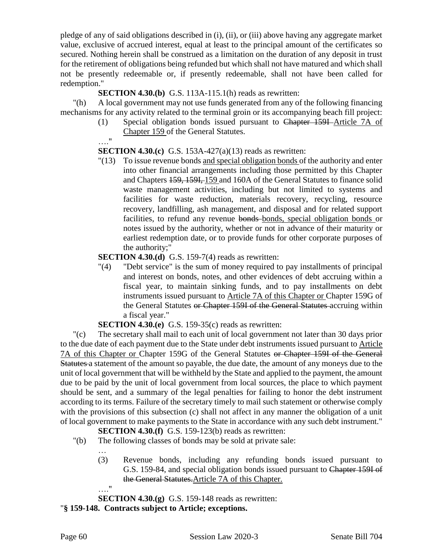pledge of any of said obligations described in (i), (ii), or (iii) above having any aggregate market value, exclusive of accrued interest, equal at least to the principal amount of the certificates so secured. Nothing herein shall be construed as a limitation on the duration of any deposit in trust for the retirement of obligations being refunded but which shall not have matured and which shall not be presently redeemable or, if presently redeemable, shall not have been called for redemption."

#### **SECTION 4.30.(b)** G.S. 113A-115.1(h) reads as rewritten:

"(h) A local government may not use funds generated from any of the following financing mechanisms for any activity related to the terminal groin or its accompanying beach fill project:

> (1) Special obligation bonds issued pursuant to Chapter 159I Article 7A of Chapter 159 of the General Statutes.

#### …." **SECTION 4.30.(c)** G.S. 153A-427(a)(13) reads as rewritten:

"(13) To issue revenue bonds and special obligation bonds of the authority and enter into other financial arrangements including those permitted by this Chapter and Chapters 159, 159I, 159 and 160A of the General Statutes to finance solid waste management activities, including but not limited to systems and facilities for waste reduction, materials recovery, recycling, resource recovery, landfilling, ash management, and disposal and for related support facilities, to refund any revenue bonds-bonds, special obligation bonds or notes issued by the authority, whether or not in advance of their maturity or earliest redemption date, or to provide funds for other corporate purposes of the authority;"

#### **SECTION 4.30.(d)** G.S. 159-7(4) reads as rewritten:

"(4) "Debt service" is the sum of money required to pay installments of principal and interest on bonds, notes, and other evidences of debt accruing within a fiscal year, to maintain sinking funds, and to pay installments on debt instruments issued pursuant to Article 7A of this Chapter or Chapter 159G of the General Statutes or Chapter 159I of the General Statutes accruing within a fiscal year."

**SECTION 4.30.(e)** G.S. 159-35(c) reads as rewritten:

"(c) The secretary shall mail to each unit of local government not later than 30 days prior to the due date of each payment due to the State under debt instruments issued pursuant to Article 7A of this Chapter or Chapter 159G of the General Statutes or Chapter 159I of the General Statutes a statement of the amount so payable, the due date, the amount of any moneys due to the unit of local government that will be withheld by the State and applied to the payment, the amount due to be paid by the unit of local government from local sources, the place to which payment should be sent, and a summary of the legal penalties for failing to honor the debt instrument according to its terms. Failure of the secretary timely to mail such statement or otherwise comply with the provisions of this subsection (c) shall not affect in any manner the obligation of a unit of local government to make payments to the State in accordance with any such debt instrument."

**SECTION 4.30.(f)** G.S. 159-123(b) reads as rewritten:

- "(b) The following classes of bonds may be sold at private sale:
	- (3) Revenue bonds, including any refunding bonds issued pursuant to G.S. 159-84, and special obligation bonds issued pursuant to Chapter 159I of the General Statutes.Article 7A of this Chapter.
	- …."

…

**SECTION 4.30.(g)** G.S. 159-148 reads as rewritten:

"**§ 159-148. Contracts subject to Article; exceptions.**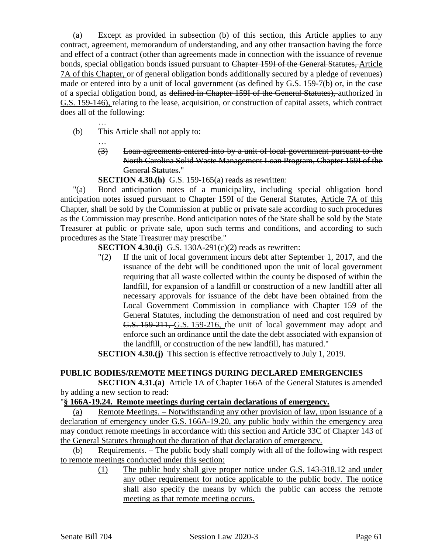(a) Except as provided in subsection (b) of this section, this Article applies to any contract, agreement, memorandum of understanding, and any other transaction having the force and effect of a contract (other than agreements made in connection with the issuance of revenue bonds, special obligation bonds issued pursuant to Chapter 159I of the General Statutes, Article 7A of this Chapter, or of general obligation bonds additionally secured by a pledge of revenues) made or entered into by a unit of local government (as defined by G.S. 159-7(b) or, in the case of a special obligation bond, as defined in Chapter 159I of the General Statutes), authorized in G.S. 159-146), relating to the lease, acquisition, or construction of capital assets, which contract does all of the following:

… (b) This Article shall not apply to:

…

(3) Loan agreements entered into by a unit of local government pursuant to the North Carolina Solid Waste Management Loan Program, Chapter 159I of the General Statutes."

**SECTION 4.30.(h)** G.S. 159-165(a) reads as rewritten:

"(a) Bond anticipation notes of a municipality, including special obligation bond anticipation notes issued pursuant to Chapter 159I of the General Statutes, Article 7A of this Chapter, shall be sold by the Commission at public or private sale according to such procedures as the Commission may prescribe. Bond anticipation notes of the State shall be sold by the State Treasurer at public or private sale, upon such terms and conditions, and according to such procedures as the State Treasurer may prescribe."

**SECTION 4.30.(i)** G.S. 130A-291(c)(2) reads as rewritten:

"(2) If the unit of local government incurs debt after September 1, 2017, and the issuance of the debt will be conditioned upon the unit of local government requiring that all waste collected within the county be disposed of within the landfill, for expansion of a landfill or construction of a new landfill after all necessary approvals for issuance of the debt have been obtained from the Local Government Commission in compliance with Chapter 159 of the General Statutes, including the demonstration of need and cost required by G.S. 159-211, G.S. 159-216, the unit of local government may adopt and enforce such an ordinance until the date the debt associated with expansion of the landfill, or construction of the new landfill, has matured."

**SECTION 4.30.(j)** This section is effective retroactively to July 1, 2019.

## **PUBLIC BODIES/REMOTE MEETINGS DURING DECLARED EMERGENCIES**

**SECTION 4.31.(a)** Article 1A of Chapter 166A of the General Statutes is amended by adding a new section to read:

#### "**§ 166A-19.24. Remote meetings during certain declarations of emergency.**

(a) Remote Meetings. – Notwithstanding any other provision of law, upon issuance of a declaration of emergency under G.S. 166A-19.20, any public body within the emergency area may conduct remote meetings in accordance with this section and Article 33C of Chapter 143 of the General Statutes throughout the duration of that declaration of emergency.

(b) Requirements. – The public body shall comply with all of the following with respect to remote meetings conducted under this section:

(1) The public body shall give proper notice under G.S. 143-318.12 and under any other requirement for notice applicable to the public body. The notice shall also specify the means by which the public can access the remote meeting as that remote meeting occurs.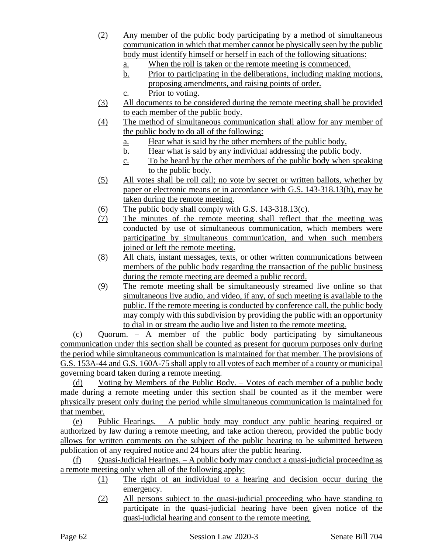- (2) Any member of the public body participating by a method of simultaneous communication in which that member cannot be physically seen by the public body must identify himself or herself in each of the following situations:
	- a. When the roll is taken or the remote meeting is commenced.
	- b. Prior to participating in the deliberations, including making motions, proposing amendments, and raising points of order.
	- c. Prior to voting.
- (3) All documents to be considered during the remote meeting shall be provided to each member of the public body.
- (4) The method of simultaneous communication shall allow for any member of the public body to do all of the following:
	- a. Hear what is said by the other members of the public body.
	- b. Hear what is said by any individual addressing the public body.
	- c. To be heard by the other members of the public body when speaking to the public body.
- (5) All votes shall be roll call; no vote by secret or written ballots, whether by paper or electronic means or in accordance with G.S. 143-318.13(b), may be taken during the remote meeting.
- (6) The public body shall comply with G.S. 143-318.13(c).
- (7) The minutes of the remote meeting shall reflect that the meeting was conducted by use of simultaneous communication, which members were participating by simultaneous communication, and when such members joined or left the remote meeting.
- (8) All chats, instant messages, texts, or other written communications between members of the public body regarding the transaction of the public business during the remote meeting are deemed a public record.
- (9) The remote meeting shall be simultaneously streamed live online so that simultaneous live audio, and video, if any, of such meeting is available to the public. If the remote meeting is conducted by conference call, the public body may comply with this subdivision by providing the public with an opportunity to dial in or stream the audio live and listen to the remote meeting.

(c) Quorum. – A member of the public body participating by simultaneous communication under this section shall be counted as present for quorum purposes only during the period while simultaneous communication is maintained for that member. The provisions of G.S. 153A-44 and G.S. 160A-75 shall apply to all votes of each member of a county or municipal governing board taken during a remote meeting.

(d) Voting by Members of the Public Body. – Votes of each member of a public body made during a remote meeting under this section shall be counted as if the member were physically present only during the period while simultaneous communication is maintained for that member.

(e) Public Hearings. – A public body may conduct any public hearing required or authorized by law during a remote meeting, and take action thereon, provided the public body allows for written comments on the subject of the public hearing to be submitted between publication of any required notice and 24 hours after the public hearing.

 $(f)$  Quasi-Judicial Hearings. – A public body may conduct a quasi-judicial proceeding as a remote meeting only when all of the following apply:

- (1) The right of an individual to a hearing and decision occur during the emergency.
- (2) All persons subject to the quasi-judicial proceeding who have standing to participate in the quasi-judicial hearing have been given notice of the quasi-judicial hearing and consent to the remote meeting.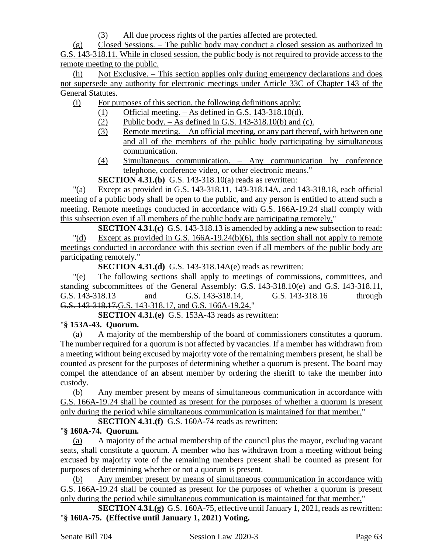(3) All due process rights of the parties affected are protected.

(g) Closed Sessions. – The public body may conduct a closed session as authorized in G.S. 143-318.11. While in closed session, the public body is not required to provide access to the remote meeting to the public.

(h) Not Exclusive. – This section applies only during emergency declarations and does not supersede any authority for electronic meetings under Article 33C of Chapter 143 of the General Statutes.

(i) For purposes of this section, the following definitions apply:

- (1) Official meeting.  $-$  As defined in G.S. 143-318.10(d).
- (2) Public body. As defined in G.S. 143-318.10(b) and (c).
- (3) Remote meeting. An official meeting, or any part thereof, with between one and all of the members of the public body participating by simultaneous communication.
- (4) Simultaneous communication. Any communication by conference telephone, conference video, or other electronic means."

**SECTION 4.31.(b)** G.S. 143-318.10(a) reads as rewritten:

"(a) Except as provided in G.S. 143-318.11, 143-318.14A, and 143-318.18, each official meeting of a public body shall be open to the public, and any person is entitled to attend such a meeting. Remote meetings conducted in accordance with G.S. 166A-19.24 shall comply with this subsection even if all members of the public body are participating remotely."

**SECTION 4.31.(c)** G.S. 143-318.13 is amended by adding a new subsection to read: "(d) Except as provided in G.S. 166A-19.24(b)(6), this section shall not apply to remote meetings conducted in accordance with this section even if all members of the public body are participating remotely."

**SECTION 4.31.(d)** G.S. 143-318.14A(e) reads as rewritten:

"(e) The following sections shall apply to meetings of commissions, committees, and standing subcommittees of the General Assembly: G.S. 143-318.10(e) and G.S. 143-318.11, G.S. 143-318.13 and G.S. 143-318.14, G.S. 143-318.16 through G.S. 143-318.17.G.S. 143-318.17, and G.S. 166A-19.24."

**SECTION 4.31.(e)** G.S. 153A-43 reads as rewritten:

# "**§ 153A-43. Quorum.**

(a) A majority of the membership of the board of commissioners constitutes a quorum. The number required for a quorum is not affected by vacancies. If a member has withdrawn from a meeting without being excused by majority vote of the remaining members present, he shall be counted as present for the purposes of determining whether a quorum is present. The board may compel the attendance of an absent member by ordering the sheriff to take the member into custody.

(b) Any member present by means of simultaneous communication in accordance with G.S. 166A-19.24 shall be counted as present for the purposes of whether a quorum is present only during the period while simultaneous communication is maintained for that member."

**SECTION 4.31.(f)** G.S. 160A-74 reads as rewritten:

# "**§ 160A-74. Quorum.**

(a) A majority of the actual membership of the council plus the mayor, excluding vacant seats, shall constitute a quorum. A member who has withdrawn from a meeting without being excused by majority vote of the remaining members present shall be counted as present for purposes of determining whether or not a quorum is present.

(b) Any member present by means of simultaneous communication in accordance with G.S. 166A-19.24 shall be counted as present for the purposes of whether a quorum is present only during the period while simultaneous communication is maintained for that member."

**SECTION 4.31.(g)** G.S. 160A-75, effective until January 1, 2021, reads as rewritten: "**§ 160A-75. (Effective until January 1, 2021) Voting.**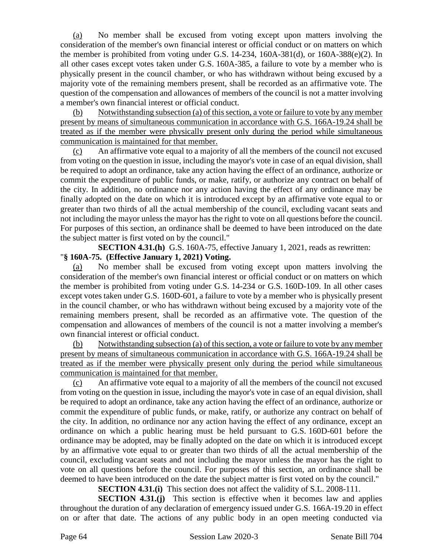(a) No member shall be excused from voting except upon matters involving the consideration of the member's own financial interest or official conduct or on matters on which the member is prohibited from voting under G.S.  $14-234$ ,  $160A-381(d)$ , or  $160A-388(e)(2)$ . In all other cases except votes taken under G.S. 160A-385, a failure to vote by a member who is physically present in the council chamber, or who has withdrawn without being excused by a majority vote of the remaining members present, shall be recorded as an affirmative vote. The question of the compensation and allowances of members of the council is not a matter involving a member's own financial interest or official conduct.

(b) Notwithstanding subsection (a) of this section, a vote or failure to vote by any member present by means of simultaneous communication in accordance with G.S. 166A-19.24 shall be treated as if the member were physically present only during the period while simultaneous communication is maintained for that member.

(c) An affirmative vote equal to a majority of all the members of the council not excused from voting on the question in issue, including the mayor's vote in case of an equal division, shall be required to adopt an ordinance, take any action having the effect of an ordinance, authorize or commit the expenditure of public funds, or make, ratify, or authorize any contract on behalf of the city. In addition, no ordinance nor any action having the effect of any ordinance may be finally adopted on the date on which it is introduced except by an affirmative vote equal to or greater than two thirds of all the actual membership of the council, excluding vacant seats and not including the mayor unless the mayor has the right to vote on all questions before the council. For purposes of this section, an ordinance shall be deemed to have been introduced on the date the subject matter is first voted on by the council."

**SECTION 4.31.(h)** G.S. 160A-75, effective January 1, 2021, reads as rewritten: "**§ 160A-75. (Effective January 1, 2021) Voting.**

(a) No member shall be excused from voting except upon matters involving the consideration of the member's own financial interest or official conduct or on matters on which the member is prohibited from voting under G.S. 14-234 or G.S. 160D-109. In all other cases except votes taken under G.S. 160D-601, a failure to vote by a member who is physically present in the council chamber, or who has withdrawn without being excused by a majority vote of the remaining members present, shall be recorded as an affirmative vote. The question of the compensation and allowances of members of the council is not a matter involving a member's own financial interest or official conduct.

(b) Notwithstanding subsection (a) of this section, a vote or failure to vote by any member present by means of simultaneous communication in accordance with G.S. 166A-19.24 shall be treated as if the member were physically present only during the period while simultaneous communication is maintained for that member.

(c) An affirmative vote equal to a majority of all the members of the council not excused from voting on the question in issue, including the mayor's vote in case of an equal division, shall be required to adopt an ordinance, take any action having the effect of an ordinance, authorize or commit the expenditure of public funds, or make, ratify, or authorize any contract on behalf of the city. In addition, no ordinance nor any action having the effect of any ordinance, except an ordinance on which a public hearing must be held pursuant to G.S. 160D-601 before the ordinance may be adopted, may be finally adopted on the date on which it is introduced except by an affirmative vote equal to or greater than two thirds of all the actual membership of the council, excluding vacant seats and not including the mayor unless the mayor has the right to vote on all questions before the council. For purposes of this section, an ordinance shall be deemed to have been introduced on the date the subject matter is first voted on by the council."

**SECTION 4.31.(i)** This section does not affect the validity of S.L. 2008-111.

**SECTION 4.31.(j)** This section is effective when it becomes law and applies throughout the duration of any declaration of emergency issued under G.S. 166A-19.20 in effect on or after that date. The actions of any public body in an open meeting conducted via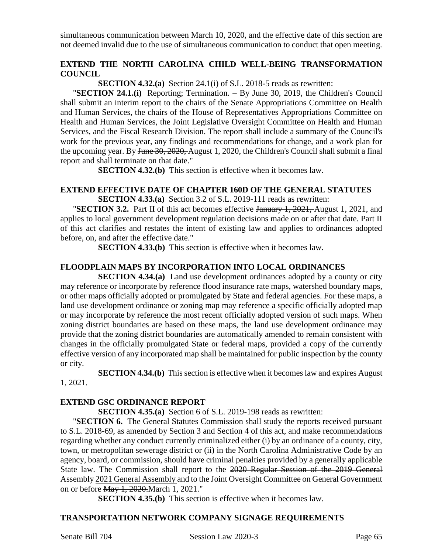simultaneous communication between March 10, 2020, and the effective date of this section are not deemed invalid due to the use of simultaneous communication to conduct that open meeting.

#### **EXTEND THE NORTH CAROLINA CHILD WELL-BEING TRANSFORMATION COUNCIL**

**SECTION 4.32.(a)** Section 24.1(i) of S.L. 2018-5 reads as rewritten:

"**SECTION 24.1.(i)** Reporting; Termination. – By June 30, 2019, the Children's Council shall submit an interim report to the chairs of the Senate Appropriations Committee on Health and Human Services, the chairs of the House of Representatives Appropriations Committee on Health and Human Services, the Joint Legislative Oversight Committee on Health and Human Services, and the Fiscal Research Division. The report shall include a summary of the Council's work for the previous year, any findings and recommendations for change, and a work plan for the upcoming year. By June 30, 2020, August 1, 2020, the Children's Council shall submit a final report and shall terminate on that date."

**SECTION 4.32.(b)** This section is effective when it becomes law.

#### **EXTEND EFFECTIVE DATE OF CHAPTER 160D OF THE GENERAL STATUTES SECTION 4.33.(a)** Section 3.2 of S.L. 2019-111 reads as rewritten:

"**SECTION 3.2.** Part II of this act becomes effective January 1, 2021, August 1, 2021, and applies to local government development regulation decisions made on or after that date. Part II of this act clarifies and restates the intent of existing law and applies to ordinances adopted before, on, and after the effective date."

**SECTION 4.33.(b)** This section is effective when it becomes law.

#### **FLOODPLAIN MAPS BY INCORPORATION INTO LOCAL ORDINANCES**

**SECTION 4.34.(a)** Land use development ordinances adopted by a county or city may reference or incorporate by reference flood insurance rate maps, watershed boundary maps, or other maps officially adopted or promulgated by State and federal agencies. For these maps, a land use development ordinance or zoning map may reference a specific officially adopted map or may incorporate by reference the most recent officially adopted version of such maps. When zoning district boundaries are based on these maps, the land use development ordinance may provide that the zoning district boundaries are automatically amended to remain consistent with changes in the officially promulgated State or federal maps, provided a copy of the currently effective version of any incorporated map shall be maintained for public inspection by the county or city.

**SECTION 4.34.(b)** This section is effective when it becomes law and expires August 1, 2021.

#### **EXTEND GSC ORDINANCE REPORT**

**SECTION 4.35.(a)** Section 6 of S.L. 2019-198 reads as rewritten:

"**SECTION 6.** The General Statutes Commission shall study the reports received pursuant to S.L. 2018-69, as amended by Section 3 and Section 4 of this act, and make recommendations regarding whether any conduct currently criminalized either (i) by an ordinance of a county, city, town, or metropolitan sewerage district or (ii) in the North Carolina Administrative Code by an agency, board, or commission, should have criminal penalties provided by a generally applicable State law. The Commission shall report to the 2020 Regular Session of the 2019 General Assembly 2021 General Assembly and to the Joint Oversight Committee on General Government on or before May 1, 2020.March 1, 2021."

**SECTION 4.35.(b)** This section is effective when it becomes law.

#### **TRANSPORTATION NETWORK COMPANY SIGNAGE REQUIREMENTS**

Senate Bill 704 Session Law 2020-3 Page 65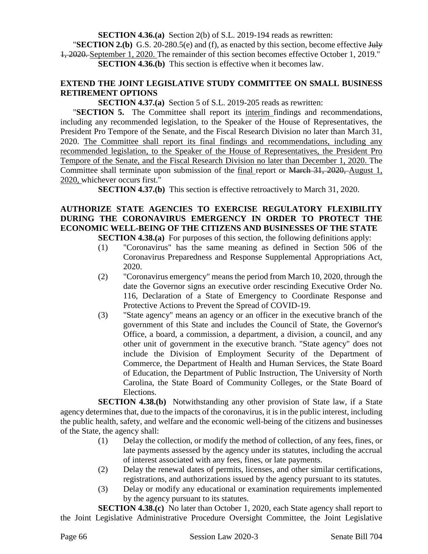**SECTION 4.36.(a)** Section 2(b) of S.L. 2019-194 reads as rewritten:

"**SECTION 2.(b)** G.S. 20-280.5(e) and (f), as enacted by this section, become effective July 1, 2020. September 1, 2020. The remainder of this section becomes effective October 1, 2019." **SECTION 4.36.(b)** This section is effective when it becomes law.

#### **EXTEND THE JOINT LEGISLATIVE STUDY COMMITTEE ON SMALL BUSINESS RETIREMENT OPTIONS**

**SECTION 4.37.(a)** Section 5 of S.L. 2019-205 reads as rewritten:

"**SECTION 5.** The Committee shall report its interim findings and recommendations, including any recommended legislation, to the Speaker of the House of Representatives, the President Pro Tempore of the Senate, and the Fiscal Research Division no later than March 31, 2020. The Committee shall report its final findings and recommendations, including any recommended legislation, to the Speaker of the House of Representatives, the President Pro Tempore of the Senate, and the Fiscal Research Division no later than December 1, 2020. The Committee shall terminate upon submission of the final report or March 31, 2020, August 1, 2020, whichever occurs first."

**SECTION 4.37.(b)** This section is effective retroactively to March 31, 2020.

# **AUTHORIZE STATE AGENCIES TO EXERCISE REGULATORY FLEXIBILITY DURING THE CORONAVIRUS EMERGENCY IN ORDER TO PROTECT THE ECONOMIC WELL-BEING OF THE CITIZENS AND BUSINESSES OF THE STATE**

**SECTION 4.38.(a)** For purposes of this section, the following definitions apply:

- (1) "Coronavirus" has the same meaning as defined in Section 506 of the Coronavirus Preparedness and Response Supplemental Appropriations Act, 2020.
- (2) "Coronavirus emergency" means the period from March 10, 2020, through the date the Governor signs an executive order rescinding Executive Order No. 116, Declaration of a State of Emergency to Coordinate Response and Protective Actions to Prevent the Spread of COVID-19.
- (3) "State agency" means an agency or an officer in the executive branch of the government of this State and includes the Council of State, the Governor's Office, a board, a commission, a department, a division, a council, and any other unit of government in the executive branch. "State agency" does not include the Division of Employment Security of the Department of Commerce, the Department of Health and Human Services, the State Board of Education, the Department of Public Instruction, The University of North Carolina, the State Board of Community Colleges, or the State Board of Elections.

**SECTION 4.38.(b)** Notwithstanding any other provision of State law, if a State agency determines that, due to the impacts of the coronavirus, it is in the public interest, including the public health, safety, and welfare and the economic well-being of the citizens and businesses of the State, the agency shall:

- (1) Delay the collection, or modify the method of collection, of any fees, fines, or late payments assessed by the agency under its statutes, including the accrual of interest associated with any fees, fines, or late payments.
- (2) Delay the renewal dates of permits, licenses, and other similar certifications, registrations, and authorizations issued by the agency pursuant to its statutes.
- (3) Delay or modify any educational or examination requirements implemented by the agency pursuant to its statutes.

**SECTION 4.38.(c)** No later than October 1, 2020, each State agency shall report to the Joint Legislative Administrative Procedure Oversight Committee, the Joint Legislative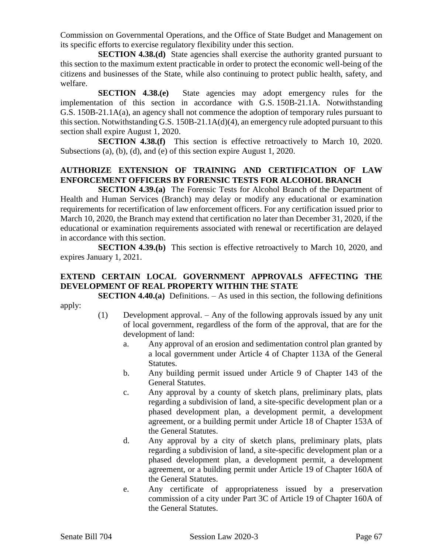Commission on Governmental Operations, and the Office of State Budget and Management on its specific efforts to exercise regulatory flexibility under this section.

**SECTION 4.38.(d)** State agencies shall exercise the authority granted pursuant to this section to the maximum extent practicable in order to protect the economic well-being of the citizens and businesses of the State, while also continuing to protect public health, safety, and welfare.

**SECTION 4.38.(e)** State agencies may adopt emergency rules for the implementation of this section in accordance with G.S. 150B-21.1A. Notwithstanding G.S. 150B-21.1A(a), an agency shall not commence the adoption of temporary rules pursuant to this section. Notwithstanding G.S. 150B-21.1A(d)(4), an emergency rule adopted pursuant to this section shall expire August 1, 2020.

**SECTION 4.38.(f)** This section is effective retroactively to March 10, 2020. Subsections (a), (b), (d), and (e) of this section expire August 1, 2020.

# **AUTHORIZE EXTENSION OF TRAINING AND CERTIFICATION OF LAW ENFORCEMENT OFFICERS BY FORENSIC TESTS FOR ALCOHOL BRANCH**

**SECTION 4.39.(a)** The Forensic Tests for Alcohol Branch of the Department of Health and Human Services (Branch) may delay or modify any educational or examination requirements for recertification of law enforcement officers. For any certification issued prior to March 10, 2020, the Branch may extend that certification no later than December 31, 2020, if the educational or examination requirements associated with renewal or recertification are delayed in accordance with this section.

**SECTION 4.39.(b)** This section is effective retroactively to March 10, 2020, and expires January 1, 2021.

# **EXTEND CERTAIN LOCAL GOVERNMENT APPROVALS AFFECTING THE DEVELOPMENT OF REAL PROPERTY WITHIN THE STATE**

**SECTION 4.40.(a)** Definitions. – As used in this section, the following definitions apply:

- (1) Development approval. Any of the following approvals issued by any unit of local government, regardless of the form of the approval, that are for the development of land:
	- a. Any approval of an erosion and sedimentation control plan granted by a local government under Article 4 of Chapter 113A of the General Statutes.
	- b. Any building permit issued under Article 9 of Chapter 143 of the General Statutes.
	- c. Any approval by a county of sketch plans, preliminary plats, plats regarding a subdivision of land, a site-specific development plan or a phased development plan, a development permit, a development agreement, or a building permit under Article 18 of Chapter 153A of the General Statutes.
	- d. Any approval by a city of sketch plans, preliminary plats, plats regarding a subdivision of land, a site-specific development plan or a phased development plan, a development permit, a development agreement, or a building permit under Article 19 of Chapter 160A of the General Statutes.
	- e. Any certificate of appropriateness issued by a preservation commission of a city under Part 3C of Article 19 of Chapter 160A of the General Statutes.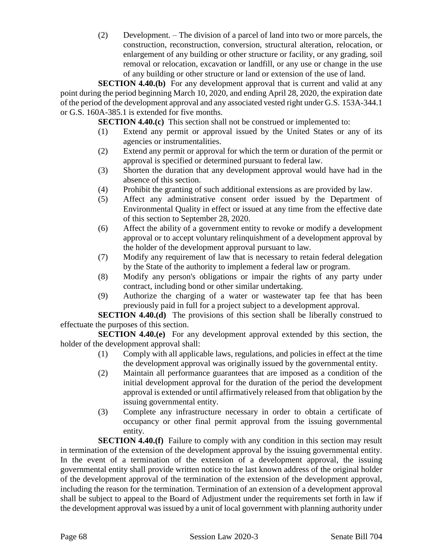(2) Development. – The division of a parcel of land into two or more parcels, the construction, reconstruction, conversion, structural alteration, relocation, or enlargement of any building or other structure or facility, or any grading, soil removal or relocation, excavation or landfill, or any use or change in the use of any building or other structure or land or extension of the use of land.

**SECTION 4.40.(b)** For any development approval that is current and valid at any point during the period beginning March 10, 2020, and ending April 28, 2020, the expiration date of the period of the development approval and any associated vested right under G.S. 153A-344.1 or G.S. 160A-385.1 is extended for five months.

**SECTION 4.40.(c)** This section shall not be construed or implemented to:

- (1) Extend any permit or approval issued by the United States or any of its agencies or instrumentalities.
- (2) Extend any permit or approval for which the term or duration of the permit or approval is specified or determined pursuant to federal law.
- (3) Shorten the duration that any development approval would have had in the absence of this section.
- (4) Prohibit the granting of such additional extensions as are provided by law.
- (5) Affect any administrative consent order issued by the Department of Environmental Quality in effect or issued at any time from the effective date of this section to September 28, 2020.
- (6) Affect the ability of a government entity to revoke or modify a development approval or to accept voluntary relinquishment of a development approval by the holder of the development approval pursuant to law.
- (7) Modify any requirement of law that is necessary to retain federal delegation by the State of the authority to implement a federal law or program.
- (8) Modify any person's obligations or impair the rights of any party under contract, including bond or other similar undertaking.
- (9) Authorize the charging of a water or wastewater tap fee that has been previously paid in full for a project subject to a development approval.

**SECTION 4.40.(d)** The provisions of this section shall be liberally construed to effectuate the purposes of this section.

**SECTION 4.40.(e)** For any development approval extended by this section, the holder of the development approval shall:

- (1) Comply with all applicable laws, regulations, and policies in effect at the time the development approval was originally issued by the governmental entity.
- (2) Maintain all performance guarantees that are imposed as a condition of the initial development approval for the duration of the period the development approval is extended or until affirmatively released from that obligation by the issuing governmental entity.
- (3) Complete any infrastructure necessary in order to obtain a certificate of occupancy or other final permit approval from the issuing governmental entity.

**SECTION 4.40.(f)** Failure to comply with any condition in this section may result in termination of the extension of the development approval by the issuing governmental entity. In the event of a termination of the extension of a development approval, the issuing governmental entity shall provide written notice to the last known address of the original holder of the development approval of the termination of the extension of the development approval, including the reason for the termination. Termination of an extension of a development approval shall be subject to appeal to the Board of Adjustment under the requirements set forth in law if the development approval was issued by a unit of local government with planning authority under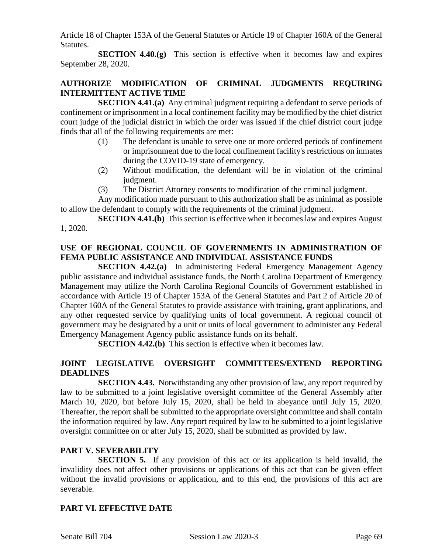Article 18 of Chapter 153A of the General Statutes or Article 19 of Chapter 160A of the General Statutes.

**SECTION 4.40.(g)** This section is effective when it becomes law and expires September 28, 2020.

## **AUTHORIZE MODIFICATION OF CRIMINAL JUDGMENTS REQUIRING INTERMITTENT ACTIVE TIME**

**SECTION 4.41.(a)** Any criminal judgment requiring a defendant to serve periods of confinement or imprisonment in a local confinement facility may be modified by the chief district court judge of the judicial district in which the order was issued if the chief district court judge finds that all of the following requirements are met:

- (1) The defendant is unable to serve one or more ordered periods of confinement or imprisonment due to the local confinement facility's restrictions on inmates during the COVID-19 state of emergency.
- (2) Without modification, the defendant will be in violation of the criminal judgment.
- (3) The District Attorney consents to modification of the criminal judgment.

Any modification made pursuant to this authorization shall be as minimal as possible to allow the defendant to comply with the requirements of the criminal judgment.

**SECTION 4.41.(b)** This section is effective when it becomes law and expires August 1, 2020.

# **USE OF REGIONAL COUNCIL OF GOVERNMENTS IN ADMINISTRATION OF FEMA PUBLIC ASSISTANCE AND INDIVIDUAL ASSISTANCE FUNDS**

**SECTION 4.42.(a)** In administering Federal Emergency Management Agency public assistance and individual assistance funds, the North Carolina Department of Emergency Management may utilize the North Carolina Regional Councils of Government established in accordance with Article 19 of Chapter 153A of the General Statutes and Part 2 of Article 20 of Chapter 160A of the General Statutes to provide assistance with training, grant applications, and any other requested service by qualifying units of local government. A regional council of government may be designated by a unit or units of local government to administer any Federal Emergency Management Agency public assistance funds on its behalf.

**SECTION 4.42.(b)** This section is effective when it becomes law.

# **JOINT LEGISLATIVE OVERSIGHT COMMITTEES/EXTEND REPORTING DEADLINES**

**SECTION 4.43.** Notwithstanding any other provision of law, any report required by law to be submitted to a joint legislative oversight committee of the General Assembly after March 10, 2020, but before July 15, 2020, shall be held in abeyance until July 15, 2020. Thereafter, the report shall be submitted to the appropriate oversight committee and shall contain the information required by law. Any report required by law to be submitted to a joint legislative oversight committee on or after July 15, 2020, shall be submitted as provided by law.

## **PART V. SEVERABILITY**

**SECTION 5.** If any provision of this act or its application is held invalid, the invalidity does not affect other provisions or applications of this act that can be given effect without the invalid provisions or application, and to this end, the provisions of this act are severable.

# **PART VI. EFFECTIVE DATE**